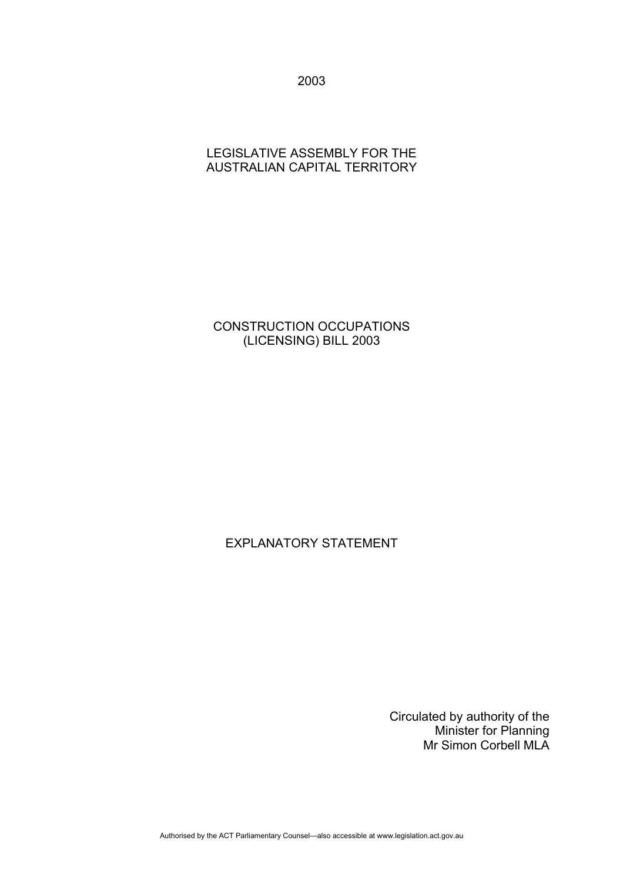2003

# LEGISLATIVE ASSEMBLY FOR THE AUSTRALIAN CAPITAL TERRITORY

# CONSTRUCTION OCCUPATIONS (LICENSING) BILL 2003

# EXPLANATORY STATEMENT

Circulated by authority of the Minister for Planning Mr Simon Corbell MLA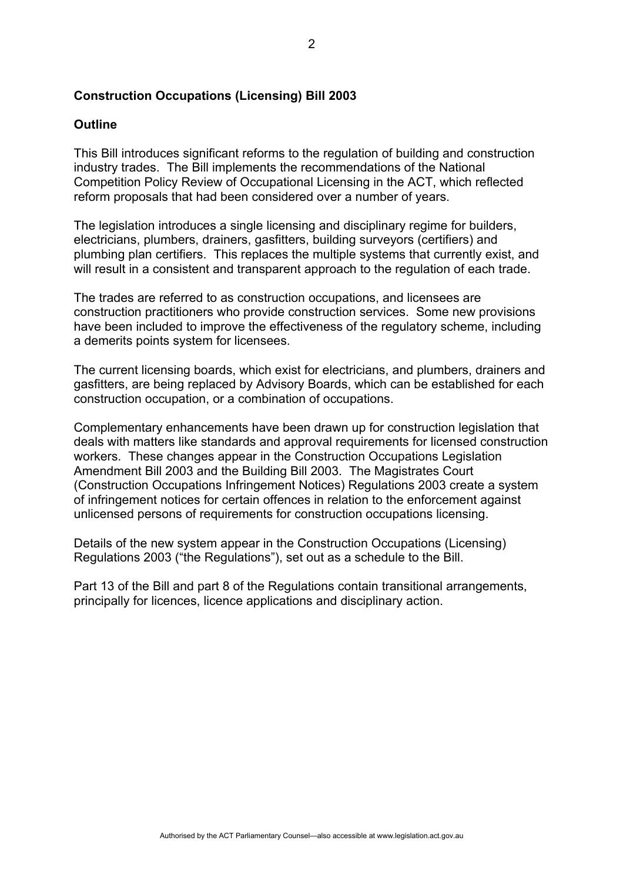# **Construction Occupations (Licensing) Bill 2003**

## **Outline**

This Bill introduces significant reforms to the regulation of building and construction industry trades. The Bill implements the recommendations of the National Competition Policy Review of Occupational Licensing in the ACT, which reflected reform proposals that had been considered over a number of years.

The legislation introduces a single licensing and disciplinary regime for builders, electricians, plumbers, drainers, gasfitters, building surveyors (certifiers) and plumbing plan certifiers. This replaces the multiple systems that currently exist, and will result in a consistent and transparent approach to the regulation of each trade.

The trades are referred to as construction occupations, and licensees are construction practitioners who provide construction services. Some new provisions have been included to improve the effectiveness of the regulatory scheme, including a demerits points system for licensees.

The current licensing boards, which exist for electricians, and plumbers, drainers and gasfitters, are being replaced by Advisory Boards, which can be established for each construction occupation, or a combination of occupations.

Complementary enhancements have been drawn up for construction legislation that deals with matters like standards and approval requirements for licensed construction workers. These changes appear in the Construction Occupations Legislation Amendment Bill 2003 and the Building Bill 2003. The Magistrates Court (Construction Occupations Infringement Notices) Regulations 2003 create a system of infringement notices for certain offences in relation to the enforcement against unlicensed persons of requirements for construction occupations licensing.

Details of the new system appear in the Construction Occupations (Licensing) Regulations 2003 ("the Regulations"), set out as a schedule to the Bill.

Part 13 of the Bill and part 8 of the Regulations contain transitional arrangements, principally for licences, licence applications and disciplinary action.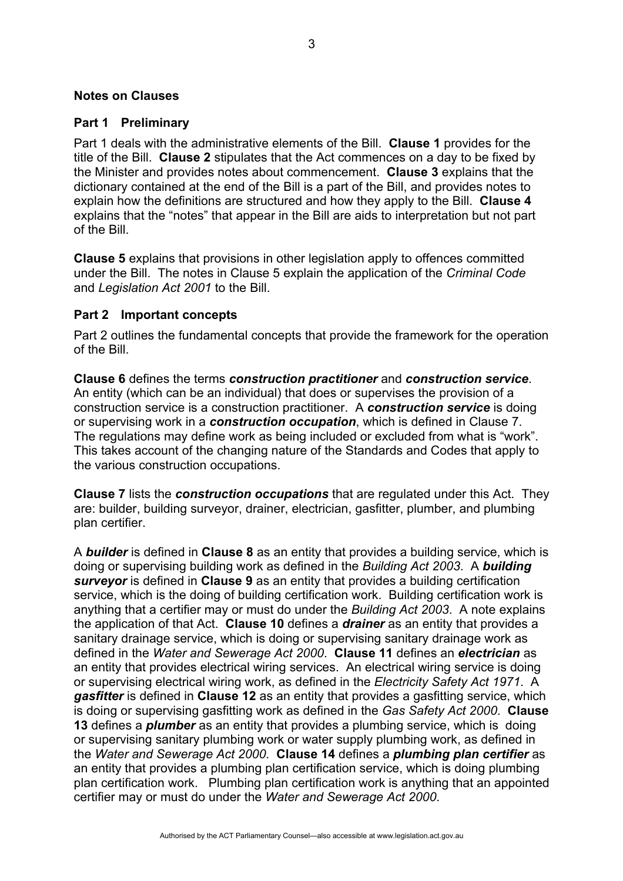## **Notes on Clauses**

#### **Part 1 Preliminary**

Part 1 deals with the administrative elements of the Bill. **Clause 1** provides for the title of the Bill. **Clause 2** stipulates that the Act commences on a day to be fixed by the Minister and provides notes about commencement. **Clause 3** explains that the dictionary contained at the end of the Bill is a part of the Bill, and provides notes to explain how the definitions are structured and how they apply to the Bill. **Clause 4** explains that the "notes" that appear in the Bill are aids to interpretation but not part of the Bill.

**Clause 5** explains that provisions in other legislation apply to offences committed under the Bill. The notes in Clause 5 explain the application of the *Criminal Code*  and *Legislation Act 2001* to the Bill.

#### **Part 2 Important concepts**

Part 2 outlines the fundamental concepts that provide the framework for the operation of the Bill.

**Clause 6** defines the terms *construction practitioner* and *construction service*. An entity (which can be an individual) that does or supervises the provision of a construction service is a construction practitioner. A *construction service* is doing or supervising work in a *construction occupation*, which is defined in Clause 7. The regulations may define work as being included or excluded from what is "work". This takes account of the changing nature of the Standards and Codes that apply to the various construction occupations.

**Clause 7** lists the *construction occupations* that are regulated under this Act. They are: builder, building surveyor, drainer, electrician, gasfitter, plumber, and plumbing plan certifier.

A *builder* is defined in **Clause 8** as an entity that provides a building service, which is doing or supervising building work as defined in the *Building Act 2003*. A *building surveyor* is defined in **Clause 9** as an entity that provides a building certification service, which is the doing of building certification work. Building certification work is anything that a certifier may or must do under the *Building Act 2003*. A note explains the application of that Act. **Clause 10** defines a *drainer* as an entity that provides a sanitary drainage service, which is doing or supervising sanitary drainage work as defined in the *Water and Sewerage Act 2000*. **Clause 11** defines an *electrician* as an entity that provides electrical wiring services. An electrical wiring service is doing or supervising electrical wiring work, as defined in the *Electricity Safety Act 1971*. A *gasfitter* is defined in **Clause 12** as an entity that provides a gasfitting service, which is doing or supervising gasfitting work as defined in the *Gas Safety Act 2000*. **Clause 13** defines a *plumber* as an entity that provides a plumbing service, which is doing or supervising sanitary plumbing work or water supply plumbing work, as defined in the *Water and Sewerage Act 2000*. **Clause 14** defines a *plumbing plan certifier* as an entity that provides a plumbing plan certification service, which is doing plumbing plan certification work. Plumbing plan certification work is anything that an appointed certifier may or must do under the *Water and Sewerage Act 2000*.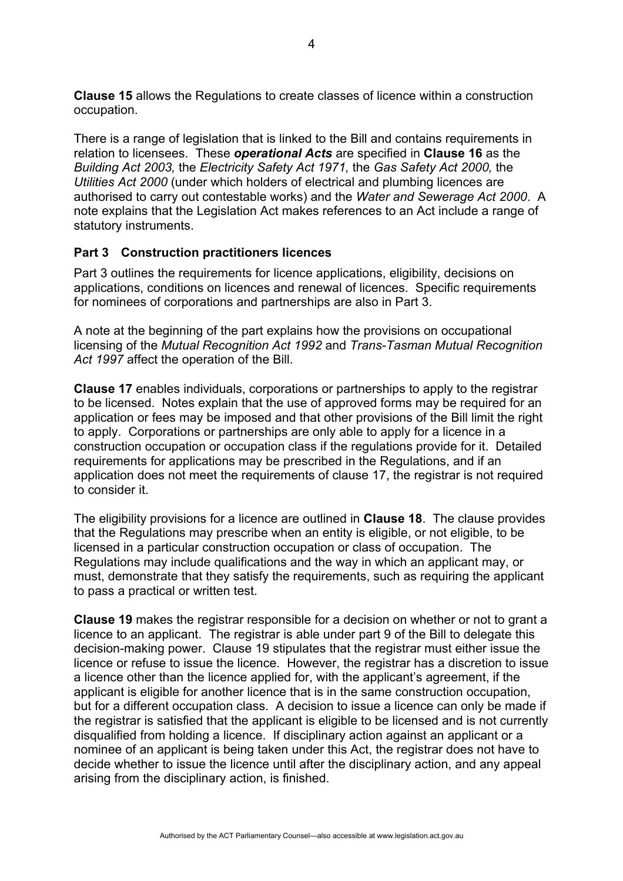**Clause 15** allows the Regulations to create classes of licence within a construction occupation.

There is a range of legislation that is linked to the Bill and contains requirements in relation to licensees. These *operational Acts* are specified in **Clause 16** as the *Building Act 2003,* the *Electricity Safety Act 1971,* the *Gas Safety Act 2000,* the *Utilities Act 2000* (under which holders of electrical and plumbing licences are authorised to carry out contestable works) and the *Water and Sewerage Act 2000*. A note explains that the Legislation Act makes references to an Act include a range of statutory instruments.

# **Part 3 Construction practitioners licences**

Part 3 outlines the requirements for licence applications, eligibility, decisions on applications, conditions on licences and renewal of licences. Specific requirements for nominees of corporations and partnerships are also in Part 3.

A note at the beginning of the part explains how the provisions on occupational licensing of the *Mutual Recognition Act 1992* and *Trans-Tasman Mutual Recognition Act 1997* affect the operation of the Bill.

**Clause 17** enables individuals, corporations or partnerships to apply to the registrar to be licensed. Notes explain that the use of approved forms may be required for an application or fees may be imposed and that other provisions of the Bill limit the right to apply. Corporations or partnerships are only able to apply for a licence in a construction occupation or occupation class if the regulations provide for it. Detailed requirements for applications may be prescribed in the Regulations, and if an application does not meet the requirements of clause 17, the registrar is not required to consider it.

The eligibility provisions for a licence are outlined in **Clause 18**. The clause provides that the Regulations may prescribe when an entity is eligible, or not eligible, to be licensed in a particular construction occupation or class of occupation. The Regulations may include qualifications and the way in which an applicant may, or must, demonstrate that they satisfy the requirements, such as requiring the applicant to pass a practical or written test.

**Clause 19** makes the registrar responsible for a decision on whether or not to grant a licence to an applicant. The registrar is able under part 9 of the Bill to delegate this decision-making power. Clause 19 stipulates that the registrar must either issue the licence or refuse to issue the licence. However, the registrar has a discretion to issue a licence other than the licence applied for, with the applicant's agreement, if the applicant is eligible for another licence that is in the same construction occupation, but for a different occupation class. A decision to issue a licence can only be made if the registrar is satisfied that the applicant is eligible to be licensed and is not currently disqualified from holding a licence. If disciplinary action against an applicant or a nominee of an applicant is being taken under this Act, the registrar does not have to decide whether to issue the licence until after the disciplinary action, and any appeal arising from the disciplinary action, is finished.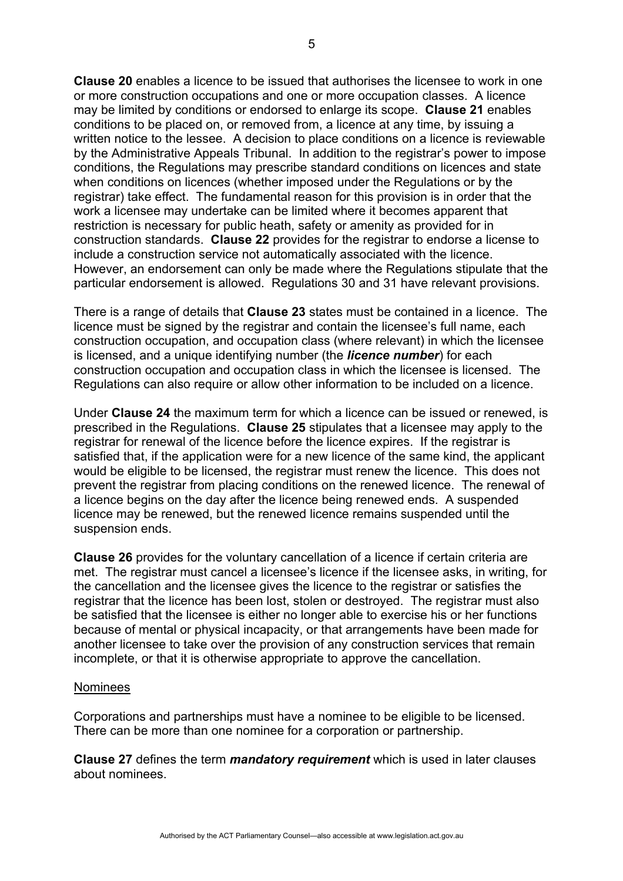**Clause 20** enables a licence to be issued that authorises the licensee to work in one or more construction occupations and one or more occupation classes. A licence may be limited by conditions or endorsed to enlarge its scope. **Clause 21** enables conditions to be placed on, or removed from, a licence at any time, by issuing a written notice to the lessee. A decision to place conditions on a licence is reviewable by the Administrative Appeals Tribunal. In addition to the registrar's power to impose conditions, the Regulations may prescribe standard conditions on licences and state when conditions on licences (whether imposed under the Regulations or by the registrar) take effect. The fundamental reason for this provision is in order that the work a licensee may undertake can be limited where it becomes apparent that restriction is necessary for public heath, safety or amenity as provided for in construction standards. **Clause 22** provides for the registrar to endorse a license to include a construction service not automatically associated with the licence. However, an endorsement can only be made where the Regulations stipulate that the particular endorsement is allowed. Regulations 30 and 31 have relevant provisions.

There is a range of details that **Clause 23** states must be contained in a licence. The licence must be signed by the registrar and contain the licensee's full name, each construction occupation, and occupation class (where relevant) in which the licensee is licensed, and a unique identifying number (the *licence number*) for each construction occupation and occupation class in which the licensee is licensed. The Regulations can also require or allow other information to be included on a licence.

Under **Clause 24** the maximum term for which a licence can be issued or renewed, is prescribed in the Regulations. **Clause 25** stipulates that a licensee may apply to the registrar for renewal of the licence before the licence expires. If the registrar is satisfied that, if the application were for a new licence of the same kind, the applicant would be eligible to be licensed, the registrar must renew the licence. This does not prevent the registrar from placing conditions on the renewed licence. The renewal of a licence begins on the day after the licence being renewed ends. A suspended licence may be renewed, but the renewed licence remains suspended until the suspension ends.

**Clause 26** provides for the voluntary cancellation of a licence if certain criteria are met. The registrar must cancel a licensee's licence if the licensee asks, in writing, for the cancellation and the licensee gives the licence to the registrar or satisfies the registrar that the licence has been lost, stolen or destroyed. The registrar must also be satisfied that the licensee is either no longer able to exercise his or her functions because of mental or physical incapacity, or that arrangements have been made for another licensee to take over the provision of any construction services that remain incomplete, or that it is otherwise appropriate to approve the cancellation.

#### Nominees

Corporations and partnerships must have a nominee to be eligible to be licensed. There can be more than one nominee for a corporation or partnership.

**Clause 27** defines the term *mandatory requirement* which is used in later clauses about nominees.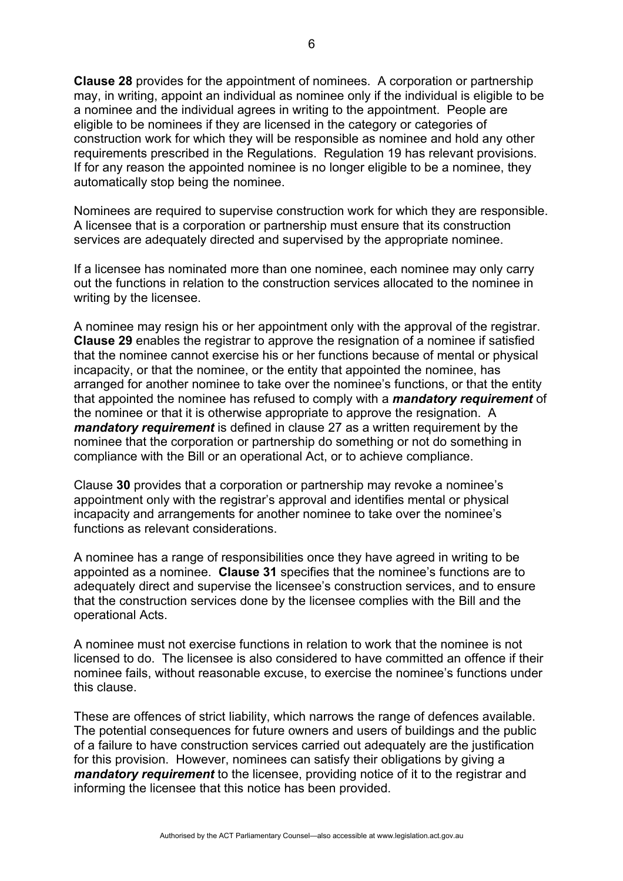**Clause 28** provides for the appointment of nominees. A corporation or partnership may, in writing, appoint an individual as nominee only if the individual is eligible to be a nominee and the individual agrees in writing to the appointment. People are eligible to be nominees if they are licensed in the category or categories of construction work for which they will be responsible as nominee and hold any other requirements prescribed in the Regulations. Regulation 19 has relevant provisions. If for any reason the appointed nominee is no longer eligible to be a nominee, they automatically stop being the nominee.

Nominees are required to supervise construction work for which they are responsible. A licensee that is a corporation or partnership must ensure that its construction services are adequately directed and supervised by the appropriate nominee.

If a licensee has nominated more than one nominee, each nominee may only carry out the functions in relation to the construction services allocated to the nominee in writing by the licensee.

A nominee may resign his or her appointment only with the approval of the registrar. **Clause 29** enables the registrar to approve the resignation of a nominee if satisfied that the nominee cannot exercise his or her functions because of mental or physical incapacity, or that the nominee, or the entity that appointed the nominee, has arranged for another nominee to take over the nominee's functions, or that the entity that appointed the nominee has refused to comply with a *mandatory requirement* of the nominee or that it is otherwise appropriate to approve the resignation. A *mandatory requirement* is defined in clause 27 as a written requirement by the nominee that the corporation or partnership do something or not do something in compliance with the Bill or an operational Act, or to achieve compliance.

Clause **30** provides that a corporation or partnership may revoke a nominee's appointment only with the registrar's approval and identifies mental or physical incapacity and arrangements for another nominee to take over the nominee's functions as relevant considerations.

A nominee has a range of responsibilities once they have agreed in writing to be appointed as a nominee. **Clause 31** specifies that the nominee's functions are to adequately direct and supervise the licensee's construction services, and to ensure that the construction services done by the licensee complies with the Bill and the operational Acts.

A nominee must not exercise functions in relation to work that the nominee is not licensed to do. The licensee is also considered to have committed an offence if their nominee fails, without reasonable excuse, to exercise the nominee's functions under this clause.

These are offences of strict liability, which narrows the range of defences available. The potential consequences for future owners and users of buildings and the public of a failure to have construction services carried out adequately are the justification for this provision. However, nominees can satisfy their obligations by giving a *mandatory requirement* to the licensee, providing notice of it to the registrar and informing the licensee that this notice has been provided.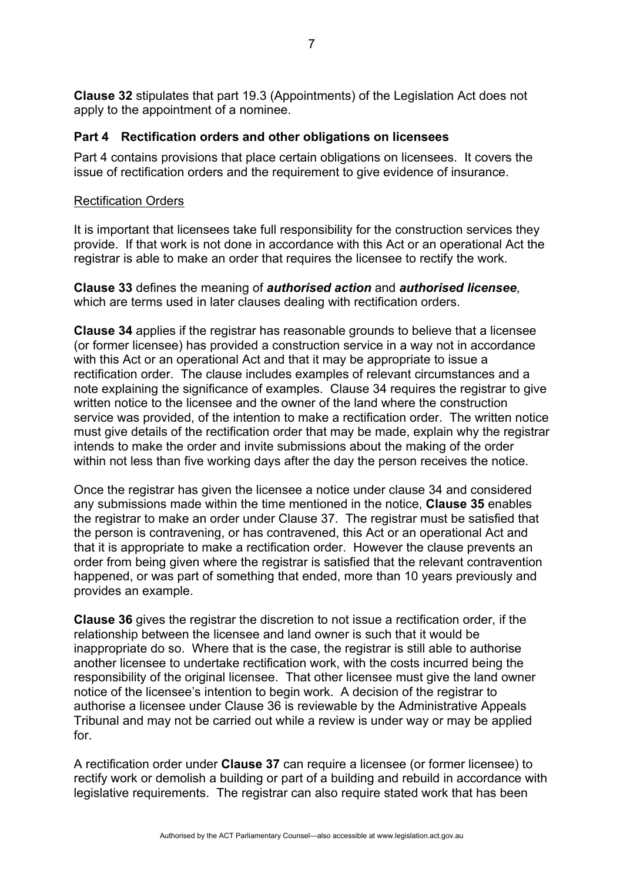**Clause 32** stipulates that part 19.3 (Appointments) of the Legislation Act does not apply to the appointment of a nominee.

# **Part 4 Rectification orders and other obligations on licensees**

Part 4 contains provisions that place certain obligations on licensees. It covers the issue of rectification orders and the requirement to give evidence of insurance.

# Rectification Orders

It is important that licensees take full responsibility for the construction services they provide. If that work is not done in accordance with this Act or an operational Act the registrar is able to make an order that requires the licensee to rectify the work.

**Clause 33** defines the meaning of *authorised action* and *authorised licensee*, which are terms used in later clauses dealing with rectification orders.

**Clause 34** applies if the registrar has reasonable grounds to believe that a licensee (or former licensee) has provided a construction service in a way not in accordance with this Act or an operational Act and that it may be appropriate to issue a rectification order. The clause includes examples of relevant circumstances and a note explaining the significance of examples. Clause 34 requires the registrar to give written notice to the licensee and the owner of the land where the construction service was provided, of the intention to make a rectification order. The written notice must give details of the rectification order that may be made, explain why the registrar intends to make the order and invite submissions about the making of the order within not less than five working days after the day the person receives the notice.

Once the registrar has given the licensee a notice under clause 34 and considered any submissions made within the time mentioned in the notice, **Clause 35** enables the registrar to make an order under Clause 37. The registrar must be satisfied that the person is contravening, or has contravened, this Act or an operational Act and that it is appropriate to make a rectification order. However the clause prevents an order from being given where the registrar is satisfied that the relevant contravention happened, or was part of something that ended, more than 10 years previously and provides an example.

**Clause 36** gives the registrar the discretion to not issue a rectification order, if the relationship between the licensee and land owner is such that it would be inappropriate do so. Where that is the case, the registrar is still able to authorise another licensee to undertake rectification work, with the costs incurred being the responsibility of the original licensee. That other licensee must give the land owner notice of the licensee's intention to begin work. A decision of the registrar to authorise a licensee under Clause 36 is reviewable by the Administrative Appeals Tribunal and may not be carried out while a review is under way or may be applied for.

A rectification order under **Clause 37** can require a licensee (or former licensee) to rectify work or demolish a building or part of a building and rebuild in accordance with legislative requirements. The registrar can also require stated work that has been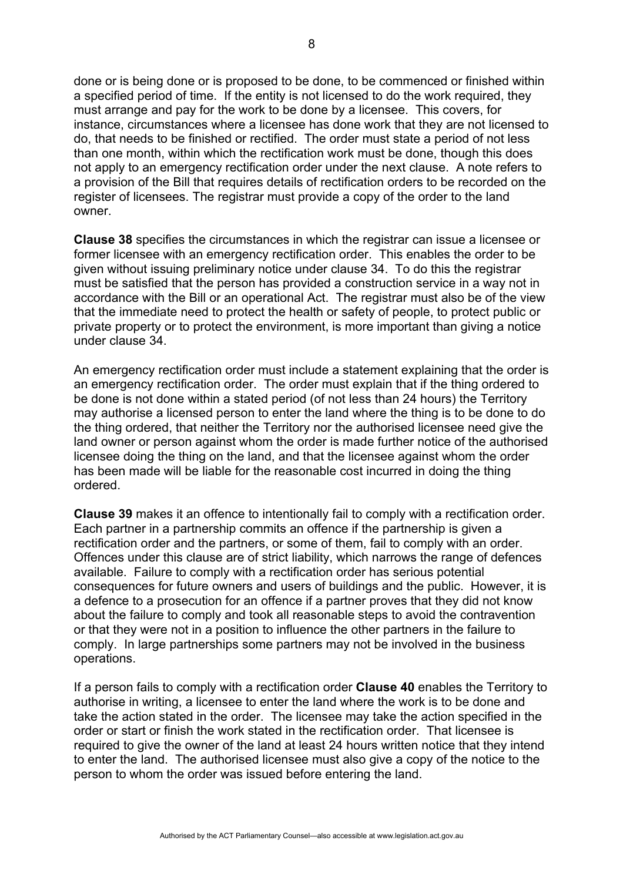done or is being done or is proposed to be done, to be commenced or finished within a specified period of time. If the entity is not licensed to do the work required, they must arrange and pay for the work to be done by a licensee. This covers, for instance, circumstances where a licensee has done work that they are not licensed to do, that needs to be finished or rectified. The order must state a period of not less than one month, within which the rectification work must be done, though this does not apply to an emergency rectification order under the next clause. A note refers to a provision of the Bill that requires details of rectification orders to be recorded on the register of licensees. The registrar must provide a copy of the order to the land owner.

**Clause 38** specifies the circumstances in which the registrar can issue a licensee or former licensee with an emergency rectification order. This enables the order to be given without issuing preliminary notice under clause 34. To do this the registrar must be satisfied that the person has provided a construction service in a way not in accordance with the Bill or an operational Act. The registrar must also be of the view that the immediate need to protect the health or safety of people, to protect public or private property or to protect the environment, is more important than giving a notice under clause 34.

An emergency rectification order must include a statement explaining that the order is an emergency rectification order. The order must explain that if the thing ordered to be done is not done within a stated period (of not less than 24 hours) the Territory may authorise a licensed person to enter the land where the thing is to be done to do the thing ordered, that neither the Territory nor the authorised licensee need give the land owner or person against whom the order is made further notice of the authorised licensee doing the thing on the land, and that the licensee against whom the order has been made will be liable for the reasonable cost incurred in doing the thing ordered.

**Clause 39** makes it an offence to intentionally fail to comply with a rectification order. Each partner in a partnership commits an offence if the partnership is given a rectification order and the partners, or some of them, fail to comply with an order. Offences under this clause are of strict liability, which narrows the range of defences available. Failure to comply with a rectification order has serious potential consequences for future owners and users of buildings and the public. However, it is a defence to a prosecution for an offence if a partner proves that they did not know about the failure to comply and took all reasonable steps to avoid the contravention or that they were not in a position to influence the other partners in the failure to comply. In large partnerships some partners may not be involved in the business operations.

If a person fails to comply with a rectification order **Clause 40** enables the Territory to authorise in writing, a licensee to enter the land where the work is to be done and take the action stated in the order. The licensee may take the action specified in the order or start or finish the work stated in the rectification order. That licensee is required to give the owner of the land at least 24 hours written notice that they intend to enter the land. The authorised licensee must also give a copy of the notice to the person to whom the order was issued before entering the land.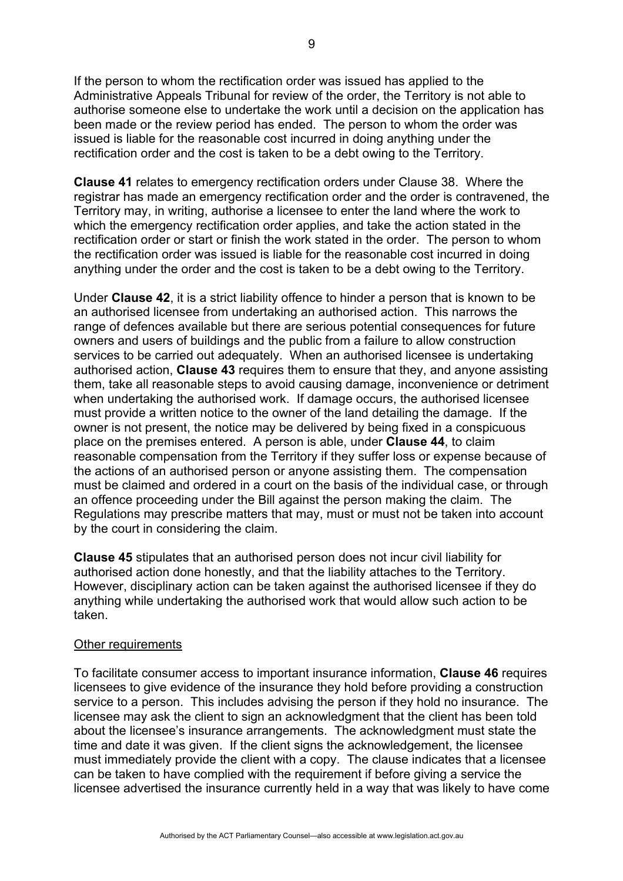If the person to whom the rectification order was issued has applied to the Administrative Appeals Tribunal for review of the order, the Territory is not able to authorise someone else to undertake the work until a decision on the application has been made or the review period has ended. The person to whom the order was issued is liable for the reasonable cost incurred in doing anything under the rectification order and the cost is taken to be a debt owing to the Territory.

**Clause 41** relates to emergency rectification orders under Clause 38. Where the registrar has made an emergency rectification order and the order is contravened, the Territory may, in writing, authorise a licensee to enter the land where the work to which the emergency rectification order applies, and take the action stated in the rectification order or start or finish the work stated in the order. The person to whom the rectification order was issued is liable for the reasonable cost incurred in doing anything under the order and the cost is taken to be a debt owing to the Territory.

Under **Clause 42**, it is a strict liability offence to hinder a person that is known to be an authorised licensee from undertaking an authorised action. This narrows the range of defences available but there are serious potential consequences for future owners and users of buildings and the public from a failure to allow construction services to be carried out adequately. When an authorised licensee is undertaking authorised action, **Clause 43** requires them to ensure that they, and anyone assisting them, take all reasonable steps to avoid causing damage, inconvenience or detriment when undertaking the authorised work. If damage occurs, the authorised licensee must provide a written notice to the owner of the land detailing the damage. If the owner is not present, the notice may be delivered by being fixed in a conspicuous place on the premises entered. A person is able, under **Clause 44**, to claim reasonable compensation from the Territory if they suffer loss or expense because of the actions of an authorised person or anyone assisting them. The compensation must be claimed and ordered in a court on the basis of the individual case, or through an offence proceeding under the Bill against the person making the claim. The Regulations may prescribe matters that may, must or must not be taken into account by the court in considering the claim.

**Clause 45** stipulates that an authorised person does not incur civil liability for authorised action done honestly, and that the liability attaches to the Territory. However, disciplinary action can be taken against the authorised licensee if they do anything while undertaking the authorised work that would allow such action to be taken.

#### Other requirements

To facilitate consumer access to important insurance information, **Clause 46** requires licensees to give evidence of the insurance they hold before providing a construction service to a person. This includes advising the person if they hold no insurance. The licensee may ask the client to sign an acknowledgment that the client has been told about the licensee's insurance arrangements. The acknowledgment must state the time and date it was given. If the client signs the acknowledgement, the licensee must immediately provide the client with a copy. The clause indicates that a licensee can be taken to have complied with the requirement if before giving a service the licensee advertised the insurance currently held in a way that was likely to have come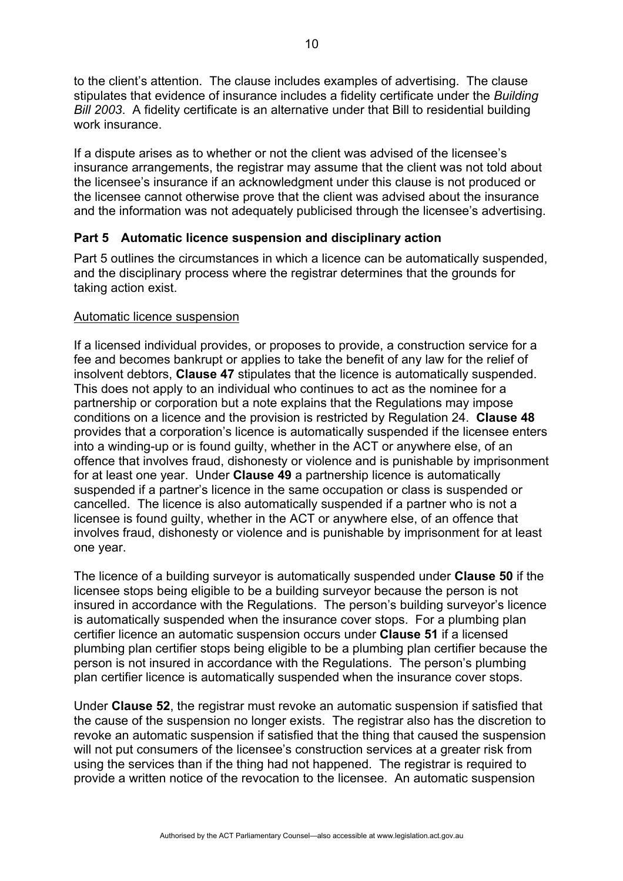to the client's attention. The clause includes examples of advertising. The clause stipulates that evidence of insurance includes a fidelity certificate under the *Building Bill 2003*. A fidelity certificate is an alternative under that Bill to residential building work insurance.

If a dispute arises as to whether or not the client was advised of the licensee's insurance arrangements, the registrar may assume that the client was not told about the licensee's insurance if an acknowledgment under this clause is not produced or the licensee cannot otherwise prove that the client was advised about the insurance and the information was not adequately publicised through the licensee's advertising.

# **Part 5 Automatic licence suspension and disciplinary action**

Part 5 outlines the circumstances in which a licence can be automatically suspended, and the disciplinary process where the registrar determines that the grounds for taking action exist.

## Automatic licence suspension

If a licensed individual provides, or proposes to provide, a construction service for a fee and becomes bankrupt or applies to take the benefit of any law for the relief of insolvent debtors, **Clause 47** stipulates that the licence is automatically suspended. This does not apply to an individual who continues to act as the nominee for a partnership or corporation but a note explains that the Regulations may impose conditions on a licence and the provision is restricted by Regulation 24. **Clause 48** provides that a corporation's licence is automatically suspended if the licensee enters into a winding-up or is found guilty, whether in the ACT or anywhere else, of an offence that involves fraud, dishonesty or violence and is punishable by imprisonment for at least one year. Under **Clause 49** a partnership licence is automatically suspended if a partner's licence in the same occupation or class is suspended or cancelled. The licence is also automatically suspended if a partner who is not a licensee is found guilty, whether in the ACT or anywhere else, of an offence that involves fraud, dishonesty or violence and is punishable by imprisonment for at least one year.

The licence of a building surveyor is automatically suspended under **Clause 50** if the licensee stops being eligible to be a building surveyor because the person is not insured in accordance with the Regulations. The person's building surveyor's licence is automatically suspended when the insurance cover stops. For a plumbing plan certifier licence an automatic suspension occurs under **Clause 51** if a licensed plumbing plan certifier stops being eligible to be a plumbing plan certifier because the person is not insured in accordance with the Regulations. The person's plumbing plan certifier licence is automatically suspended when the insurance cover stops.

Under **Clause 52**, the registrar must revoke an automatic suspension if satisfied that the cause of the suspension no longer exists. The registrar also has the discretion to revoke an automatic suspension if satisfied that the thing that caused the suspension will not put consumers of the licensee's construction services at a greater risk from using the services than if the thing had not happened. The registrar is required to provide a written notice of the revocation to the licensee. An automatic suspension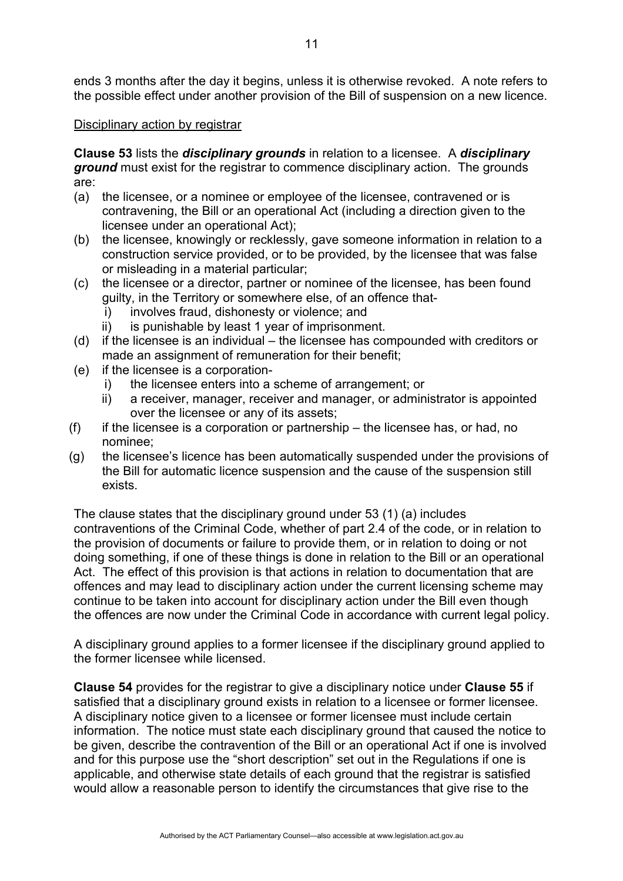ends 3 months after the day it begins, unless it is otherwise revoked. A note refers to the possible effect under another provision of the Bill of suspension on a new licence.

## Disciplinary action by registrar

**Clause 53** lists the *disciplinary grounds* in relation to a licensee. A *disciplinary ground* must exist for the registrar to commence disciplinary action. The grounds are:

- (a) the licensee, or a nominee or employee of the licensee, contravened or is contravening, the Bill or an operational Act (including a direction given to the licensee under an operational Act);
- (b) the licensee, knowingly or recklessly, gave someone information in relation to a construction service provided, or to be provided, by the licensee that was false or misleading in a material particular;
- (c) the licensee or a director, partner or nominee of the licensee, has been found guilty, in the Territory or somewhere else, of an offence that
	- i) involves fraud, dishonesty or violence; and
	- ii) is punishable by least 1 year of imprisonment.
- (d) if the licensee is an individual the licensee has compounded with creditors or made an assignment of remuneration for their benefit;
- (e) if the licensee is a corporation
	- i) the licensee enters into a scheme of arrangement; or
	- ii) a receiver, manager, receiver and manager, or administrator is appointed over the licensee or any of its assets;
- (f) if the licensee is a corporation or partnership the licensee has, or had, no nominee;
- (g) the licensee's licence has been automatically suspended under the provisions of the Bill for automatic licence suspension and the cause of the suspension still exists.

The clause states that the disciplinary ground under 53 (1) (a) includes contraventions of the Criminal Code, whether of part 2.4 of the code, or in relation to the provision of documents or failure to provide them, or in relation to doing or not doing something, if one of these things is done in relation to the Bill or an operational Act. The effect of this provision is that actions in relation to documentation that are offences and may lead to disciplinary action under the current licensing scheme may continue to be taken into account for disciplinary action under the Bill even though the offences are now under the Criminal Code in accordance with current legal policy.

A disciplinary ground applies to a former licensee if the disciplinary ground applied to the former licensee while licensed.

**Clause 54** provides for the registrar to give a disciplinary notice under **Clause 55** if satisfied that a disciplinary ground exists in relation to a licensee or former licensee. A disciplinary notice given to a licensee or former licensee must include certain information. The notice must state each disciplinary ground that caused the notice to be given, describe the contravention of the Bill or an operational Act if one is involved and for this purpose use the "short description" set out in the Regulations if one is applicable, and otherwise state details of each ground that the registrar is satisfied would allow a reasonable person to identify the circumstances that give rise to the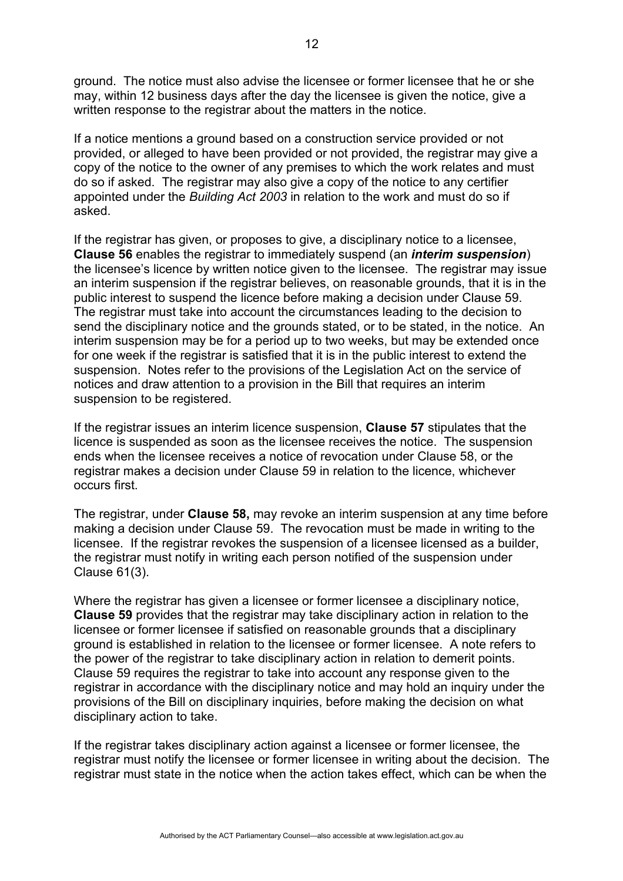ground. The notice must also advise the licensee or former licensee that he or she may, within 12 business days after the day the licensee is given the notice, give a written response to the registrar about the matters in the notice.

If a notice mentions a ground based on a construction service provided or not provided, or alleged to have been provided or not provided, the registrar may give a copy of the notice to the owner of any premises to which the work relates and must do so if asked. The registrar may also give a copy of the notice to any certifier appointed under the *Building Act 2003* in relation to the work and must do so if asked.

If the registrar has given, or proposes to give, a disciplinary notice to a licensee, **Clause 56** enables the registrar to immediately suspend (an *interim suspension*) the licensee's licence by written notice given to the licensee. The registrar may issue an interim suspension if the registrar believes, on reasonable grounds, that it is in the public interest to suspend the licence before making a decision under Clause 59. The registrar must take into account the circumstances leading to the decision to send the disciplinary notice and the grounds stated, or to be stated, in the notice. An interim suspension may be for a period up to two weeks, but may be extended once for one week if the registrar is satisfied that it is in the public interest to extend the suspension. Notes refer to the provisions of the Legislation Act on the service of notices and draw attention to a provision in the Bill that requires an interim suspension to be registered.

If the registrar issues an interim licence suspension, **Clause 57** stipulates that the licence is suspended as soon as the licensee receives the notice. The suspension ends when the licensee receives a notice of revocation under Clause 58, or the registrar makes a decision under Clause 59 in relation to the licence, whichever occurs first.

The registrar, under **Clause 58,** may revoke an interim suspension at any time before making a decision under Clause 59. The revocation must be made in writing to the licensee. If the registrar revokes the suspension of a licensee licensed as a builder, the registrar must notify in writing each person notified of the suspension under Clause 61(3).

Where the registrar has given a licensee or former licensee a disciplinary notice, **Clause 59** provides that the registrar may take disciplinary action in relation to the licensee or former licensee if satisfied on reasonable grounds that a disciplinary ground is established in relation to the licensee or former licensee. A note refers to the power of the registrar to take disciplinary action in relation to demerit points. Clause 59 requires the registrar to take into account any response given to the registrar in accordance with the disciplinary notice and may hold an inquiry under the provisions of the Bill on disciplinary inquiries, before making the decision on what disciplinary action to take.

If the registrar takes disciplinary action against a licensee or former licensee, the registrar must notify the licensee or former licensee in writing about the decision. The registrar must state in the notice when the action takes effect, which can be when the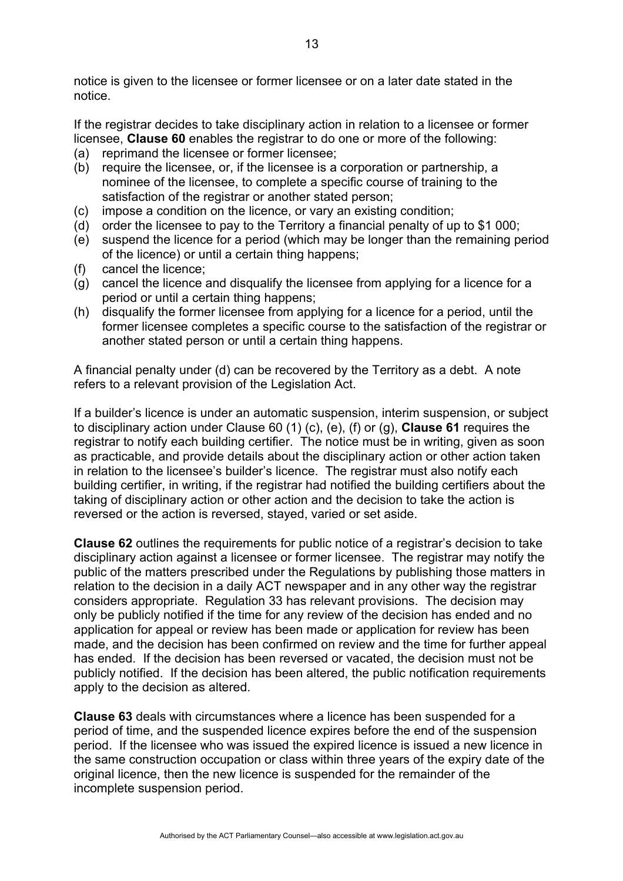notice is given to the licensee or former licensee or on a later date stated in the notice.

If the registrar decides to take disciplinary action in relation to a licensee or former licensee, **Clause 60** enables the registrar to do one or more of the following:

- (a) reprimand the licensee or former licensee;
- (b) require the licensee, or, if the licensee is a corporation or partnership, a nominee of the licensee, to complete a specific course of training to the satisfaction of the registrar or another stated person;
- (c) impose a condition on the licence, or vary an existing condition;
- (d) order the licensee to pay to the Territory a financial penalty of up to \$1 000;
- (e) suspend the licence for a period (which may be longer than the remaining period of the licence) or until a certain thing happens;
- (f) cancel the licence;
- (g) cancel the licence and disqualify the licensee from applying for a licence for a period or until a certain thing happens;
- (h) disqualify the former licensee from applying for a licence for a period, until the former licensee completes a specific course to the satisfaction of the registrar or another stated person or until a certain thing happens.

A financial penalty under (d) can be recovered by the Territory as a debt. A note refers to a relevant provision of the Legislation Act.

If a builder's licence is under an automatic suspension, interim suspension, or subject to disciplinary action under Clause 60 (1) (c), (e), (f) or (g), **Clause 61** requires the registrar to notify each building certifier. The notice must be in writing, given as soon as practicable, and provide details about the disciplinary action or other action taken in relation to the licensee's builder's licence. The registrar must also notify each building certifier, in writing, if the registrar had notified the building certifiers about the taking of disciplinary action or other action and the decision to take the action is reversed or the action is reversed, stayed, varied or set aside.

**Clause 62** outlines the requirements for public notice of a registrar's decision to take disciplinary action against a licensee or former licensee. The registrar may notify the public of the matters prescribed under the Regulations by publishing those matters in relation to the decision in a daily ACT newspaper and in any other way the registrar considers appropriate. Regulation 33 has relevant provisions. The decision may only be publicly notified if the time for any review of the decision has ended and no application for appeal or review has been made or application for review has been made, and the decision has been confirmed on review and the time for further appeal has ended. If the decision has been reversed or vacated, the decision must not be publicly notified. If the decision has been altered, the public notification requirements apply to the decision as altered.

**Clause 63** deals with circumstances where a licence has been suspended for a period of time, and the suspended licence expires before the end of the suspension period. If the licensee who was issued the expired licence is issued a new licence in the same construction occupation or class within three years of the expiry date of the original licence, then the new licence is suspended for the remainder of the incomplete suspension period.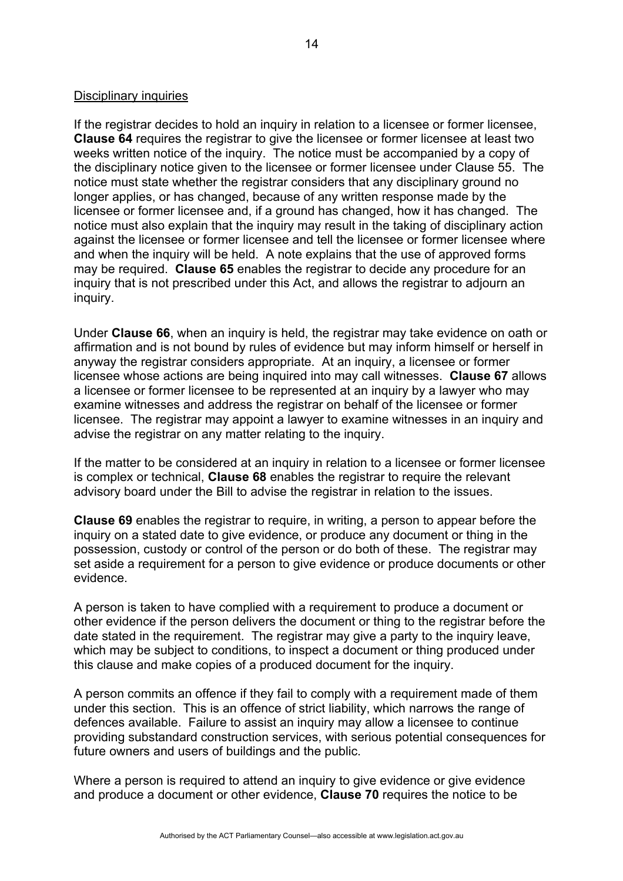## Disciplinary inquiries

If the registrar decides to hold an inquiry in relation to a licensee or former licensee, **Clause 64** requires the registrar to give the licensee or former licensee at least two weeks written notice of the inquiry. The notice must be accompanied by a copy of the disciplinary notice given to the licensee or former licensee under Clause 55. The notice must state whether the registrar considers that any disciplinary ground no longer applies, or has changed, because of any written response made by the licensee or former licensee and, if a ground has changed, how it has changed. The notice must also explain that the inquiry may result in the taking of disciplinary action against the licensee or former licensee and tell the licensee or former licensee where and when the inquiry will be held. A note explains that the use of approved forms may be required. **Clause 65** enables the registrar to decide any procedure for an inquiry that is not prescribed under this Act, and allows the registrar to adjourn an inquiry.

Under **Clause 66**, when an inquiry is held, the registrar may take evidence on oath or affirmation and is not bound by rules of evidence but may inform himself or herself in anyway the registrar considers appropriate. At an inquiry, a licensee or former licensee whose actions are being inquired into may call witnesses. **Clause 67** allows a licensee or former licensee to be represented at an inquiry by a lawyer who may examine witnesses and address the registrar on behalf of the licensee or former licensee. The registrar may appoint a lawyer to examine witnesses in an inquiry and advise the registrar on any matter relating to the inquiry.

If the matter to be considered at an inquiry in relation to a licensee or former licensee is complex or technical, **Clause 68** enables the registrar to require the relevant advisory board under the Bill to advise the registrar in relation to the issues.

**Clause 69** enables the registrar to require, in writing, a person to appear before the inquiry on a stated date to give evidence, or produce any document or thing in the possession, custody or control of the person or do both of these. The registrar may set aside a requirement for a person to give evidence or produce documents or other evidence.

A person is taken to have complied with a requirement to produce a document or other evidence if the person delivers the document or thing to the registrar before the date stated in the requirement. The registrar may give a party to the inquiry leave, which may be subject to conditions, to inspect a document or thing produced under this clause and make copies of a produced document for the inquiry.

A person commits an offence if they fail to comply with a requirement made of them under this section. This is an offence of strict liability, which narrows the range of defences available. Failure to assist an inquiry may allow a licensee to continue providing substandard construction services, with serious potential consequences for future owners and users of buildings and the public.

Where a person is required to attend an inquiry to give evidence or give evidence and produce a document or other evidence, **Clause 70** requires the notice to be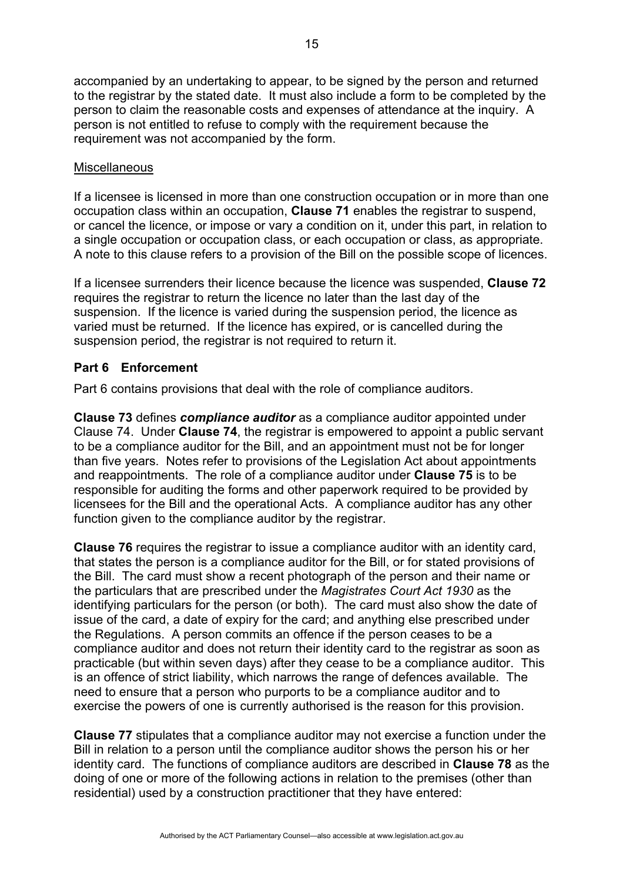accompanied by an undertaking to appear, to be signed by the person and returned to the registrar by the stated date. It must also include a form to be completed by the person to claim the reasonable costs and expenses of attendance at the inquiry. A person is not entitled to refuse to comply with the requirement because the requirement was not accompanied by the form.

### **Miscellaneous**

If a licensee is licensed in more than one construction occupation or in more than one occupation class within an occupation, **Clause 71** enables the registrar to suspend, or cancel the licence, or impose or vary a condition on it, under this part, in relation to a single occupation or occupation class, or each occupation or class, as appropriate. A note to this clause refers to a provision of the Bill on the possible scope of licences.

If a licensee surrenders their licence because the licence was suspended, **Clause 72**  requires the registrar to return the licence no later than the last day of the suspension. If the licence is varied during the suspension period, the licence as varied must be returned. If the licence has expired, or is cancelled during the suspension period, the registrar is not required to return it.

# **Part 6 Enforcement**

Part 6 contains provisions that deal with the role of compliance auditors.

**Clause 73** defines *compliance auditor* as a compliance auditor appointed under Clause 74. Under **Clause 74**, the registrar is empowered to appoint a public servant to be a compliance auditor for the Bill, and an appointment must not be for longer than five years. Notes refer to provisions of the Legislation Act about appointments and reappointments. The role of a compliance auditor under **Clause 75** is to be responsible for auditing the forms and other paperwork required to be provided by licensees for the Bill and the operational Acts. A compliance auditor has any other function given to the compliance auditor by the registrar.

**Clause 76** requires the registrar to issue a compliance auditor with an identity card, that states the person is a compliance auditor for the Bill, or for stated provisions of the Bill. The card must show a recent photograph of the person and their name or the particulars that are prescribed under the *Magistrates Court Act 1930* as the identifying particulars for the person (or both). The card must also show the date of issue of the card, a date of expiry for the card; and anything else prescribed under the Regulations. A person commits an offence if the person ceases to be a compliance auditor and does not return their identity card to the registrar as soon as practicable (but within seven days) after they cease to be a compliance auditor. This is an offence of strict liability, which narrows the range of defences available. The need to ensure that a person who purports to be a compliance auditor and to exercise the powers of one is currently authorised is the reason for this provision.

**Clause 77** stipulates that a compliance auditor may not exercise a function under the Bill in relation to a person until the compliance auditor shows the person his or her identity card. The functions of compliance auditors are described in **Clause 78** as the doing of one or more of the following actions in relation to the premises (other than residential) used by a construction practitioner that they have entered: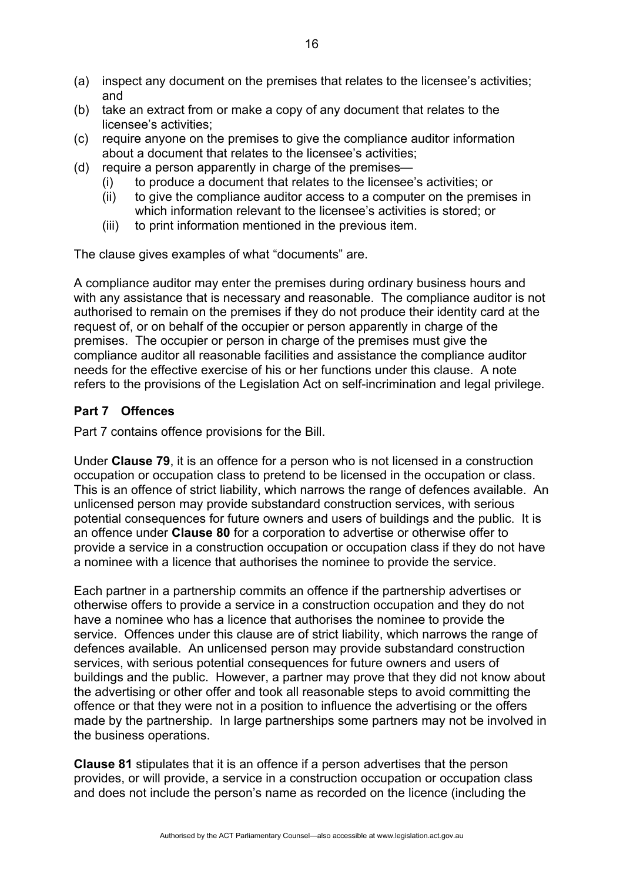- (a) inspect any document on the premises that relates to the licensee's activities; and
- (b) take an extract from or make a copy of any document that relates to the licensee's activities;
- (c) require anyone on the premises to give the compliance auditor information about a document that relates to the licensee's activities;
- (d) require a person apparently in charge of the premises—
	- (i) to produce a document that relates to the licensee's activities; or
	- (ii) to give the compliance auditor access to a computer on the premises in which information relevant to the licensee's activities is stored; or
	- (iii) to print information mentioned in the previous item.

The clause gives examples of what "documents" are.

A compliance auditor may enter the premises during ordinary business hours and with any assistance that is necessary and reasonable. The compliance auditor is not authorised to remain on the premises if they do not produce their identity card at the request of, or on behalf of the occupier or person apparently in charge of the premises. The occupier or person in charge of the premises must give the compliance auditor all reasonable facilities and assistance the compliance auditor needs for the effective exercise of his or her functions under this clause. A note refers to the provisions of the Legislation Act on self-incrimination and legal privilege.

# **Part 7 Offences**

Part 7 contains offence provisions for the Bill.

Under **Clause 79**, it is an offence for a person who is not licensed in a construction occupation or occupation class to pretend to be licensed in the occupation or class. This is an offence of strict liability, which narrows the range of defences available. An unlicensed person may provide substandard construction services, with serious potential consequences for future owners and users of buildings and the public. It is an offence under **Clause 80** for a corporation to advertise or otherwise offer to provide a service in a construction occupation or occupation class if they do not have a nominee with a licence that authorises the nominee to provide the service.

Each partner in a partnership commits an offence if the partnership advertises or otherwise offers to provide a service in a construction occupation and they do not have a nominee who has a licence that authorises the nominee to provide the service. Offences under this clause are of strict liability, which narrows the range of defences available. An unlicensed person may provide substandard construction services, with serious potential consequences for future owners and users of buildings and the public. However, a partner may prove that they did not know about the advertising or other offer and took all reasonable steps to avoid committing the offence or that they were not in a position to influence the advertising or the offers made by the partnership. In large partnerships some partners may not be involved in the business operations.

**Clause 81** stipulates that it is an offence if a person advertises that the person provides, or will provide, a service in a construction occupation or occupation class and does not include the person's name as recorded on the licence (including the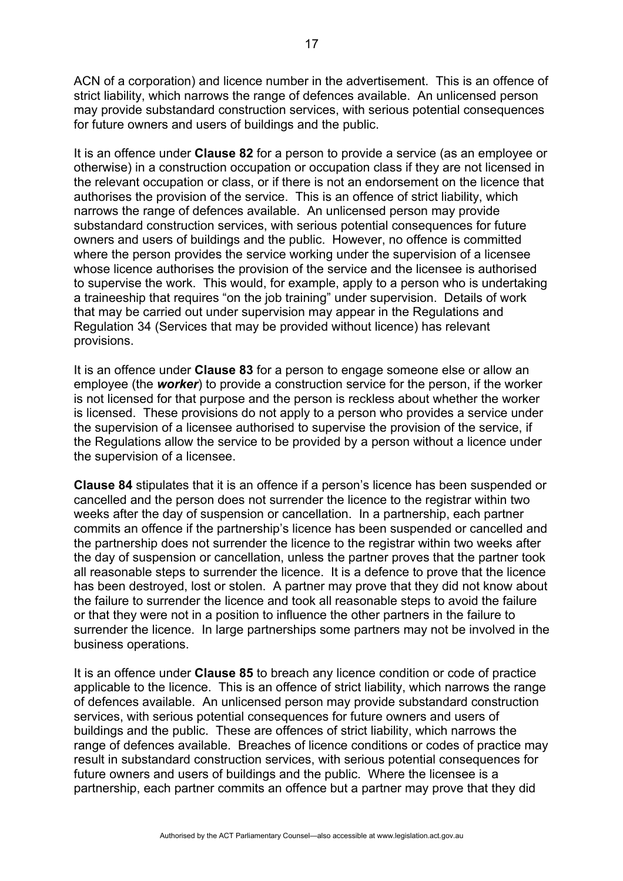ACN of a corporation) and licence number in the advertisement. This is an offence of strict liability, which narrows the range of defences available. An unlicensed person may provide substandard construction services, with serious potential consequences for future owners and users of buildings and the public.

It is an offence under **Clause 82** for a person to provide a service (as an employee or otherwise) in a construction occupation or occupation class if they are not licensed in the relevant occupation or class, or if there is not an endorsement on the licence that authorises the provision of the service. This is an offence of strict liability, which narrows the range of defences available. An unlicensed person may provide substandard construction services, with serious potential consequences for future owners and users of buildings and the public. However, no offence is committed where the person provides the service working under the supervision of a licensee whose licence authorises the provision of the service and the licensee is authorised to supervise the work. This would, for example, apply to a person who is undertaking a traineeship that requires "on the job training" under supervision. Details of work that may be carried out under supervision may appear in the Regulations and Regulation 34 (Services that may be provided without licence) has relevant provisions.

It is an offence under **Clause 83** for a person to engage someone else or allow an employee (the *worker*) to provide a construction service for the person, if the worker is not licensed for that purpose and the person is reckless about whether the worker is licensed. These provisions do not apply to a person who provides a service under the supervision of a licensee authorised to supervise the provision of the service, if the Regulations allow the service to be provided by a person without a licence under the supervision of a licensee.

**Clause 84** stipulates that it is an offence if a person's licence has been suspended or cancelled and the person does not surrender the licence to the registrar within two weeks after the day of suspension or cancellation. In a partnership, each partner commits an offence if the partnership's licence has been suspended or cancelled and the partnership does not surrender the licence to the registrar within two weeks after the day of suspension or cancellation, unless the partner proves that the partner took all reasonable steps to surrender the licence. It is a defence to prove that the licence has been destroyed, lost or stolen. A partner may prove that they did not know about the failure to surrender the licence and took all reasonable steps to avoid the failure or that they were not in a position to influence the other partners in the failure to surrender the licence. In large partnerships some partners may not be involved in the business operations.

It is an offence under **Clause 85** to breach any licence condition or code of practice applicable to the licence. This is an offence of strict liability, which narrows the range of defences available. An unlicensed person may provide substandard construction services, with serious potential consequences for future owners and users of buildings and the public. These are offences of strict liability, which narrows the range of defences available. Breaches of licence conditions or codes of practice may result in substandard construction services, with serious potential consequences for future owners and users of buildings and the public. Where the licensee is a partnership, each partner commits an offence but a partner may prove that they did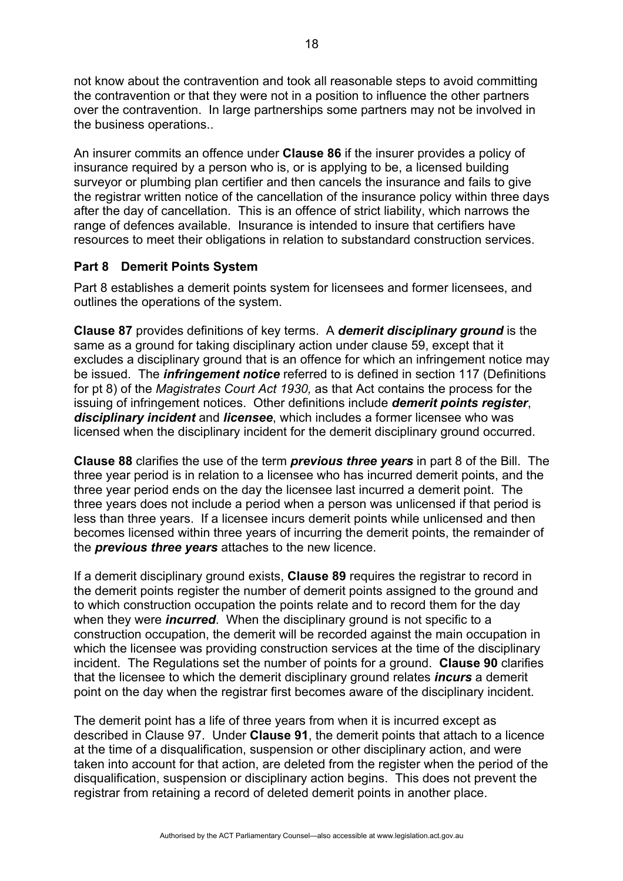not know about the contravention and took all reasonable steps to avoid committing the contravention or that they were not in a position to influence the other partners over the contravention. In large partnerships some partners may not be involved in the business operations..

An insurer commits an offence under **Clause 86** if the insurer provides a policy of insurance required by a person who is, or is applying to be, a licensed building surveyor or plumbing plan certifier and then cancels the insurance and fails to give the registrar written notice of the cancellation of the insurance policy within three days after the day of cancellation. This is an offence of strict liability, which narrows the range of defences available. Insurance is intended to insure that certifiers have resources to meet their obligations in relation to substandard construction services.

# **Part 8 Demerit Points System**

Part 8 establishes a demerit points system for licensees and former licensees, and outlines the operations of the system.

**Clause 87** provides definitions of key terms. A *demerit disciplinary ground* is the same as a ground for taking disciplinary action under clause 59, except that it excludes a disciplinary ground that is an offence for which an infringement notice may be issued. The *infringement notice* referred to is defined in section 117 (Definitions for pt 8) of the *Magistrates Court Act 1930,* as that Act contains the process for the issuing of infringement notices. Other definitions include *demerit points register*, *disciplinary incident* and *licensee*, which includes a former licensee who was licensed when the disciplinary incident for the demerit disciplinary ground occurred.

**Clause 88** clarifies the use of the term *previous three years* in part 8 of the Bill. The three year period is in relation to a licensee who has incurred demerit points, and the three year period ends on the day the licensee last incurred a demerit point. The three years does not include a period when a person was unlicensed if that period is less than three years. If a licensee incurs demerit points while unlicensed and then becomes licensed within three years of incurring the demerit points, the remainder of the *previous three years* attaches to the new licence.

If a demerit disciplinary ground exists, **Clause 89** requires the registrar to record in the demerit points register the number of demerit points assigned to the ground and to which construction occupation the points relate and to record them for the day when they were *incurred*. When the disciplinary ground is not specific to a construction occupation, the demerit will be recorded against the main occupation in which the licensee was providing construction services at the time of the disciplinary incident. The Regulations set the number of points for a ground. **Clause 90** clarifies that the licensee to which the demerit disciplinary ground relates *incurs* a demerit point on the day when the registrar first becomes aware of the disciplinary incident.

The demerit point has a life of three years from when it is incurred except as described in Clause 97. Under **Clause 91**, the demerit points that attach to a licence at the time of a disqualification, suspension or other disciplinary action, and were taken into account for that action, are deleted from the register when the period of the disqualification, suspension or disciplinary action begins. This does not prevent the registrar from retaining a record of deleted demerit points in another place.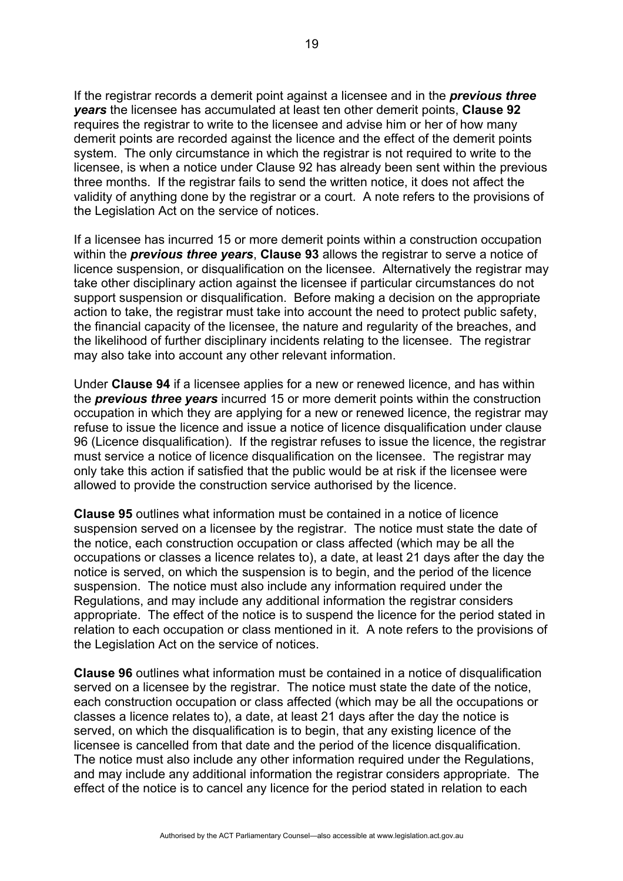If the registrar records a demerit point against a licensee and in the *previous three years* the licensee has accumulated at least ten other demerit points, **Clause 92**  requires the registrar to write to the licensee and advise him or her of how many demerit points are recorded against the licence and the effect of the demerit points system. The only circumstance in which the registrar is not required to write to the licensee, is when a notice under Clause 92 has already been sent within the previous three months. If the registrar fails to send the written notice, it does not affect the validity of anything done by the registrar or a court. A note refers to the provisions of the Legislation Act on the service of notices.

If a licensee has incurred 15 or more demerit points within a construction occupation within the *previous three years*, **Clause 93** allows the registrar to serve a notice of licence suspension, or disqualification on the licensee. Alternatively the registrar may take other disciplinary action against the licensee if particular circumstances do not support suspension or disqualification. Before making a decision on the appropriate action to take, the registrar must take into account the need to protect public safety, the financial capacity of the licensee, the nature and regularity of the breaches, and the likelihood of further disciplinary incidents relating to the licensee. The registrar may also take into account any other relevant information.

Under **Clause 94** if a licensee applies for a new or renewed licence, and has within the *previous three years* incurred 15 or more demerit points within the construction occupation in which they are applying for a new or renewed licence, the registrar may refuse to issue the licence and issue a notice of licence disqualification under clause 96 (Licence disqualification). If the registrar refuses to issue the licence, the registrar must service a notice of licence disqualification on the licensee. The registrar may only take this action if satisfied that the public would be at risk if the licensee were allowed to provide the construction service authorised by the licence.

**Clause 95** outlines what information must be contained in a notice of licence suspension served on a licensee by the registrar. The notice must state the date of the notice, each construction occupation or class affected (which may be all the occupations or classes a licence relates to), a date, at least 21 days after the day the notice is served, on which the suspension is to begin, and the period of the licence suspension. The notice must also include any information required under the Regulations, and may include any additional information the registrar considers appropriate. The effect of the notice is to suspend the licence for the period stated in relation to each occupation or class mentioned in it. A note refers to the provisions of the Legislation Act on the service of notices.

**Clause 96** outlines what information must be contained in a notice of disqualification served on a licensee by the registrar. The notice must state the date of the notice, each construction occupation or class affected (which may be all the occupations or classes a licence relates to), a date, at least 21 days after the day the notice is served, on which the disqualification is to begin, that any existing licence of the licensee is cancelled from that date and the period of the licence disqualification. The notice must also include any other information required under the Regulations, and may include any additional information the registrar considers appropriate. The effect of the notice is to cancel any licence for the period stated in relation to each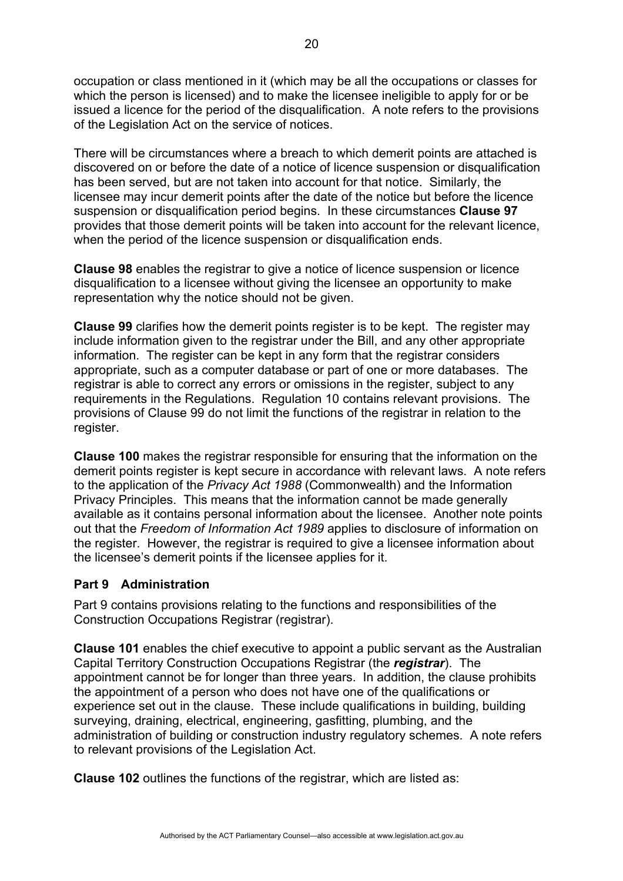occupation or class mentioned in it (which may be all the occupations or classes for which the person is licensed) and to make the licensee ineligible to apply for or be issued a licence for the period of the disqualification. A note refers to the provisions of the Legislation Act on the service of notices.

There will be circumstances where a breach to which demerit points are attached is discovered on or before the date of a notice of licence suspension or disqualification has been served, but are not taken into account for that notice. Similarly, the licensee may incur demerit points after the date of the notice but before the licence suspension or disqualification period begins. In these circumstances **Clause 97** provides that those demerit points will be taken into account for the relevant licence, when the period of the licence suspension or disqualification ends.

**Clause 98** enables the registrar to give a notice of licence suspension or licence disqualification to a licensee without giving the licensee an opportunity to make representation why the notice should not be given.

**Clause 99** clarifies how the demerit points register is to be kept. The register may include information given to the registrar under the Bill, and any other appropriate information. The register can be kept in any form that the registrar considers appropriate, such as a computer database or part of one or more databases. The registrar is able to correct any errors or omissions in the register, subject to any requirements in the Regulations. Regulation 10 contains relevant provisions. The provisions of Clause 99 do not limit the functions of the registrar in relation to the register.

**Clause 100** makes the registrar responsible for ensuring that the information on the demerit points register is kept secure in accordance with relevant laws. A note refers to the application of the *Privacy Act 1988* (Commonwealth) and the Information Privacy Principles. This means that the information cannot be made generally available as it contains personal information about the licensee. Another note points out that the *Freedom of Information Act 1989* applies to disclosure of information on the register. However, the registrar is required to give a licensee information about the licensee's demerit points if the licensee applies for it.

## **Part 9 Administration**

Part 9 contains provisions relating to the functions and responsibilities of the Construction Occupations Registrar (registrar).

**Clause 101** enables the chief executive to appoint a public servant as the Australian Capital Territory Construction Occupations Registrar (the *registrar*). The appointment cannot be for longer than three years. In addition, the clause prohibits the appointment of a person who does not have one of the qualifications or experience set out in the clause. These include qualifications in building, building surveying, draining, electrical, engineering, gasfitting, plumbing, and the administration of building or construction industry regulatory schemes. A note refers to relevant provisions of the Legislation Act.

**Clause 102** outlines the functions of the registrar, which are listed as: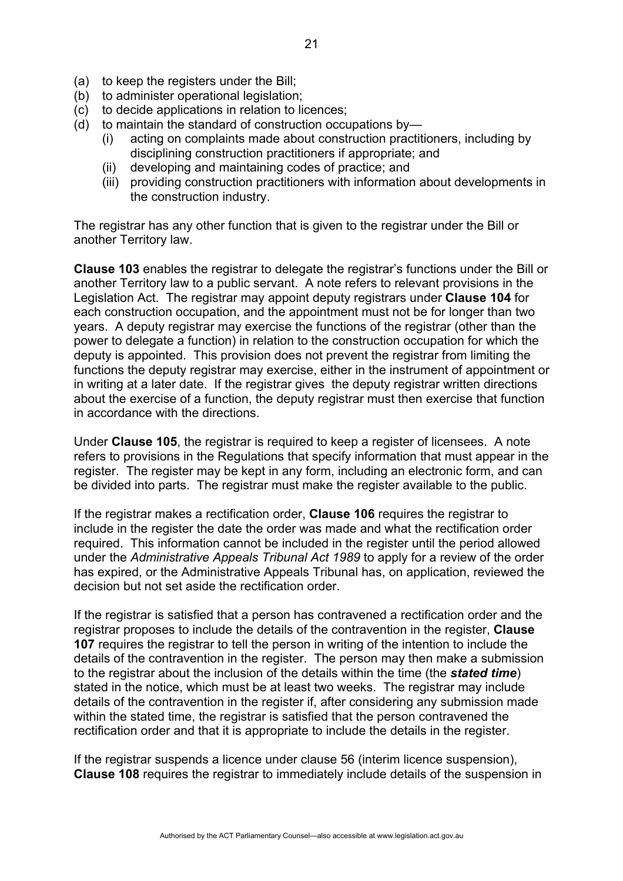- (a) to keep the registers under the Bill;
- (b) to administer operational legislation;
- (c) to decide applications in relation to licences;
- (d) to maintain the standard of construction occupations by—
	- (i) acting on complaints made about construction practitioners, including by disciplining construction practitioners if appropriate; and
	- (ii) developing and maintaining codes of practice; and
	- (iii) providing construction practitioners with information about developments in the construction industry.

The registrar has any other function that is given to the registrar under the Bill or another Territory law.

**Clause 103** enables the registrar to delegate the registrar's functions under the Bill or another Territory law to a public servant. A note refers to relevant provisions in the Legislation Act. The registrar may appoint deputy registrars under **Clause 104** for each construction occupation, and the appointment must not be for longer than two years. A deputy registrar may exercise the functions of the registrar (other than the power to delegate a function) in relation to the construction occupation for which the deputy is appointed. This provision does not prevent the registrar from limiting the functions the deputy registrar may exercise, either in the instrument of appointment or in writing at a later date. If the registrar gives the deputy registrar written directions about the exercise of a function, the deputy registrar must then exercise that function in accordance with the directions.

Under **Clause 105**, the registrar is required to keep a register of licensees. A note refers to provisions in the Regulations that specify information that must appear in the register. The register may be kept in any form, including an electronic form, and can be divided into parts. The registrar must make the register available to the public.

If the registrar makes a rectification order, **Clause 106** requires the registrar to include in the register the date the order was made and what the rectification order required. This information cannot be included in the register until the period allowed under the *Administrative Appeals Tribunal Act 1989* to apply for a review of the order has expired, or the Administrative Appeals Tribunal has, on application, reviewed the decision but not set aside the rectification order.

If the registrar is satisfied that a person has contravened a rectification order and the registrar proposes to include the details of the contravention in the register, **Clause 107** requires the registrar to tell the person in writing of the intention to include the details of the contravention in the register. The person may then make a submission to the registrar about the inclusion of the details within the time (the *stated time*) stated in the notice, which must be at least two weeks. The registrar may include details of the contravention in the register if, after considering any submission made within the stated time, the registrar is satisfied that the person contravened the rectification order and that it is appropriate to include the details in the register.

If the registrar suspends a licence under clause 56 (interim licence suspension), **Clause 108** requires the registrar to immediately include details of the suspension in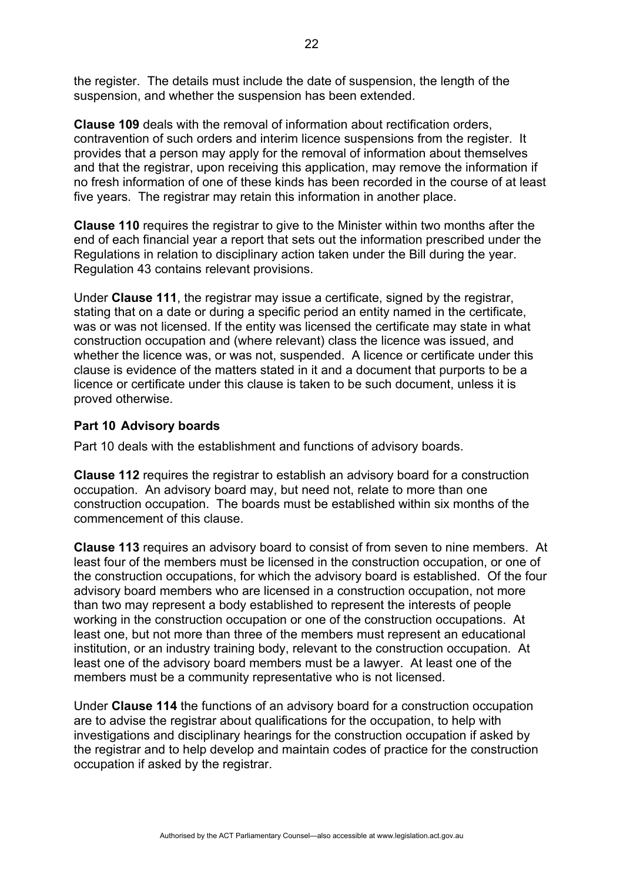the register. The details must include the date of suspension, the length of the suspension, and whether the suspension has been extended.

**Clause 109** deals with the removal of information about rectification orders, contravention of such orders and interim licence suspensions from the register. It provides that a person may apply for the removal of information about themselves and that the registrar, upon receiving this application, may remove the information if no fresh information of one of these kinds has been recorded in the course of at least five years. The registrar may retain this information in another place.

**Clause 110** requires the registrar to give to the Minister within two months after the end of each financial year a report that sets out the information prescribed under the Regulations in relation to disciplinary action taken under the Bill during the year. Regulation 43 contains relevant provisions.

Under **Clause 111**, the registrar may issue a certificate, signed by the registrar, stating that on a date or during a specific period an entity named in the certificate, was or was not licensed. If the entity was licensed the certificate may state in what construction occupation and (where relevant) class the licence was issued, and whether the licence was, or was not, suspended. A licence or certificate under this clause is evidence of the matters stated in it and a document that purports to be a licence or certificate under this clause is taken to be such document, unless it is proved otherwise.

## **Part 10 Advisory boards**

Part 10 deals with the establishment and functions of advisory boards.

**Clause 112** requires the registrar to establish an advisory board for a construction occupation. An advisory board may, but need not, relate to more than one construction occupation. The boards must be established within six months of the commencement of this clause.

**Clause 113** requires an advisory board to consist of from seven to nine members. At least four of the members must be licensed in the construction occupation, or one of the construction occupations, for which the advisory board is established. Of the four advisory board members who are licensed in a construction occupation, not more than two may represent a body established to represent the interests of people working in the construction occupation or one of the construction occupations. At least one, but not more than three of the members must represent an educational institution, or an industry training body, relevant to the construction occupation. At least one of the advisory board members must be a lawyer. At least one of the members must be a community representative who is not licensed.

Under **Clause 114** the functions of an advisory board for a construction occupation are to advise the registrar about qualifications for the occupation, to help with investigations and disciplinary hearings for the construction occupation if asked by the registrar and to help develop and maintain codes of practice for the construction occupation if asked by the registrar.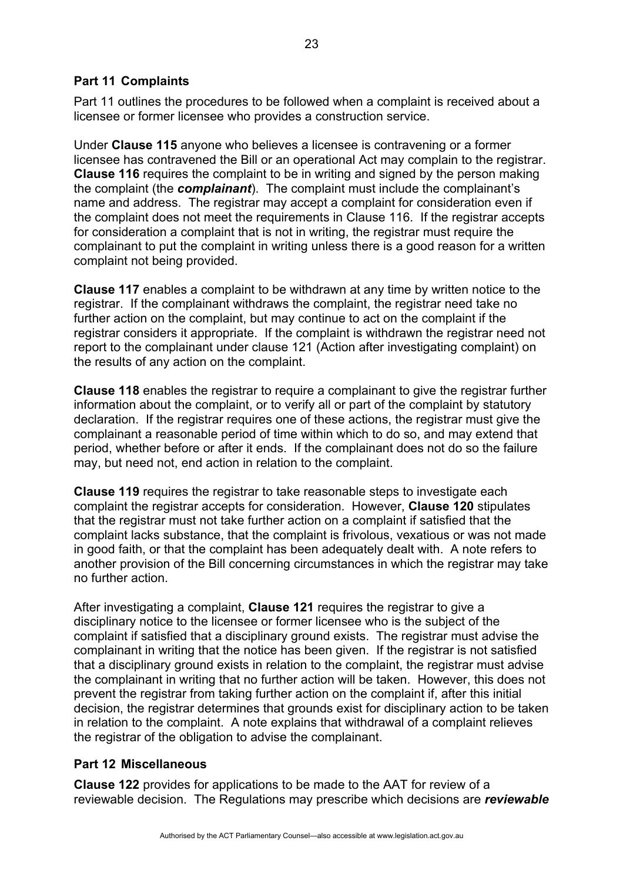# **Part 11 Complaints**

Part 11 outlines the procedures to be followed when a complaint is received about a licensee or former licensee who provides a construction service.

Under **Clause 115** anyone who believes a licensee is contravening or a former licensee has contravened the Bill or an operational Act may complain to the registrar. **Clause 116** requires the complaint to be in writing and signed by the person making the complaint (the *complainant*). The complaint must include the complainant's name and address. The registrar may accept a complaint for consideration even if the complaint does not meet the requirements in Clause 116. If the registrar accepts for consideration a complaint that is not in writing, the registrar must require the complainant to put the complaint in writing unless there is a good reason for a written complaint not being provided.

**Clause 117** enables a complaint to be withdrawn at any time by written notice to the registrar. If the complainant withdraws the complaint, the registrar need take no further action on the complaint, but may continue to act on the complaint if the registrar considers it appropriate. If the complaint is withdrawn the registrar need not report to the complainant under clause 121 (Action after investigating complaint) on the results of any action on the complaint.

**Clause 118** enables the registrar to require a complainant to give the registrar further information about the complaint, or to verify all or part of the complaint by statutory declaration. If the registrar requires one of these actions, the registrar must give the complainant a reasonable period of time within which to do so, and may extend that period, whether before or after it ends. If the complainant does not do so the failure may, but need not, end action in relation to the complaint.

**Clause 119** requires the registrar to take reasonable steps to investigate each complaint the registrar accepts for consideration. However, **Clause 120** stipulates that the registrar must not take further action on a complaint if satisfied that the complaint lacks substance, that the complaint is frivolous, vexatious or was not made in good faith, or that the complaint has been adequately dealt with. A note refers to another provision of the Bill concerning circumstances in which the registrar may take no further action.

After investigating a complaint, **Clause 121** requires the registrar to give a disciplinary notice to the licensee or former licensee who is the subject of the complaint if satisfied that a disciplinary ground exists. The registrar must advise the complainant in writing that the notice has been given. If the registrar is not satisfied that a disciplinary ground exists in relation to the complaint, the registrar must advise the complainant in writing that no further action will be taken. However, this does not prevent the registrar from taking further action on the complaint if, after this initial decision, the registrar determines that grounds exist for disciplinary action to be taken in relation to the complaint. A note explains that withdrawal of a complaint relieves the registrar of the obligation to advise the complainant.

## **Part 12 Miscellaneous**

**Clause 122** provides for applications to be made to the AAT for review of a reviewable decision. The Regulations may prescribe which decisions are *reviewable*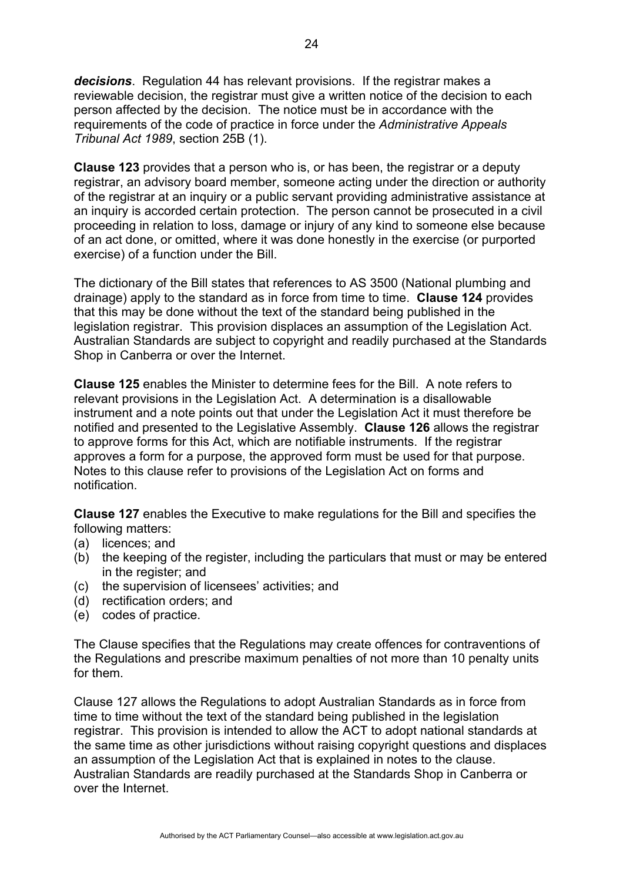*decisions*. Regulation 44 has relevant provisions. If the registrar makes a reviewable decision, the registrar must give a written notice of the decision to each person affected by the decision. The notice must be in accordance with the requirements of the code of practice in force under the *Administrative Appeals Tribunal Act 1989*, section 25B (1).

**Clause 123** provides that a person who is, or has been, the registrar or a deputy registrar, an advisory board member, someone acting under the direction or authority of the registrar at an inquiry or a public servant providing administrative assistance at an inquiry is accorded certain protection. The person cannot be prosecuted in a civil proceeding in relation to loss, damage or injury of any kind to someone else because of an act done, or omitted, where it was done honestly in the exercise (or purported exercise) of a function under the Bill.

The dictionary of the Bill states that references to AS 3500 (National plumbing and drainage) apply to the standard as in force from time to time. **Clause 124** provides that this may be done without the text of the standard being published in the legislation registrar. This provision displaces an assumption of the Legislation Act. Australian Standards are subject to copyright and readily purchased at the Standards Shop in Canberra or over the Internet.

**Clause 125** enables the Minister to determine fees for the Bill. A note refers to relevant provisions in the Legislation Act. A determination is a disallowable instrument and a note points out that under the Legislation Act it must therefore be notified and presented to the Legislative Assembly. **Clause 126** allows the registrar to approve forms for this Act, which are notifiable instruments. If the registrar approves a form for a purpose, the approved form must be used for that purpose. Notes to this clause refer to provisions of the Legislation Act on forms and notification.

**Clause 127** enables the Executive to make regulations for the Bill and specifies the following matters:

- (a) licences; and
- (b) the keeping of the register, including the particulars that must or may be entered in the register; and
- (c) the supervision of licensees' activities; and
- (d) rectification orders; and
- (e) codes of practice.

The Clause specifies that the Regulations may create offences for contraventions of the Regulations and prescribe maximum penalties of not more than 10 penalty units for them.

Clause 127 allows the Regulations to adopt Australian Standards as in force from time to time without the text of the standard being published in the legislation registrar. This provision is intended to allow the ACT to adopt national standards at the same time as other jurisdictions without raising copyright questions and displaces an assumption of the Legislation Act that is explained in notes to the clause. Australian Standards are readily purchased at the Standards Shop in Canberra or over the Internet.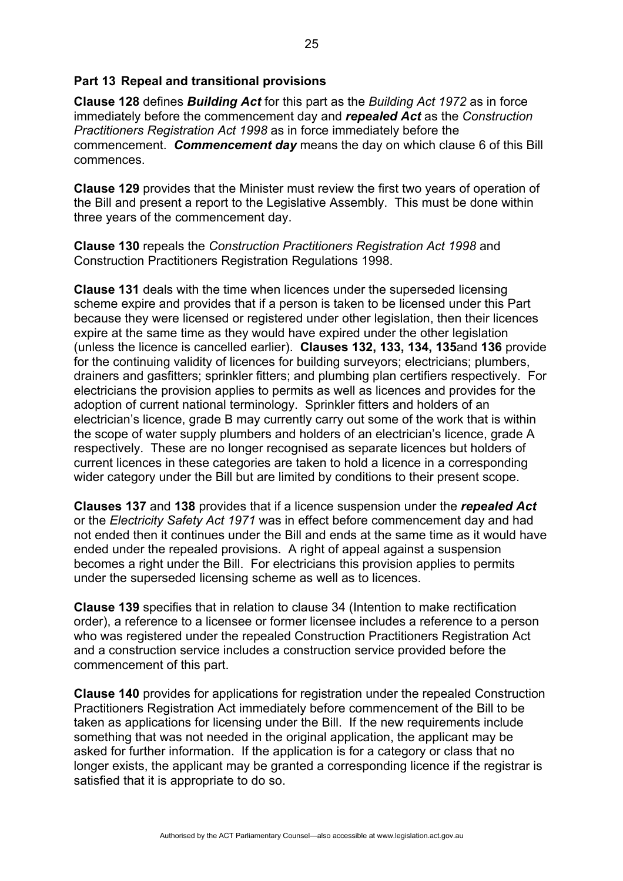## **Part 13 Repeal and transitional provisions**

**Clause 128** defines *Building Act* for this part as the *Building Act 1972* as in force immediately before the commencement day and *repealed Act* as the *Construction Practitioners Registration Act 1998* as in force immediately before the commencement. *Commencement day* means the day on which clause 6 of this Bill commences.

**Clause 129** provides that the Minister must review the first two years of operation of the Bill and present a report to the Legislative Assembly. This must be done within three years of the commencement day.

**Clause 130** repeals the *Construction Practitioners Registration Act 1998* and Construction Practitioners Registration Regulations 1998.

**Clause 131** deals with the time when licences under the superseded licensing scheme expire and provides that if a person is taken to be licensed under this Part because they were licensed or registered under other legislation, then their licences expire at the same time as they would have expired under the other legislation (unless the licence is cancelled earlier). **Clauses 132, 133, 134, 135**and **136** provide for the continuing validity of licences for building surveyors; electricians; plumbers, drainers and gasfitters; sprinkler fitters; and plumbing plan certifiers respectively. For electricians the provision applies to permits as well as licences and provides for the adoption of current national terminology. Sprinkler fitters and holders of an electrician's licence, grade B may currently carry out some of the work that is within the scope of water supply plumbers and holders of an electrician's licence, grade A respectively. These are no longer recognised as separate licences but holders of current licences in these categories are taken to hold a licence in a corresponding wider category under the Bill but are limited by conditions to their present scope.

**Clauses 137** and **138** provides that if a licence suspension under the *repealed Act* or the *Electricity Safety Act 1971* was in effect before commencement day and had not ended then it continues under the Bill and ends at the same time as it would have ended under the repealed provisions. A right of appeal against a suspension becomes a right under the Bill. For electricians this provision applies to permits under the superseded licensing scheme as well as to licences.

**Clause 139** specifies that in relation to clause 34 (Intention to make rectification order), a reference to a licensee or former licensee includes a reference to a person who was registered under the repealed Construction Practitioners Registration Act and a construction service includes a construction service provided before the commencement of this part.

**Clause 140** provides for applications for registration under the repealed Construction Practitioners Registration Act immediately before commencement of the Bill to be taken as applications for licensing under the Bill. If the new requirements include something that was not needed in the original application, the applicant may be asked for further information. If the application is for a category or class that no longer exists, the applicant may be granted a corresponding licence if the registrar is satisfied that it is appropriate to do so.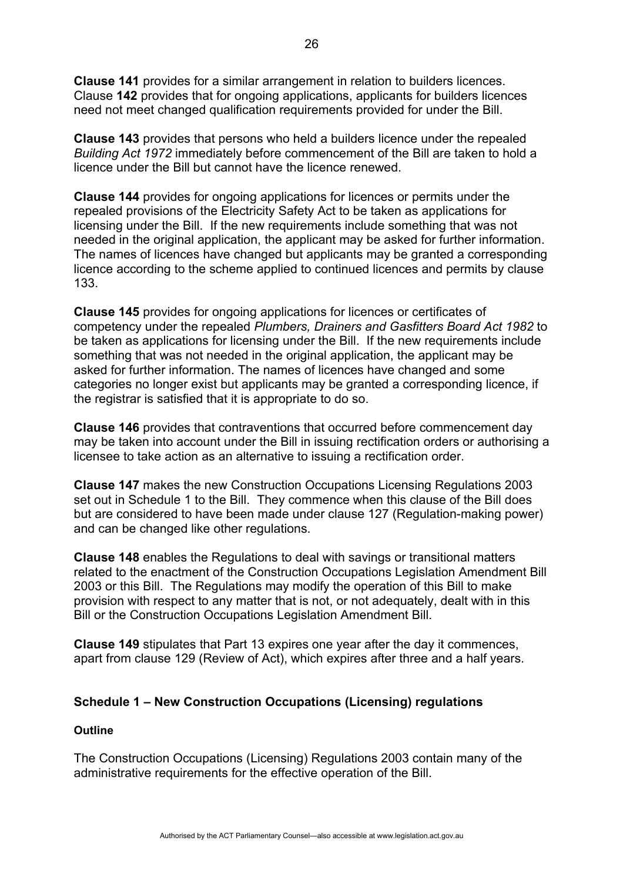**Clause 141** provides for a similar arrangement in relation to builders licences. Clause **142** provides that for ongoing applications, applicants for builders licences need not meet changed qualification requirements provided for under the Bill.

**Clause 143** provides that persons who held a builders licence under the repealed *Building Act 1972* immediately before commencement of the Bill are taken to hold a licence under the Bill but cannot have the licence renewed.

**Clause 144** provides for ongoing applications for licences or permits under the repealed provisions of the Electricity Safety Act to be taken as applications for licensing under the Bill. If the new requirements include something that was not needed in the original application, the applicant may be asked for further information. The names of licences have changed but applicants may be granted a corresponding licence according to the scheme applied to continued licences and permits by clause 133.

**Clause 145** provides for ongoing applications for licences or certificates of competency under the repealed *Plumbers, Drainers and Gasfitters Board Act 1982* to be taken as applications for licensing under the Bill. If the new requirements include something that was not needed in the original application, the applicant may be asked for further information. The names of licences have changed and some categories no longer exist but applicants may be granted a corresponding licence, if the registrar is satisfied that it is appropriate to do so.

**Clause 146** provides that contraventions that occurred before commencement day may be taken into account under the Bill in issuing rectification orders or authorising a licensee to take action as an alternative to issuing a rectification order.

**Clause 147** makes the new Construction Occupations Licensing Regulations 2003 set out in Schedule 1 to the Bill. They commence when this clause of the Bill does but are considered to have been made under clause 127 (Regulation-making power) and can be changed like other regulations.

**Clause 148** enables the Regulations to deal with savings or transitional matters related to the enactment of the Construction Occupations Legislation Amendment Bill 2003 or this Bill. The Regulations may modify the operation of this Bill to make provision with respect to any matter that is not, or not adequately, dealt with in this Bill or the Construction Occupations Legislation Amendment Bill.

**Clause 149** stipulates that Part 13 expires one year after the day it commences, apart from clause 129 (Review of Act), which expires after three and a half years.

# **Schedule 1 – New Construction Occupations (Licensing) regulations**

#### **Outline**

The Construction Occupations (Licensing) Regulations 2003 contain many of the administrative requirements for the effective operation of the Bill.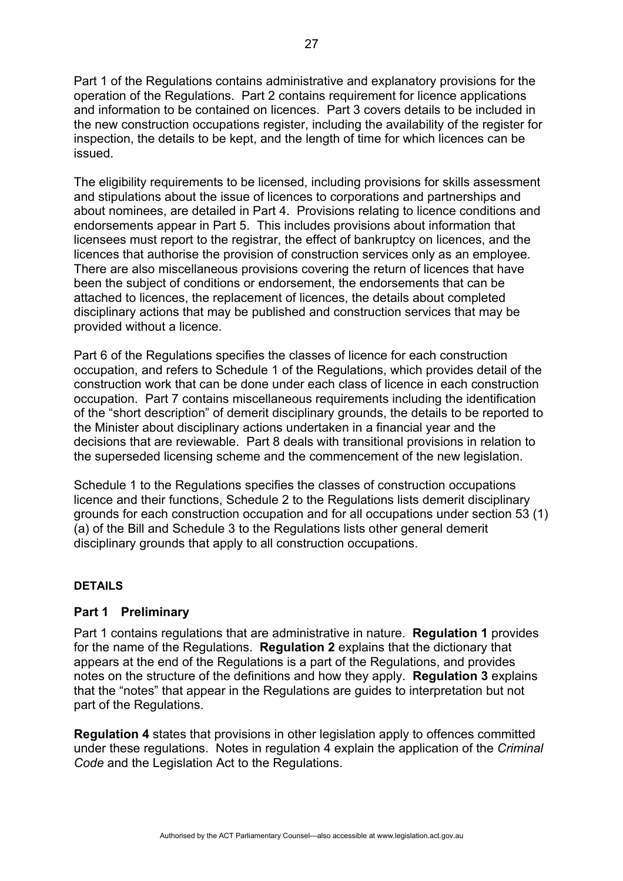Part 1 of the Regulations contains administrative and explanatory provisions for the operation of the Regulations. Part 2 contains requirement for licence applications and information to be contained on licences. Part 3 covers details to be included in the new construction occupations register, including the availability of the register for inspection, the details to be kept, and the length of time for which licences can be issued.

The eligibility requirements to be licensed, including provisions for skills assessment and stipulations about the issue of licences to corporations and partnerships and about nominees, are detailed in Part 4. Provisions relating to licence conditions and endorsements appear in Part 5. This includes provisions about information that licensees must report to the registrar, the effect of bankruptcy on licences, and the licences that authorise the provision of construction services only as an employee. There are also miscellaneous provisions covering the return of licences that have been the subject of conditions or endorsement, the endorsements that can be attached to licences, the replacement of licences, the details about completed disciplinary actions that may be published and construction services that may be provided without a licence.

Part 6 of the Regulations specifies the classes of licence for each construction occupation, and refers to Schedule 1 of the Regulations, which provides detail of the construction work that can be done under each class of licence in each construction occupation. Part 7 contains miscellaneous requirements including the identification of the "short description" of demerit disciplinary grounds, the details to be reported to the Minister about disciplinary actions undertaken in a financial year and the decisions that are reviewable. Part 8 deals with transitional provisions in relation to the superseded licensing scheme and the commencement of the new legislation.

Schedule 1 to the Regulations specifies the classes of construction occupations licence and their functions, Schedule 2 to the Regulations lists demerit disciplinary grounds for each construction occupation and for all occupations under section 53 (1) (a) of the Bill and Schedule 3 to the Regulations lists other general demerit disciplinary grounds that apply to all construction occupations.

#### **DETAILS**

## **Part 1 Preliminary**

Part 1 contains regulations that are administrative in nature. **Regulation 1** provides for the name of the Regulations. **Regulation 2** explains that the dictionary that appears at the end of the Regulations is a part of the Regulations, and provides notes on the structure of the definitions and how they apply. **Regulation 3** explains that the "notes" that appear in the Regulations are guides to interpretation but not part of the Regulations.

**Regulation 4** states that provisions in other legislation apply to offences committed under these regulations. Notes in regulation 4 explain the application of the *Criminal Code* and the Legislation Act to the Regulations.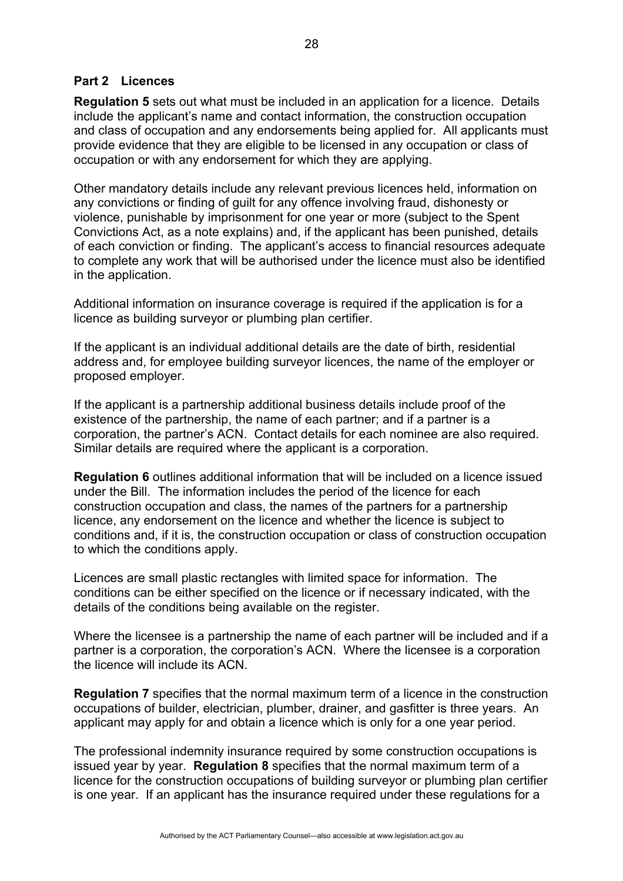## **Part 2 Licences**

**Regulation 5** sets out what must be included in an application for a licence. Details include the applicant's name and contact information, the construction occupation and class of occupation and any endorsements being applied for. All applicants must provide evidence that they are eligible to be licensed in any occupation or class of occupation or with any endorsement for which they are applying.

Other mandatory details include any relevant previous licences held, information on any convictions or finding of guilt for any offence involving fraud, dishonesty or violence, punishable by imprisonment for one year or more (subject to the Spent Convictions Act, as a note explains) and, if the applicant has been punished, details of each conviction or finding. The applicant's access to financial resources adequate to complete any work that will be authorised under the licence must also be identified in the application.

Additional information on insurance coverage is required if the application is for a licence as building surveyor or plumbing plan certifier.

If the applicant is an individual additional details are the date of birth, residential address and, for employee building surveyor licences, the name of the employer or proposed employer.

If the applicant is a partnership additional business details include proof of the existence of the partnership, the name of each partner; and if a partner is a corporation, the partner's ACN. Contact details for each nominee are also required. Similar details are required where the applicant is a corporation.

**Regulation 6** outlines additional information that will be included on a licence issued under the Bill. The information includes the period of the licence for each construction occupation and class, the names of the partners for a partnership licence, any endorsement on the licence and whether the licence is subject to conditions and, if it is, the construction occupation or class of construction occupation to which the conditions apply.

Licences are small plastic rectangles with limited space for information. The conditions can be either specified on the licence or if necessary indicated, with the details of the conditions being available on the register.

Where the licensee is a partnership the name of each partner will be included and if a partner is a corporation, the corporation's ACN. Where the licensee is a corporation the licence will include its ACN.

**Regulation 7** specifies that the normal maximum term of a licence in the construction occupations of builder, electrician, plumber, drainer, and gasfitter is three years. An applicant may apply for and obtain a licence which is only for a one year period.

The professional indemnity insurance required by some construction occupations is issued year by year. **Regulation 8** specifies that the normal maximum term of a licence for the construction occupations of building surveyor or plumbing plan certifier is one year. If an applicant has the insurance required under these regulations for a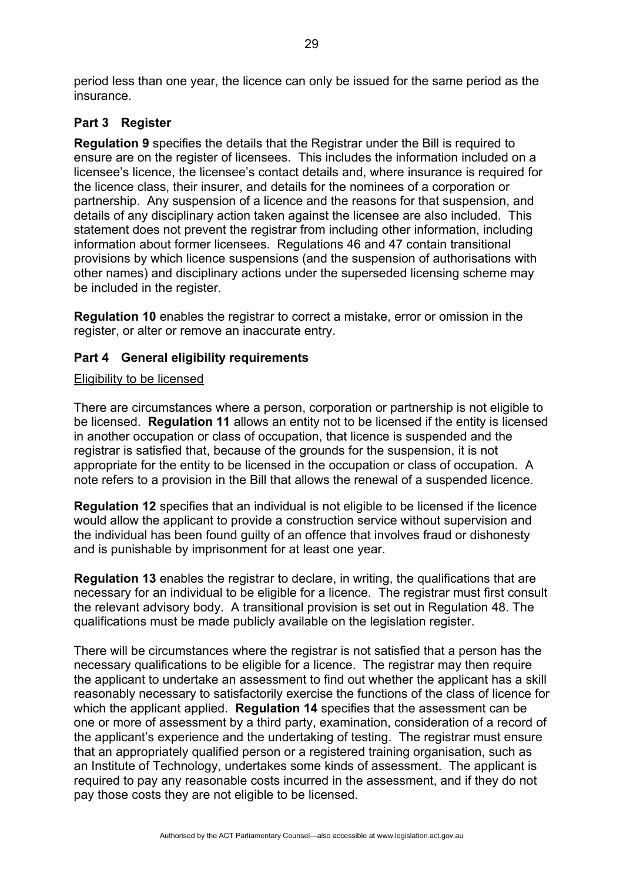period less than one year, the licence can only be issued for the same period as the insurance.

# **Part 3 Register**

**Regulation 9** specifies the details that the Registrar under the Bill is required to ensure are on the register of licensees. This includes the information included on a licensee's licence, the licensee's contact details and, where insurance is required for the licence class, their insurer, and details for the nominees of a corporation or partnership. Any suspension of a licence and the reasons for that suspension, and details of any disciplinary action taken against the licensee are also included. This statement does not prevent the registrar from including other information, including information about former licensees. Regulations 46 and 47 contain transitional provisions by which licence suspensions (and the suspension of authorisations with other names) and disciplinary actions under the superseded licensing scheme may be included in the register.

**Regulation 10** enables the registrar to correct a mistake, error or omission in the register, or alter or remove an inaccurate entry.

# **Part 4 General eligibility requirements**

### Eligibility to be licensed

There are circumstances where a person, corporation or partnership is not eligible to be licensed. **Regulation 11** allows an entity not to be licensed if the entity is licensed in another occupation or class of occupation, that licence is suspended and the registrar is satisfied that, because of the grounds for the suspension, it is not appropriate for the entity to be licensed in the occupation or class of occupation. A note refers to a provision in the Bill that allows the renewal of a suspended licence.

**Regulation 12** specifies that an individual is not eligible to be licensed if the licence would allow the applicant to provide a construction service without supervision and the individual has been found guilty of an offence that involves fraud or dishonesty and is punishable by imprisonment for at least one year.

**Regulation 13** enables the registrar to declare, in writing, the qualifications that are necessary for an individual to be eligible for a licence. The registrar must first consult the relevant advisory body. A transitional provision is set out in Regulation 48. The qualifications must be made publicly available on the legislation register.

There will be circumstances where the registrar is not satisfied that a person has the necessary qualifications to be eligible for a licence. The registrar may then require the applicant to undertake an assessment to find out whether the applicant has a skill reasonably necessary to satisfactorily exercise the functions of the class of licence for which the applicant applied. **Regulation 14** specifies that the assessment can be one or more of assessment by a third party, examination, consideration of a record of the applicant's experience and the undertaking of testing. The registrar must ensure that an appropriately qualified person or a registered training organisation, such as an Institute of Technology, undertakes some kinds of assessment. The applicant is required to pay any reasonable costs incurred in the assessment, and if they do not pay those costs they are not eligible to be licensed.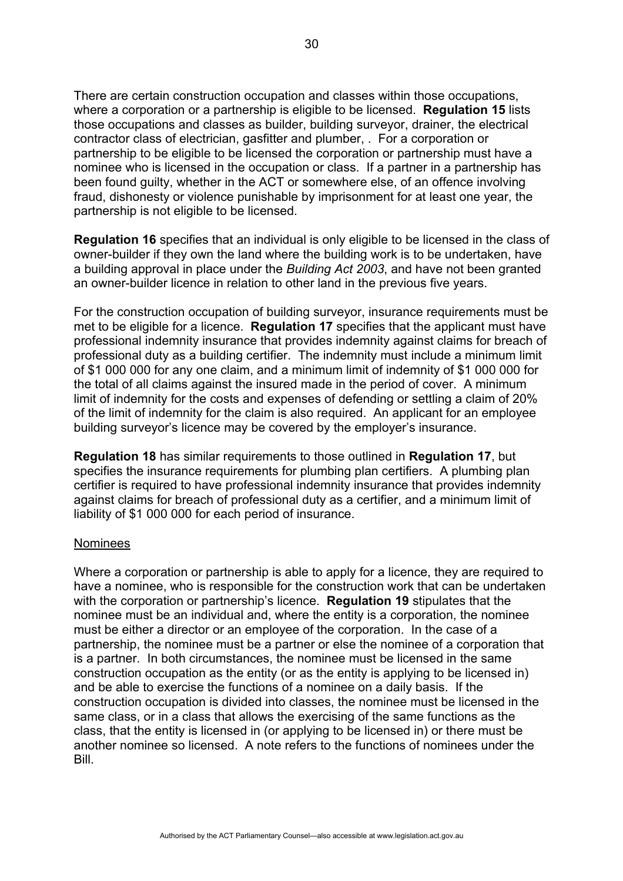There are certain construction occupation and classes within those occupations, where a corporation or a partnership is eligible to be licensed. **Regulation 15** lists those occupations and classes as builder, building surveyor, drainer, the electrical contractor class of electrician, gasfitter and plumber, . For a corporation or partnership to be eligible to be licensed the corporation or partnership must have a nominee who is licensed in the occupation or class. If a partner in a partnership has been found guilty, whether in the ACT or somewhere else, of an offence involving fraud, dishonesty or violence punishable by imprisonment for at least one year, the partnership is not eligible to be licensed.

**Regulation 16** specifies that an individual is only eligible to be licensed in the class of owner-builder if they own the land where the building work is to be undertaken, have a building approval in place under the *Building Act 2003*, and have not been granted an owner-builder licence in relation to other land in the previous five years.

For the construction occupation of building surveyor, insurance requirements must be met to be eligible for a licence. **Regulation 17** specifies that the applicant must have professional indemnity insurance that provides indemnity against claims for breach of professional duty as a building certifier. The indemnity must include a minimum limit of \$1 000 000 for any one claim, and a minimum limit of indemnity of \$1 000 000 for the total of all claims against the insured made in the period of cover. A minimum limit of indemnity for the costs and expenses of defending or settling a claim of 20% of the limit of indemnity for the claim is also required. An applicant for an employee building surveyor's licence may be covered by the employer's insurance.

**Regulation 18** has similar requirements to those outlined in **Regulation 17**, but specifies the insurance requirements for plumbing plan certifiers. A plumbing plan certifier is required to have professional indemnity insurance that provides indemnity against claims for breach of professional duty as a certifier, and a minimum limit of liability of \$1 000 000 for each period of insurance.

#### Nominees

Where a corporation or partnership is able to apply for a licence, they are required to have a nominee, who is responsible for the construction work that can be undertaken with the corporation or partnership's licence. **Regulation 19** stipulates that the nominee must be an individual and, where the entity is a corporation, the nominee must be either a director or an employee of the corporation. In the case of a partnership, the nominee must be a partner or else the nominee of a corporation that is a partner. In both circumstances, the nominee must be licensed in the same construction occupation as the entity (or as the entity is applying to be licensed in) and be able to exercise the functions of a nominee on a daily basis. If the construction occupation is divided into classes, the nominee must be licensed in the same class, or in a class that allows the exercising of the same functions as the class, that the entity is licensed in (or applying to be licensed in) or there must be another nominee so licensed. A note refers to the functions of nominees under the Bill.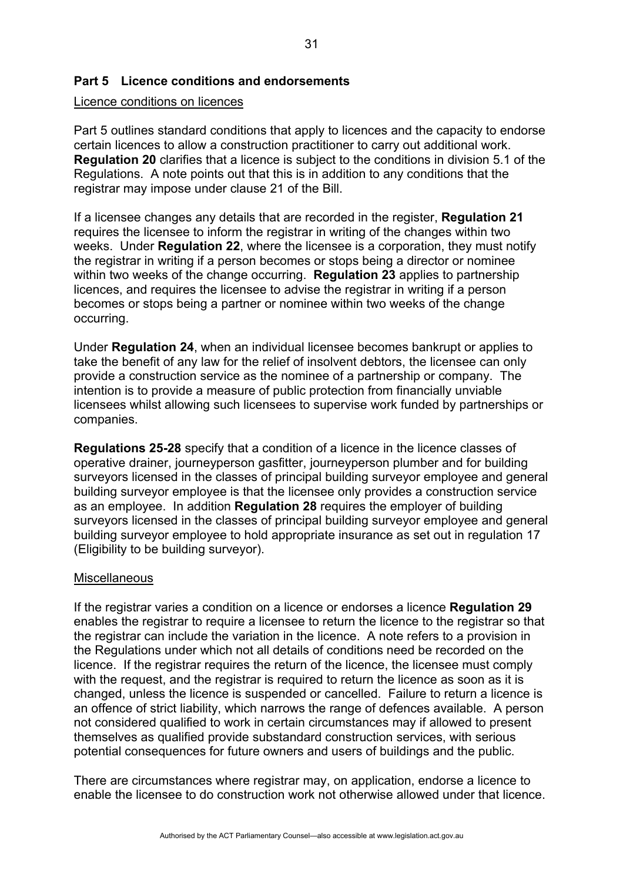# **Part 5 Licence conditions and endorsements**

#### Licence conditions on licences

Part 5 outlines standard conditions that apply to licences and the capacity to endorse certain licences to allow a construction practitioner to carry out additional work. **Regulation 20** clarifies that a licence is subject to the conditions in division 5.1 of the Regulations. A note points out that this is in addition to any conditions that the registrar may impose under clause 21 of the Bill.

If a licensee changes any details that are recorded in the register, **Regulation 21**  requires the licensee to inform the registrar in writing of the changes within two weeks. Under **Regulation 22**, where the licensee is a corporation, they must notify the registrar in writing if a person becomes or stops being a director or nominee within two weeks of the change occurring. **Regulation 23** applies to partnership licences, and requires the licensee to advise the registrar in writing if a person becomes or stops being a partner or nominee within two weeks of the change occurring.

Under **Regulation 24**, when an individual licensee becomes bankrupt or applies to take the benefit of any law for the relief of insolvent debtors, the licensee can only provide a construction service as the nominee of a partnership or company. The intention is to provide a measure of public protection from financially unviable licensees whilst allowing such licensees to supervise work funded by partnerships or companies.

**Regulations 25-28** specify that a condition of a licence in the licence classes of operative drainer, journeyperson gasfitter, journeyperson plumber and for building surveyors licensed in the classes of principal building surveyor employee and general building surveyor employee is that the licensee only provides a construction service as an employee. In addition **Regulation 28** requires the employer of building surveyors licensed in the classes of principal building surveyor employee and general building surveyor employee to hold appropriate insurance as set out in regulation 17 (Eligibility to be building surveyor).

#### **Miscellaneous**

If the registrar varies a condition on a licence or endorses a licence **Regulation 29**  enables the registrar to require a licensee to return the licence to the registrar so that the registrar can include the variation in the licence. A note refers to a provision in the Regulations under which not all details of conditions need be recorded on the licence. If the registrar requires the return of the licence, the licensee must comply with the request, and the registrar is required to return the licence as soon as it is changed, unless the licence is suspended or cancelled. Failure to return a licence is an offence of strict liability, which narrows the range of defences available. A person not considered qualified to work in certain circumstances may if allowed to present themselves as qualified provide substandard construction services, with serious potential consequences for future owners and users of buildings and the public.

There are circumstances where registrar may, on application, endorse a licence to enable the licensee to do construction work not otherwise allowed under that licence.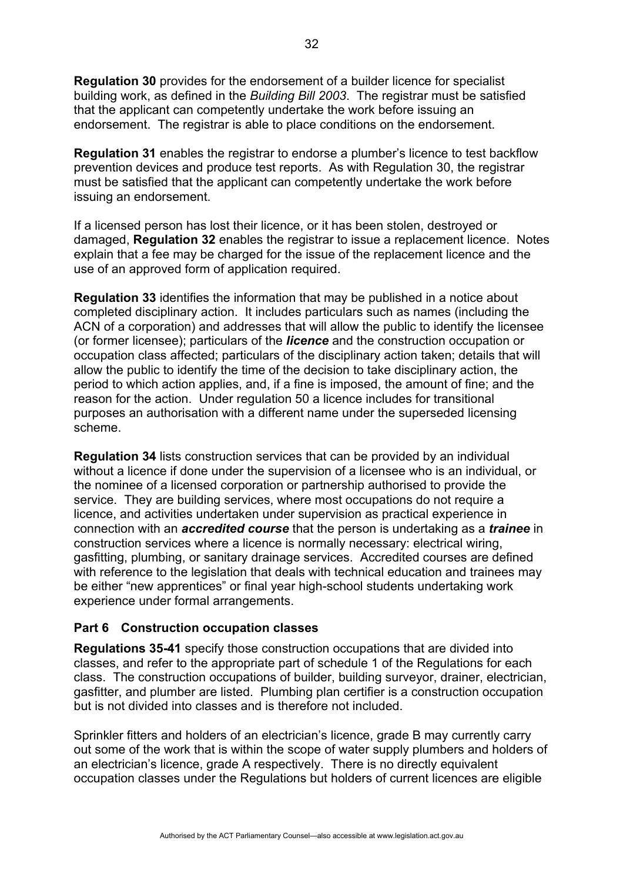**Regulation 30** provides for the endorsement of a builder licence for specialist building work, as defined in the *Building Bill 2003*. The registrar must be satisfied that the applicant can competently undertake the work before issuing an endorsement. The registrar is able to place conditions on the endorsement.

**Regulation 31** enables the registrar to endorse a plumber's licence to test backflow prevention devices and produce test reports. As with Regulation 30, the registrar must be satisfied that the applicant can competently undertake the work before issuing an endorsement.

If a licensed person has lost their licence, or it has been stolen, destroyed or damaged, **Regulation 32** enables the registrar to issue a replacement licence. Notes explain that a fee may be charged for the issue of the replacement licence and the use of an approved form of application required.

**Regulation 33** identifies the information that may be published in a notice about completed disciplinary action. It includes particulars such as names (including the ACN of a corporation) and addresses that will allow the public to identify the licensee (or former licensee); particulars of the *licence* and the construction occupation or occupation class affected; particulars of the disciplinary action taken; details that will allow the public to identify the time of the decision to take disciplinary action, the period to which action applies, and, if a fine is imposed, the amount of fine; and the reason for the action. Under regulation 50 a licence includes for transitional purposes an authorisation with a different name under the superseded licensing scheme.

**Regulation 34** lists construction services that can be provided by an individual without a licence if done under the supervision of a licensee who is an individual, or the nominee of a licensed corporation or partnership authorised to provide the service. They are building services, where most occupations do not require a licence, and activities undertaken under supervision as practical experience in connection with an *accredited course* that the person is undertaking as a *trainee* in construction services where a licence is normally necessary: electrical wiring, gasfitting, plumbing, or sanitary drainage services. Accredited courses are defined with reference to the legislation that deals with technical education and trainees may be either "new apprentices" or final year high-school students undertaking work experience under formal arrangements.

## **Part 6 Construction occupation classes**

**Regulations 35-41** specify those construction occupations that are divided into classes, and refer to the appropriate part of schedule 1 of the Regulations for each class. The construction occupations of builder, building surveyor, drainer, electrician, gasfitter, and plumber are listed. Plumbing plan certifier is a construction occupation but is not divided into classes and is therefore not included.

Sprinkler fitters and holders of an electrician's licence, grade B may currently carry out some of the work that is within the scope of water supply plumbers and holders of an electrician's licence, grade A respectively. There is no directly equivalent occupation classes under the Regulations but holders of current licences are eligible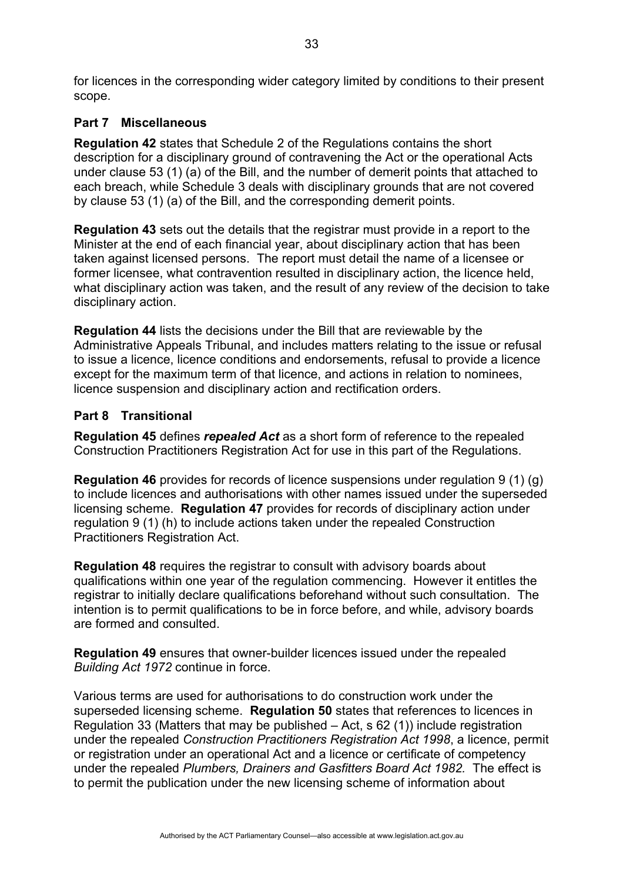for licences in the corresponding wider category limited by conditions to their present scope.

# **Part 7 Miscellaneous**

**Regulation 42** states that Schedule 2 of the Regulations contains the short description for a disciplinary ground of contravening the Act or the operational Acts under clause 53 (1) (a) of the Bill, and the number of demerit points that attached to each breach, while Schedule 3 deals with disciplinary grounds that are not covered by clause 53 (1) (a) of the Bill, and the corresponding demerit points.

**Regulation 43** sets out the details that the registrar must provide in a report to the Minister at the end of each financial year, about disciplinary action that has been taken against licensed persons. The report must detail the name of a licensee or former licensee, what contravention resulted in disciplinary action, the licence held, what disciplinary action was taken, and the result of any review of the decision to take disciplinary action.

**Regulation 44** lists the decisions under the Bill that are reviewable by the Administrative Appeals Tribunal, and includes matters relating to the issue or refusal to issue a licence, licence conditions and endorsements, refusal to provide a licence except for the maximum term of that licence, and actions in relation to nominees, licence suspension and disciplinary action and rectification orders.

# **Part 8 Transitional**

**Regulation 45** defines *repealed Act* as a short form of reference to the repealed Construction Practitioners Registration Act for use in this part of the Regulations.

**Regulation 46** provides for records of licence suspensions under regulation 9 (1) (g) to include licences and authorisations with other names issued under the superseded licensing scheme. **Regulation 47** provides for records of disciplinary action under regulation 9 (1) (h) to include actions taken under the repealed Construction Practitioners Registration Act.

**Regulation 48** requires the registrar to consult with advisory boards about qualifications within one year of the regulation commencing. However it entitles the registrar to initially declare qualifications beforehand without such consultation. The intention is to permit qualifications to be in force before, and while, advisory boards are formed and consulted.

**Regulation 49** ensures that owner-builder licences issued under the repealed *Building Act 1972* continue in force.

Various terms are used for authorisations to do construction work under the superseded licensing scheme. **Regulation 50** states that references to licences in Regulation 33 (Matters that may be published – Act, s 62 (1)) include registration under the repealed *Construction Practitioners Registration Act 1998*, a licence, permit or registration under an operational Act and a licence or certificate of competency under the repealed *Plumbers, Drainers and Gasfitters Board Act 1982.* The effect is to permit the publication under the new licensing scheme of information about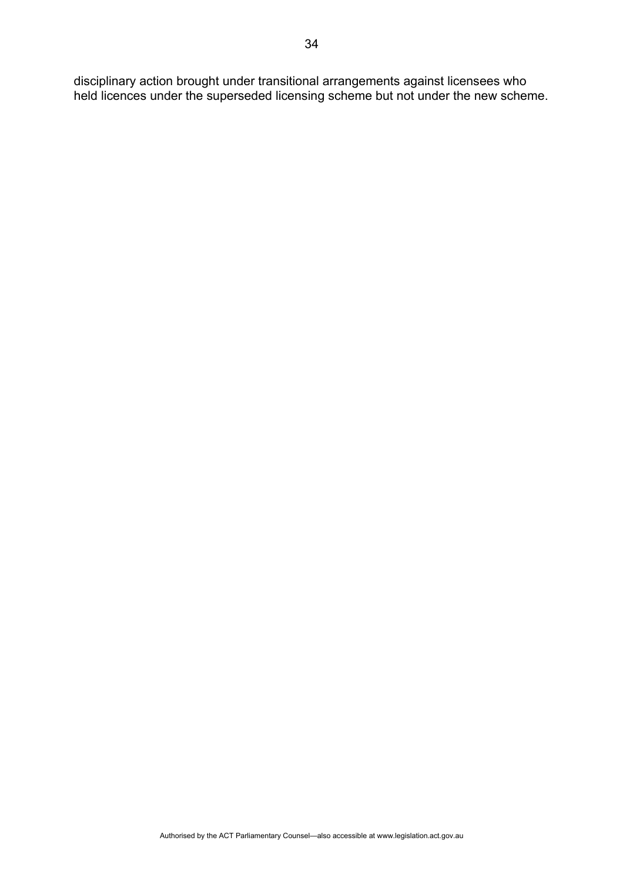disciplinary action brought under transitional arrangements against licensees who held licences under the superseded licensing scheme but not under the new scheme.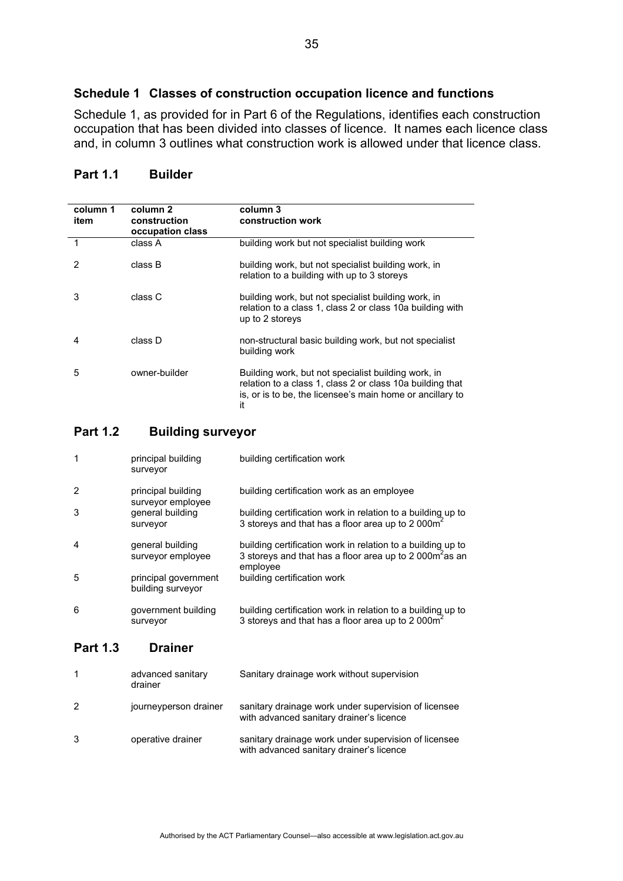# **Schedule 1 Classes of construction occupation licence and functions**

Schedule 1, as provided for in Part 6 of the Regulations, identifies each construction occupation that has been divided into classes of licence. It names each licence class and, in column 3 outlines what construction work is allowed under that licence class.

| column 1<br>item | column 2<br>construction<br>occupation class | column 3<br>construction work                                                                                                                                                       |
|------------------|----------------------------------------------|-------------------------------------------------------------------------------------------------------------------------------------------------------------------------------------|
|                  | class A                                      | building work but not specialist building work                                                                                                                                      |
| 2                | class B                                      | building work, but not specialist building work, in<br>relation to a building with up to 3 storeys                                                                                  |
| 3                | class C                                      | building work, but not specialist building work, in<br>relation to a class 1, class 2 or class 10a building with<br>up to 2 storeys                                                 |
| 4                | class D                                      | non-structural basic building work, but not specialist<br>building work                                                                                                             |
| 5                | owner-builder                                | Building work, but not specialist building work, in<br>relation to a class 1, class 2 or class 10a building that<br>is, or is to be, the licensee's main home or ancillary to<br>it |

# **Part 1.1 Builder**

## **Part 1.2 Building surveyor**

| $\mathbf 1$    | principal building<br>surveyor            | building certification work                                                                                                                    |
|----------------|-------------------------------------------|------------------------------------------------------------------------------------------------------------------------------------------------|
| $\overline{2}$ | principal building<br>surveyor employee   | building certification work as an employee                                                                                                     |
| 3              | general building<br>surveyor              | building certification work in relation to a building up to<br>3 storeys and that has a floor area up to 2 000m <sup>2</sup>                   |
| 4              | general building<br>surveyor employee     | building certification work in relation to a building up to<br>3 storeys and that has a floor area up to 2 000m <sup>2</sup> as an<br>employee |
| 5              | principal government<br>building surveyor | building certification work                                                                                                                    |
| 6              | government building<br>surveyor           | building certification work in relation to a building up to<br>3 storeys and that has a floor area up to 2 000 $m2$                            |

#### **Part 1.3 Drainer**

|   | advanced sanitary<br>drainer | Sanitary drainage work without supervision                                                       |
|---|------------------------------|--------------------------------------------------------------------------------------------------|
| 2 | journeyperson drainer        | sanitary drainage work under supervision of licensee<br>with advanced sanitary drainer's licence |
| 3 | operative drainer            | sanitary drainage work under supervision of licensee<br>with advanced sanitary drainer's licence |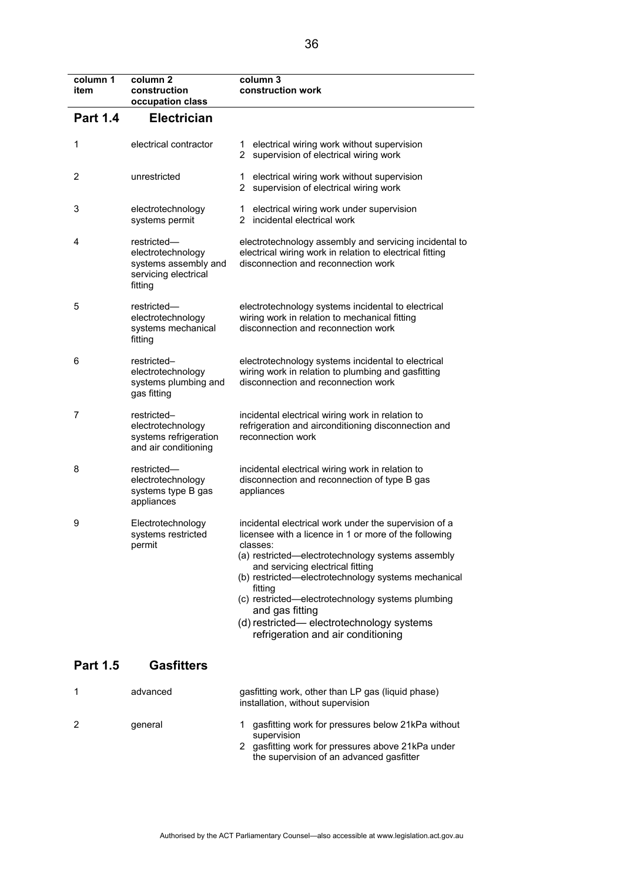| column 1<br>item | column <sub>2</sub><br>construction<br>occupation class                                     | column 3<br>construction work                                                                                                                                                                                                                                                                                                                                                                                                                    |
|------------------|---------------------------------------------------------------------------------------------|--------------------------------------------------------------------------------------------------------------------------------------------------------------------------------------------------------------------------------------------------------------------------------------------------------------------------------------------------------------------------------------------------------------------------------------------------|
| <b>Part 1.4</b>  | <b>Electrician</b>                                                                          |                                                                                                                                                                                                                                                                                                                                                                                                                                                  |
| 1                | electrical contractor                                                                       | electrical wiring work without supervision<br>1<br>2 supervision of electrical wiring work                                                                                                                                                                                                                                                                                                                                                       |
| 2                | unrestricted                                                                                | electrical wiring work without supervision<br>1<br>2 supervision of electrical wiring work                                                                                                                                                                                                                                                                                                                                                       |
| 3                | electrotechnology<br>systems permit                                                         | electrical wiring work under supervision<br>1.<br>2 incidental electrical work                                                                                                                                                                                                                                                                                                                                                                   |
| 4                | restricted-<br>electrotechnology<br>systems assembly and<br>servicing electrical<br>fitting | electrotechnology assembly and servicing incidental to<br>electrical wiring work in relation to electrical fitting<br>disconnection and reconnection work                                                                                                                                                                                                                                                                                        |
| 5                | restricted-<br>electrotechnology<br>systems mechanical<br>fitting                           | electrotechnology systems incidental to electrical<br>wiring work in relation to mechanical fitting<br>disconnection and reconnection work                                                                                                                                                                                                                                                                                                       |
| 6                | restricted-<br>electrotechnology<br>systems plumbing and<br>gas fitting                     | electrotechnology systems incidental to electrical<br>wiring work in relation to plumbing and gasfitting<br>disconnection and reconnection work                                                                                                                                                                                                                                                                                                  |
| 7                | restricted-<br>electrotechnology<br>systems refrigeration<br>and air conditioning           | incidental electrical wiring work in relation to<br>refrigeration and airconditioning disconnection and<br>reconnection work                                                                                                                                                                                                                                                                                                                     |
| 8                | restricted-<br>electrotechnology<br>systems type B gas<br>appliances                        | incidental electrical wiring work in relation to<br>disconnection and reconnection of type B gas<br>appliances                                                                                                                                                                                                                                                                                                                                   |
| 9                | Electrotechnology<br>systems restricted<br>permit                                           | incidental electrical work under the supervision of a<br>licensee with a licence in 1 or more of the following<br>classes:<br>(a) restricted—electrotechnology systems assembly<br>and servicing electrical fitting<br>(b) restricted-electrotechnology systems mechanical<br>fitting<br>(c) restricted-electrotechnology systems plumbing<br>and gas fitting<br>(d) restricted— electrotechnology systems<br>refrigeration and air conditioning |
| <b>Part 1.5</b>  | <b>Gasfitters</b>                                                                           |                                                                                                                                                                                                                                                                                                                                                                                                                                                  |
| 1                | advanced                                                                                    | gasfitting work, other than LP gas (liquid phase)<br>installation, without supervision                                                                                                                                                                                                                                                                                                                                                           |
| 2                | general                                                                                     | gasfitting work for pressures below 21kPa without<br>1.<br>supervision<br>2 gasfitting work for pressures above 21kPa under<br>the supervision of an advanced gasfitter                                                                                                                                                                                                                                                                          |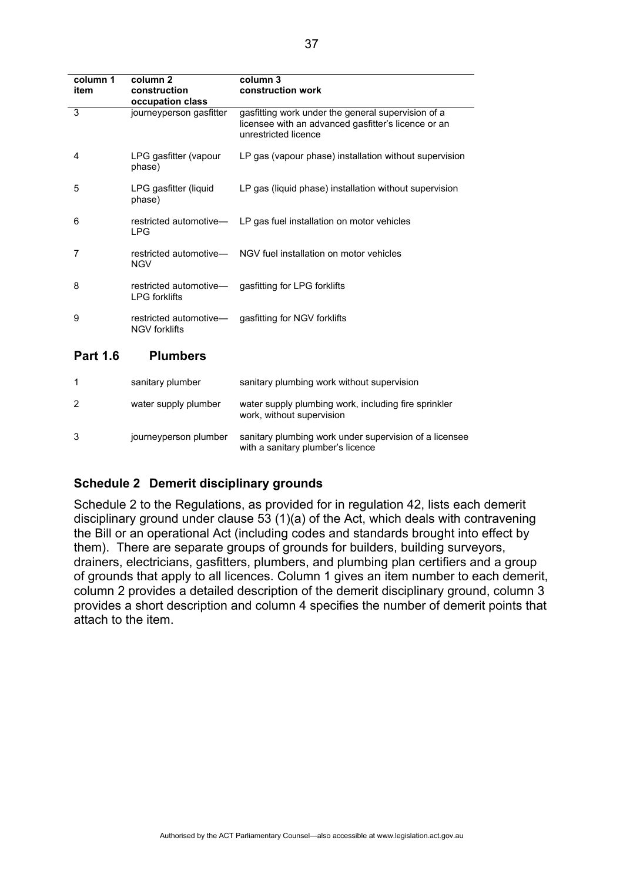| column 1<br>item | column 2<br>construction<br>occupation class | column 3<br>construction work                                                                                                     |
|------------------|----------------------------------------------|-----------------------------------------------------------------------------------------------------------------------------------|
| 3                | journeyperson gasfitter                      | gasfitting work under the general supervision of a<br>licensee with an advanced gasfitter's licence or an<br>unrestricted licence |
| 4                | LPG gasfitter (vapour<br>phase)              | LP gas (vapour phase) installation without supervision                                                                            |
| 5                | LPG gasfitter (liquid<br>phase)              | LP gas (liquid phase) installation without supervision                                                                            |
| 6                | <b>LPG</b>                                   | restricted automotive— LP gas fuel installation on motor vehicles                                                                 |
| 7                | <b>NGV</b>                                   | restricted automotive— NGV fuel installation on motor vehicles                                                                    |
| 8                | <b>LPG</b> forklifts                         | restricted automotive— gasfitting for LPG forklifts                                                                               |
| 9                | <b>NGV forklifts</b>                         | restricted automotive— gasfitting for NGV forklifts                                                                               |
| <b>Part 1.6</b>  | <b>Plumbers</b>                              |                                                                                                                                   |

|   | sanitary plumber      | sanitary plumbing work without supervision                                                  |
|---|-----------------------|---------------------------------------------------------------------------------------------|
| 2 | water supply plumber  | water supply plumbing work, including fire sprinkler<br>work, without supervision           |
| 3 | journeyperson plumber | sanitary plumbing work under supervision of a licensee<br>with a sanitary plumber's licence |

# **Schedule 2 Demerit disciplinary grounds**

Schedule 2 to the Regulations, as provided for in regulation 42, lists each demerit disciplinary ground under clause 53 (1)(a) of the Act, which deals with contravening the Bill or an operational Act (including codes and standards brought into effect by them). There are separate groups of grounds for builders, building surveyors, drainers, electricians, gasfitters, plumbers, and plumbing plan certifiers and a group of grounds that apply to all licences. Column 1 gives an item number to each demerit, column 2 provides a detailed description of the demerit disciplinary ground, column 3 provides a short description and column 4 specifies the number of demerit points that attach to the item.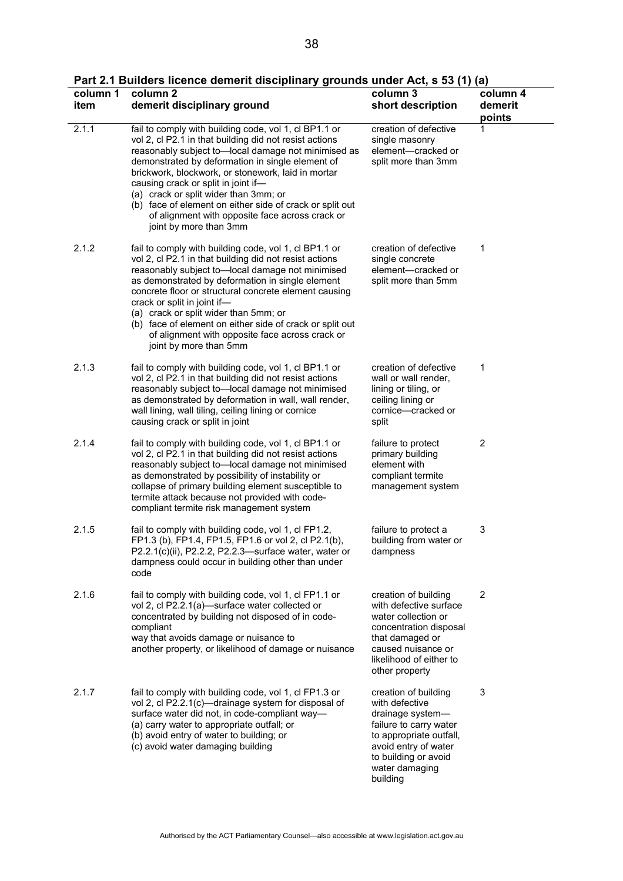|  |  |  |  | Part 2.1 Builders licence demerit disciplinary grounds under Act, s 53 (1) (a) |
|--|--|--|--|--------------------------------------------------------------------------------|
|--|--|--|--|--------------------------------------------------------------------------------|

| column 1<br>item | column <sub>2</sub><br>demerit disciplinary ground                                                                                                                                                                                                                                                                                                                                                                                                                                                        | column 3<br>short description                                                                                                                                                                 | column 4<br>demerit<br>points |
|------------------|-----------------------------------------------------------------------------------------------------------------------------------------------------------------------------------------------------------------------------------------------------------------------------------------------------------------------------------------------------------------------------------------------------------------------------------------------------------------------------------------------------------|-----------------------------------------------------------------------------------------------------------------------------------------------------------------------------------------------|-------------------------------|
| 2.1.1            | fail to comply with building code, vol 1, cl BP1.1 or<br>vol 2, cl P2.1 in that building did not resist actions<br>reasonably subject to-local damage not minimised as<br>demonstrated by deformation in single element of<br>brickwork, blockwork, or stonework, laid in mortar<br>causing crack or split in joint if-<br>(a) crack or split wider than 3mm; or<br>(b) face of element on either side of crack or split out<br>of alignment with opposite face across crack or<br>joint by more than 3mm | creation of defective<br>single masonry<br>element-cracked or<br>split more than 3mm                                                                                                          | 1                             |
| 2.1.2            | fail to comply with building code, vol 1, cl BP1.1 or<br>vol 2, cl P2.1 in that building did not resist actions<br>reasonably subject to-local damage not minimised<br>as demonstrated by deformation in single element<br>concrete floor or structural concrete element causing<br>crack or split in joint if-<br>(a) crack or split wider than 5mm; or<br>(b) face of element on either side of crack or split out<br>of alignment with opposite face across crack or<br>joint by more than 5mm         | creation of defective<br>single concrete<br>element-cracked or<br>split more than 5mm                                                                                                         | 1                             |
| 2.1.3            | fail to comply with building code, vol 1, cl BP1.1 or<br>vol 2, cl P2.1 in that building did not resist actions<br>reasonably subject to-local damage not minimised<br>as demonstrated by deformation in wall, wall render,<br>wall lining, wall tiling, ceiling lining or cornice<br>causing crack or split in joint                                                                                                                                                                                     | creation of defective<br>wall or wall render,<br>lining or tiling, or<br>ceiling lining or<br>cornice-cracked or<br>split                                                                     | 1                             |
| 2.1.4            | fail to comply with building code, vol 1, cl BP1.1 or<br>vol 2, cl P2.1 in that building did not resist actions<br>reasonably subject to-local damage not minimised<br>as demonstrated by possibility of instability or<br>collapse of primary building element susceptible to<br>termite attack because not provided with code-<br>compliant termite risk management system                                                                                                                              | failure to protect<br>primary building<br>element with<br>compliant termite<br>management system                                                                                              | 2                             |
| 2.1.5            | fail to comply with building code, vol 1, cl FP1.2,<br>FP1.3 (b), FP1.4, FP1.5, FP1.6 or vol 2, cl P2.1(b),<br>P2.2.1(c)(ii), P2.2.2, P2.2.3-surface water, water or<br>dampness could occur in building other than under<br>code                                                                                                                                                                                                                                                                         | failure to protect a<br>building from water or<br>dampness                                                                                                                                    | 3                             |
| 2.1.6            | fail to comply with building code, vol 1, cl FP1.1 or<br>vol 2, cl P2.2.1(a)—surface water collected or<br>concentrated by building not disposed of in code-<br>compliant<br>way that avoids damage or nuisance to<br>another property, or likelihood of damage or nuisance                                                                                                                                                                                                                               | creation of building<br>with defective surface<br>water collection or<br>concentration disposal<br>that damaged or<br>caused nuisance or<br>likelihood of either to<br>other property         | $\overline{2}$                |
| 2.1.7            | fail to comply with building code, vol 1, cl FP1.3 or<br>vol 2, cl P2.2.1(c)—drainage system for disposal of<br>surface water did not, in code-compliant way-<br>(a) carry water to appropriate outfall; or<br>(b) avoid entry of water to building; or<br>(c) avoid water damaging building                                                                                                                                                                                                              | creation of building<br>with defective<br>drainage system-<br>failure to carry water<br>to appropriate outfall,<br>avoid entry of water<br>to building or avoid<br>water damaging<br>building | 3                             |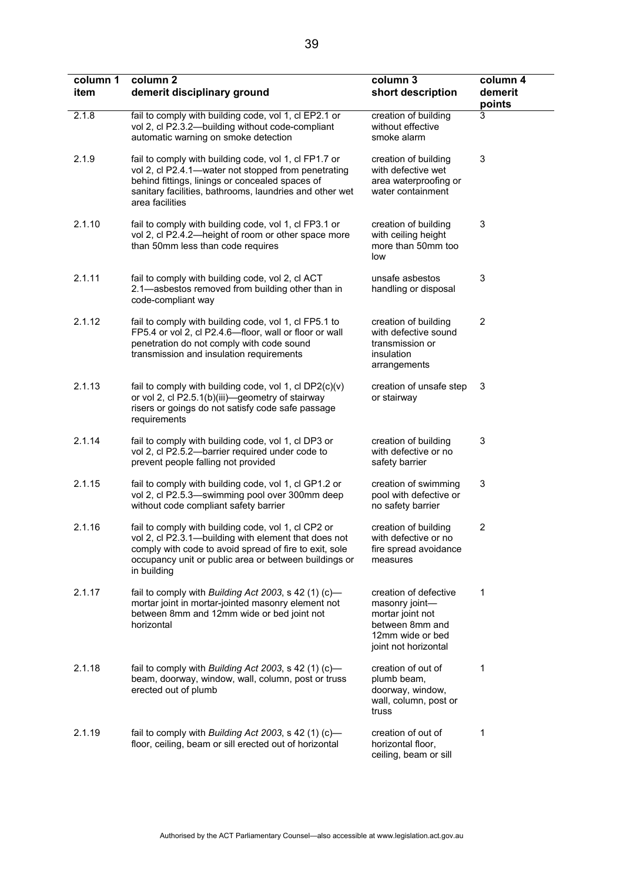| column 1<br>item | column <sub>2</sub><br>demerit disciplinary ground                                                                                                                                                                                            | column 3<br>short description                                                                                              | column 4<br>demerit<br>points |
|------------------|-----------------------------------------------------------------------------------------------------------------------------------------------------------------------------------------------------------------------------------------------|----------------------------------------------------------------------------------------------------------------------------|-------------------------------|
| 2.1.8            | fail to comply with building code, vol 1, cl EP2.1 or<br>vol 2, cl P2.3.2-building without code-compliant<br>automatic warning on smoke detection                                                                                             | creation of building<br>without effective<br>smoke alarm                                                                   | 3                             |
| 2.1.9            | fail to comply with building code, vol 1, cl FP1.7 or<br>vol 2, cl P2.4.1—water not stopped from penetrating<br>behind fittings, linings or concealed spaces of<br>sanitary facilities, bathrooms, laundries and other wet<br>area facilities | creation of building<br>with defective wet<br>area waterproofing or<br>water containment                                   | 3                             |
| 2.1.10           | fail to comply with building code, vol 1, cl FP3.1 or<br>vol 2, cl P2.4.2-height of room or other space more<br>than 50mm less than code requires                                                                                             | creation of building<br>with ceiling height<br>more than 50mm too<br>low                                                   | 3                             |
| 2.1.11           | fail to comply with building code, vol 2, cl ACT<br>2.1-asbestos removed from building other than in<br>code-compliant way                                                                                                                    | unsafe asbestos<br>handling or disposal                                                                                    | 3                             |
| 2.1.12           | fail to comply with building code, vol 1, cl FP5.1 to<br>FP5.4 or vol 2, cl P2.4.6-floor, wall or floor or wall<br>penetration do not comply with code sound<br>transmission and insulation requirements                                      | creation of building<br>with defective sound<br>transmission or<br>insulation<br>arrangements                              | 2                             |
| 2.1.13           | fail to comply with building code, vol 1, cl $DP2(c)(v)$<br>or vol 2, cl P2.5.1(b)(iii)-geometry of stairway<br>risers or goings do not satisfy code safe passage<br>requirements                                                             | creation of unsafe step<br>or stairway                                                                                     | 3                             |
| 2.1.14           | fail to comply with building code, vol 1, cl DP3 or<br>vol 2, cl P2.5.2-barrier required under code to<br>prevent people falling not provided                                                                                                 | creation of building<br>with defective or no<br>safety barrier                                                             | 3                             |
| 2.1.15           | fail to comply with building code, vol 1, cl GP1.2 or<br>vol 2, cl P2.5.3-swimming pool over 300mm deep<br>without code compliant safety barrier                                                                                              | creation of swimming<br>pool with defective or<br>no safety barrier                                                        | 3                             |
| 2.1.16           | fail to comply with building code, vol 1, cl CP2 or<br>vol 2, cl P2.3.1-building with element that does not<br>comply with code to avoid spread of fire to exit, sole<br>occupancy unit or public area or between buildings or<br>in building | creation of building<br>with defective or no<br>fire spread avoidance<br>measures                                          | $\overline{c}$                |
| 2.1.17           | fail to comply with Building Act 2003, s 42 (1) (c)-<br>mortar joint in mortar-jointed masonry element not<br>between 8mm and 12mm wide or bed joint not<br>horizontal                                                                        | creation of defective<br>masonry joint-<br>mortar joint not<br>between 8mm and<br>12mm wide or bed<br>joint not horizontal | 1                             |
| 2.1.18           | fail to comply with Building Act 2003, s 42 (1) (c)-<br>beam, doorway, window, wall, column, post or truss<br>erected out of plumb                                                                                                            | creation of out of<br>plumb beam,<br>doorway, window,<br>wall, column, post or<br>truss                                    | 1                             |
| 2.1.19           | fail to comply with Building Act 2003, s 42 (1) (c)-<br>floor, ceiling, beam or sill erected out of horizontal                                                                                                                                | creation of out of<br>horizontal floor,<br>ceiling, beam or sill                                                           | 1                             |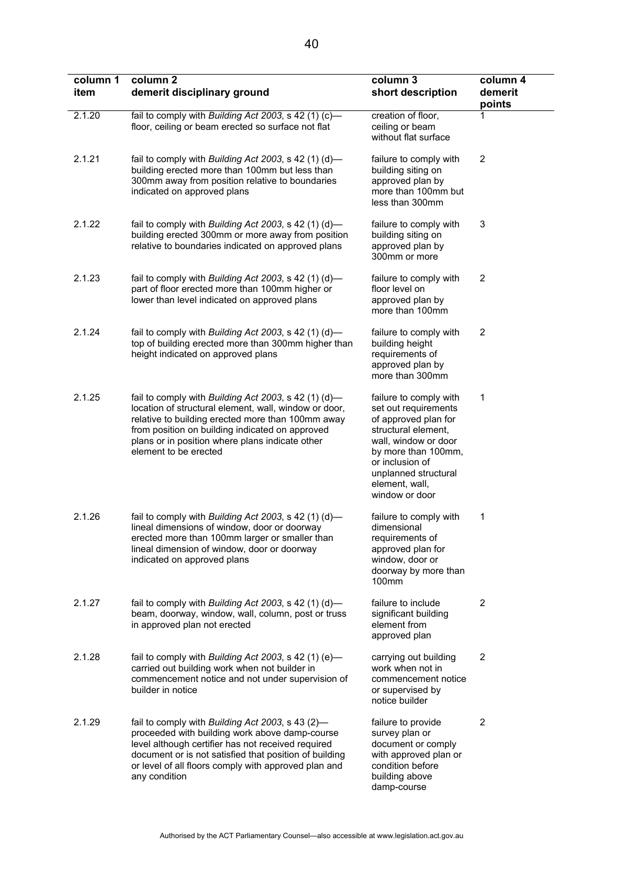| column 1<br>item | column <sub>2</sub><br>demerit disciplinary ground                                                                                                                                                                                                                                                | column 3<br>short description                                                                                                                                                                                               | column 4<br>demerit<br>points |
|------------------|---------------------------------------------------------------------------------------------------------------------------------------------------------------------------------------------------------------------------------------------------------------------------------------------------|-----------------------------------------------------------------------------------------------------------------------------------------------------------------------------------------------------------------------------|-------------------------------|
| 2.1.20           | fail to comply with Building Act 2003, s 42 (1) (c)-<br>floor, ceiling or beam erected so surface not flat                                                                                                                                                                                        | creation of floor,<br>ceiling or beam<br>without flat surface                                                                                                                                                               | 1                             |
| 2.1.21           | fail to comply with Building Act 2003, s 42 (1) (d)-<br>building erected more than 100mm but less than<br>300mm away from position relative to boundaries<br>indicated on approved plans                                                                                                          | failure to comply with<br>building siting on<br>approved plan by<br>more than 100mm but<br>less than 300mm                                                                                                                  | 2                             |
| 2.1.22           | fail to comply with Building Act 2003, s 42 (1) (d)-<br>building erected 300mm or more away from position<br>relative to boundaries indicated on approved plans                                                                                                                                   | failure to comply with<br>building siting on<br>approved plan by<br>300mm or more                                                                                                                                           | 3                             |
| 2.1.23           | fail to comply with Building Act 2003, s 42 (1) (d)-<br>part of floor erected more than 100mm higher or<br>lower than level indicated on approved plans                                                                                                                                           | failure to comply with<br>floor level on<br>approved plan by<br>more than 100mm                                                                                                                                             | $\overline{c}$                |
| 2.1.24           | fail to comply with Building Act 2003, s 42 (1) (d)-<br>top of building erected more than 300mm higher than<br>height indicated on approved plans                                                                                                                                                 | failure to comply with<br>building height<br>requirements of<br>approved plan by<br>more than 300mm                                                                                                                         | 2                             |
| 2.1.25           | fail to comply with Building Act 2003, s 42 (1) (d)-<br>location of structural element, wall, window or door,<br>relative to building erected more than 100mm away<br>from position on building indicated on approved<br>plans or in position where plans indicate other<br>element to be erected | failure to comply with<br>set out requirements<br>of approved plan for<br>structural element,<br>wall, window or door<br>by more than 100mm,<br>or inclusion of<br>unplanned structural<br>element, wall,<br>window or door | 1                             |
| 2.1.26           | fail to comply with Building Act 2003, s 42 (1) (d)-<br>lineal dimensions of window, door or doorway<br>erected more than 100mm larger or smaller than<br>lineal dimension of window, door or doorway<br>indicated on approved plans                                                              | failure to comply with<br>dimensional<br>requirements of<br>approved plan for<br>window, door or<br>doorway by more than<br>100mm                                                                                           | 1                             |
| 2.1.27           | fail to comply with Building Act 2003, s 42 (1) (d)-<br>beam, doorway, window, wall, column, post or truss<br>in approved plan not erected                                                                                                                                                        | failure to include<br>significant building<br>element from<br>approved plan                                                                                                                                                 | $\overline{c}$                |
| 2.1.28           | fail to comply with Building Act 2003, s 42 (1) (e)-<br>carried out building work when not builder in<br>commencement notice and not under supervision of<br>builder in notice                                                                                                                    | carrying out building<br>work when not in<br>commencement notice<br>or supervised by<br>notice builder                                                                                                                      | 2                             |
| 2.1.29           | fail to comply with Building Act 2003, s 43 (2)-<br>proceeded with building work above damp-course<br>level although certifier has not received required<br>document or is not satisfied that position of building<br>or level of all floors comply with approved plan and<br>any condition       | failure to provide<br>survey plan or<br>document or comply<br>with approved plan or<br>condition before<br>building above<br>damp-course                                                                                    | $\overline{c}$                |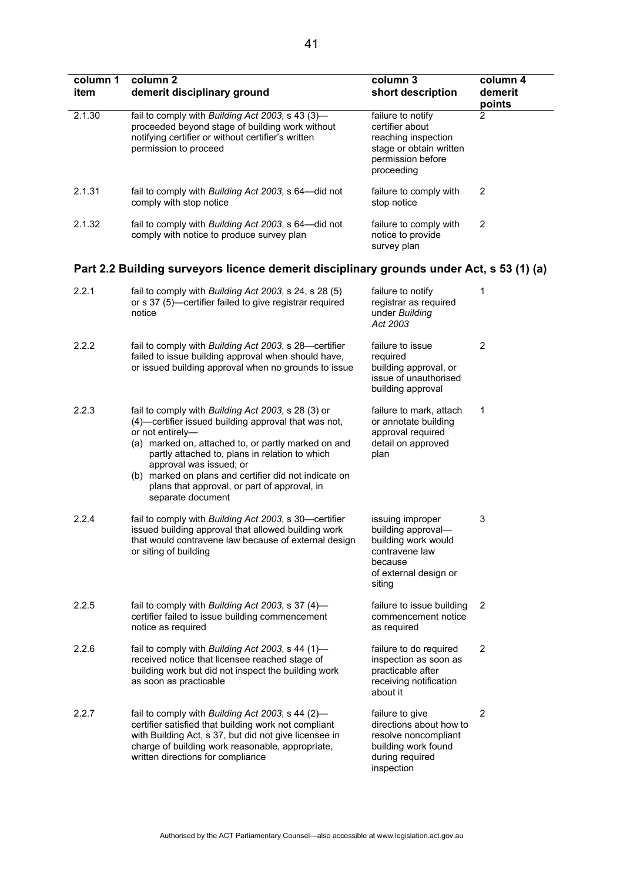| column 1<br>item | column <sub>2</sub><br>demerit disciplinary ground                                                                                                                                                                                                                                                                                                                                               | column 3<br>short description                                                                                                 | column 4<br>demerit<br>points |
|------------------|--------------------------------------------------------------------------------------------------------------------------------------------------------------------------------------------------------------------------------------------------------------------------------------------------------------------------------------------------------------------------------------------------|-------------------------------------------------------------------------------------------------------------------------------|-------------------------------|
| 2.1.30           | fail to comply with Building Act 2003, s 43 (3)-<br>proceeded beyond stage of building work without<br>notifying certifier or without certifier's written<br>permission to proceed                                                                                                                                                                                                               | failure to notify<br>certifier about<br>reaching inspection<br>stage or obtain written<br>permission before<br>proceeding     | $\overline{2}$                |
| 2.1.31           | fail to comply with Building Act 2003, s 64-did not<br>comply with stop notice                                                                                                                                                                                                                                                                                                                   | failure to comply with<br>stop notice                                                                                         | $\overline{2}$                |
| 2.1.32           | fail to comply with Building Act 2003, s 64-did not<br>comply with notice to produce survey plan                                                                                                                                                                                                                                                                                                 | failure to comply with<br>notice to provide<br>survey plan                                                                    | $\overline{2}$                |
|                  | Part 2.2 Building surveyors licence demerit disciplinary grounds under Act, s 53 (1) (a)                                                                                                                                                                                                                                                                                                         |                                                                                                                               |                               |
| 2.2.1            | fail to comply with Building Act 2003, s 24, s 28 (5)<br>or s 37 (5)—certifier failed to give registrar required<br>notice                                                                                                                                                                                                                                                                       | failure to notify<br>registrar as required<br>under Building<br>Act 2003                                                      | 1                             |
| 2.2.2            | fail to comply with Building Act 2003, s 28-certifier<br>failed to issue building approval when should have,<br>or issued building approval when no grounds to issue                                                                                                                                                                                                                             | failure to issue<br>required<br>building approval, or<br>issue of unauthorised<br>building approval                           | $\overline{2}$                |
| 2.2.3            | fail to comply with Building Act 2003, s 28 (3) or<br>(4)-certifier issued building approval that was not,<br>or not entirely-<br>(a) marked on, attached to, or partly marked on and<br>partly attached to, plans in relation to which<br>approval was issued; or<br>(b) marked on plans and certifier did not indicate on<br>plans that approval, or part of approval, in<br>separate document | failure to mark, attach<br>or annotate building<br>approval required<br>detail on approved<br>plan                            | 1                             |
| 2.2.4            | fail to comply with Building Act 2003, s 30-certifier<br>issued building approval that allowed building work<br>that would contravene law because of external design<br>or siting of building                                                                                                                                                                                                    | issuing improper<br>building approval-<br>building work would<br>contravene law<br>because<br>of external design or<br>siting | 3                             |
| 2.2.5            | fail to comply with Building Act 2003, s 37 (4)-<br>certifier failed to issue building commencement<br>notice as required                                                                                                                                                                                                                                                                        | failure to issue building<br>commencement notice<br>as required                                                               | $\overline{2}$                |
| 2.2.6            | fail to comply with Building Act 2003, s 44 (1)-<br>received notice that licensee reached stage of<br>building work but did not inspect the building work<br>as soon as practicable                                                                                                                                                                                                              | failure to do required<br>inspection as soon as<br>practicable after<br>receiving notification<br>about it                    | $\overline{2}$                |
| 2.2.7            | fail to comply with Building Act 2003, s 44 (2)-<br>certifier satisfied that building work not compliant<br>with Building Act, s 37, but did not give licensee in<br>charge of building work reasonable, appropriate,<br>written directions for compliance                                                                                                                                       | failure to give<br>directions about how to<br>resolve noncompliant<br>building work found<br>during required<br>inspection    | $\overline{2}$                |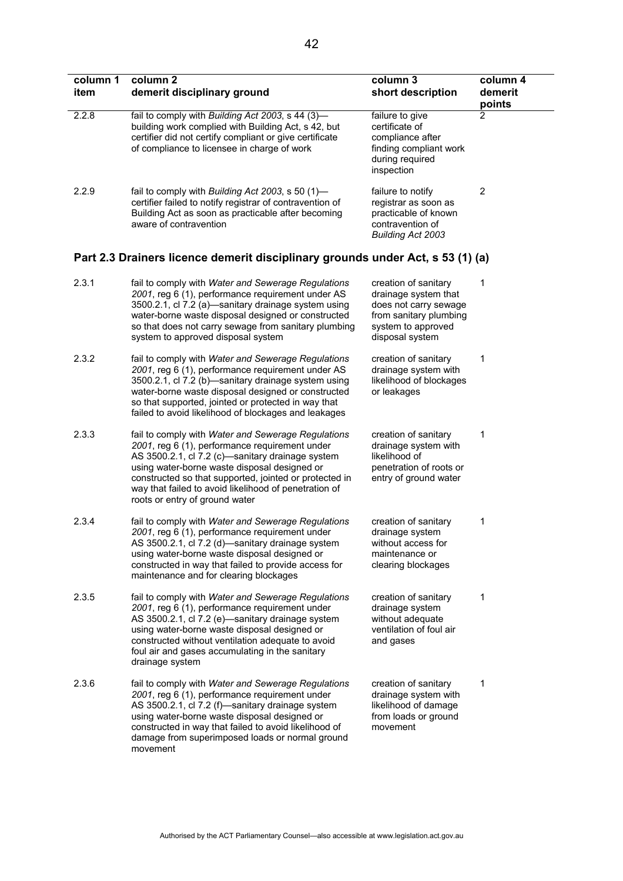| column 1<br>item | column 2<br>demerit disciplinary ground                                                                                                                                                                                                                                                                                                                       | column 3<br>short description                                                                                                            | column 4<br>demerit<br>points |
|------------------|---------------------------------------------------------------------------------------------------------------------------------------------------------------------------------------------------------------------------------------------------------------------------------------------------------------------------------------------------------------|------------------------------------------------------------------------------------------------------------------------------------------|-------------------------------|
| 2.2.8            | fail to comply with Building Act 2003, s 44 (3)-<br>building work complied with Building Act, s 42, but<br>certifier did not certify compliant or give certificate<br>of compliance to licensee in charge of work                                                                                                                                             | failure to give<br>certificate of<br>compliance after<br>finding compliant work<br>during required<br>inspection                         | 2                             |
| 2.2.9            | fail to comply with Building Act 2003, s 50 (1)-<br>certifier failed to notify registrar of contravention of<br>Building Act as soon as practicable after becoming<br>aware of contravention                                                                                                                                                                  | failure to notify<br>registrar as soon as<br>practicable of known<br>contravention of<br><b>Building Act 2003</b>                        | $\overline{c}$                |
|                  | Part 2.3 Drainers licence demerit disciplinary grounds under Act, s 53 (1) (a)                                                                                                                                                                                                                                                                                |                                                                                                                                          |                               |
| 2.3.1            | fail to comply with Water and Sewerage Regulations<br>2001, reg 6 (1), performance requirement under AS<br>3500.2.1, cl 7.2 (a)-sanitary drainage system using<br>water-borne waste disposal designed or constructed<br>so that does not carry sewage from sanitary plumbing<br>system to approved disposal system                                            | creation of sanitary<br>drainage system that<br>does not carry sewage<br>from sanitary plumbing<br>system to approved<br>disposal system | 1                             |
| 2.3.2            | fail to comply with Water and Sewerage Regulations<br>2001, reg 6 (1), performance requirement under AS<br>3500.2.1, cl 7.2 (b)-sanitary drainage system using<br>water-borne waste disposal designed or constructed<br>so that supported, jointed or protected in way that<br>failed to avoid likelihood of blockages and leakages                           | creation of sanitary<br>drainage system with<br>likelihood of blockages<br>or leakages                                                   | 1                             |
| 2.3.3            | fail to comply with Water and Sewerage Regulations<br>2001, reg 6 (1), performance requirement under<br>AS 3500.2.1, cl 7.2 (c)-sanitary drainage system<br>using water-borne waste disposal designed or<br>constructed so that supported, jointed or protected in<br>way that failed to avoid likelihood of penetration of<br>roots or entry of ground water | creation of sanitary<br>drainage system with<br>likelihood of<br>penetration of roots or<br>entry of ground water                        | 1                             |
| 2.3.4            | fail to comply with Water and Sewerage Regulations<br>2001, reg 6 (1), performance requirement under<br>AS 3500.2.1, cl 7.2 (d)-sanitary drainage system<br>using water-borne waste disposal designed or<br>constructed in way that failed to provide access for<br>maintenance and for clearing blockages                                                    | creation of sanitary<br>drainage system<br>without access for<br>maintenance or<br>clearing blockages                                    | 1                             |
| 2.3.5            | fail to comply with Water and Sewerage Regulations<br>2001, reg 6 (1), performance requirement under<br>AS 3500.2.1, cl 7.2 (e)-sanitary drainage system<br>using water-borne waste disposal designed or<br>constructed without ventilation adequate to avoid<br>foul air and gases accumulating in the sanitary<br>drainage system                           | creation of sanitary<br>drainage system<br>without adequate<br>ventilation of foul air<br>and gases                                      | 1                             |
| 2.3.6            | fail to comply with Water and Sewerage Regulations<br>2001, reg 6 (1), performance requirement under<br>AS 3500.2.1, cl 7.2 (f)-sanitary drainage system<br>using water-borne waste disposal designed or<br>constructed in way that failed to avoid likelihood of<br>damage from superimposed loads or normal ground<br>movement                              | creation of sanitary<br>drainage system with<br>likelihood of damage<br>from loads or ground<br>movement                                 | 1                             |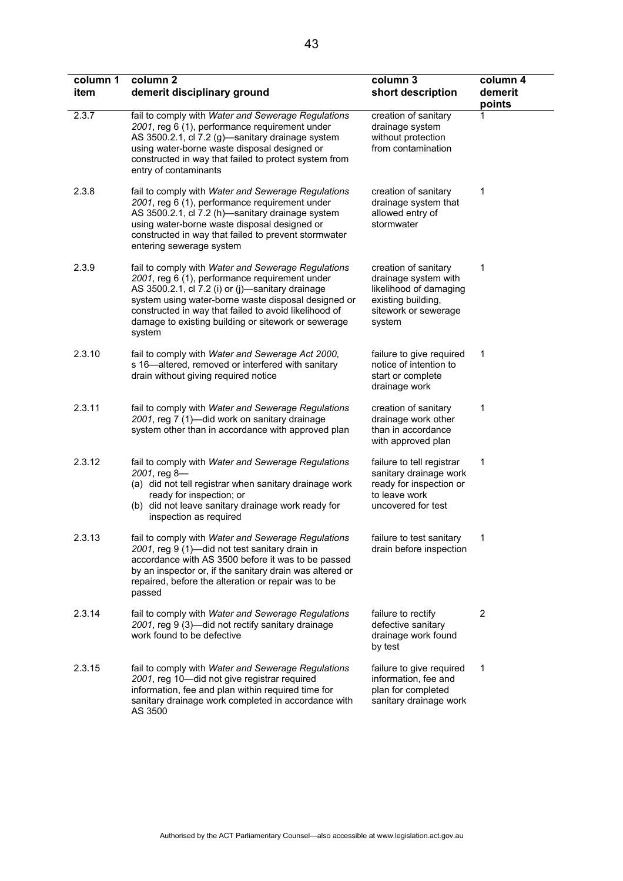| column 1<br>item | column <sub>2</sub><br>demerit disciplinary ground                                                                                                                                                                                                                                                                                        | column 3<br>short description                                                                                                  | column 4<br>demerit<br>points |
|------------------|-------------------------------------------------------------------------------------------------------------------------------------------------------------------------------------------------------------------------------------------------------------------------------------------------------------------------------------------|--------------------------------------------------------------------------------------------------------------------------------|-------------------------------|
| 2.3.7            | fail to comply with Water and Sewerage Regulations<br>2001, reg 6 (1), performance requirement under<br>AS 3500.2.1, cl 7.2 (g)-sanitary drainage system<br>using water-borne waste disposal designed or<br>constructed in way that failed to protect system from<br>entry of contaminants                                                | creation of sanitary<br>drainage system<br>without protection<br>from contamination                                            |                               |
| 2.3.8            | fail to comply with Water and Sewerage Regulations<br>2001, reg 6 (1), performance requirement under<br>AS 3500.2.1, cl 7.2 (h)-sanitary drainage system<br>using water-borne waste disposal designed or<br>constructed in way that failed to prevent stormwater<br>entering sewerage system                                              | creation of sanitary<br>drainage system that<br>allowed entry of<br>stormwater                                                 | 1                             |
| 2.3.9            | fail to comply with Water and Sewerage Regulations<br>2001, reg 6 (1), performance requirement under<br>AS 3500.2.1, cl 7.2 (i) or (j)-sanitary drainage<br>system using water-borne waste disposal designed or<br>constructed in way that failed to avoid likelihood of<br>damage to existing building or sitework or sewerage<br>system | creation of sanitary<br>drainage system with<br>likelihood of damaging<br>existing building,<br>sitework or sewerage<br>system | 1                             |
| 2.3.10           | fail to comply with Water and Sewerage Act 2000,<br>s 16-altered, removed or interfered with sanitary<br>drain without giving required notice                                                                                                                                                                                             | failure to give required<br>notice of intention to<br>start or complete<br>drainage work                                       | 1                             |
| 2.3.11           | fail to comply with Water and Sewerage Regulations<br>2001, reg 7 (1)-did work on sanitary drainage<br>system other than in accordance with approved plan                                                                                                                                                                                 | creation of sanitary<br>drainage work other<br>than in accordance<br>with approved plan                                        | 1                             |
| 2.3.12           | fail to comply with Water and Sewerage Regulations<br>2001, reg 8-<br>(a) did not tell registrar when sanitary drainage work<br>ready for inspection; or<br>(b) did not leave sanitary drainage work ready for<br>inspection as required                                                                                                  | failure to tell registrar<br>sanitary drainage work<br>ready for inspection or<br>to leave work<br>uncovered for test          | 1                             |
| 2.3.13           | fail to comply with Water and Sewerage Regulations<br>2001, reg 9 (1)-did not test sanitary drain in<br>accordance with AS 3500 before it was to be passed<br>by an inspector or, if the sanitary drain was altered or<br>repaired, before the alteration or repair was to be<br>passed                                                   | failure to test sanitary<br>drain before inspection                                                                            |                               |
| 2.3.14           | fail to comply with Water and Sewerage Regulations<br>2001, reg 9 (3)-did not rectify sanitary drainage<br>work found to be defective                                                                                                                                                                                                     | failure to rectify<br>defective sanitary<br>drainage work found<br>by test                                                     | $\overline{2}$                |
| 2.3.15           | fail to comply with Water and Sewerage Regulations<br>2001, reg 10-did not give registrar required<br>information, fee and plan within required time for<br>sanitary drainage work completed in accordance with<br>AS 3500                                                                                                                | failure to give required<br>information, fee and<br>plan for completed<br>sanitary drainage work                               | 1                             |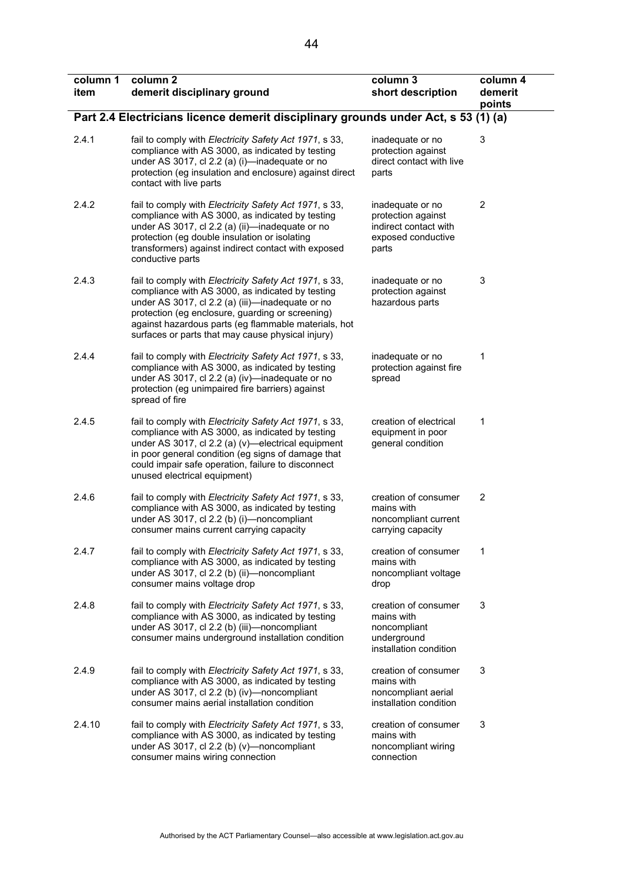| column 1<br>item | column <sub>2</sub><br>demerit disciplinary ground                                                                                                                                                                                                                                                                              | column 3<br>short description                                                                  | column 4<br>demerit<br>points |
|------------------|---------------------------------------------------------------------------------------------------------------------------------------------------------------------------------------------------------------------------------------------------------------------------------------------------------------------------------|------------------------------------------------------------------------------------------------|-------------------------------|
|                  | Part 2.4 Electricians licence demerit disciplinary grounds under Act, s 53 (1) (a)                                                                                                                                                                                                                                              |                                                                                                |                               |
| 2.4.1            | fail to comply with Electricity Safety Act 1971, s 33,<br>compliance with AS 3000, as indicated by testing<br>under AS 3017, cl 2.2 (a) (i)—inadequate or no<br>protection (eg insulation and enclosure) against direct<br>contact with live parts                                                                              | inadequate or no<br>protection against<br>direct contact with live<br>parts                    | 3                             |
| 2.4.2            | fail to comply with Electricity Safety Act 1971, s 33,<br>compliance with AS 3000, as indicated by testing<br>under AS 3017, cl 2.2 (a) (ii)-inadequate or no<br>protection (eg double insulation or isolating<br>transformers) against indirect contact with exposed<br>conductive parts                                       | inadequate or no<br>protection against<br>indirect contact with<br>exposed conductive<br>parts | $\overline{2}$                |
| 2.4.3            | fail to comply with Electricity Safety Act 1971, s 33,<br>compliance with AS 3000, as indicated by testing<br>under AS 3017, cl 2.2 (a) (iii)-inadequate or no<br>protection (eg enclosure, guarding or screening)<br>against hazardous parts (eg flammable materials, hot<br>surfaces or parts that may cause physical injury) | inadequate or no<br>protection against<br>hazardous parts                                      | 3                             |
| 2.4.4            | fail to comply with Electricity Safety Act 1971, s 33,<br>compliance with AS 3000, as indicated by testing<br>under AS 3017, cl 2.2 (a) (iv)—inadequate or no<br>protection (eg unimpaired fire barriers) against<br>spread of fire                                                                                             | inadequate or no<br>protection against fire<br>spread                                          | 1                             |
| 2.4.5            | fail to comply with Electricity Safety Act 1971, s 33,<br>compliance with AS 3000, as indicated by testing<br>under AS 3017, cl 2.2 (a) (v)—electrical equipment<br>in poor general condition (eg signs of damage that<br>could impair safe operation, failure to disconnect<br>unused electrical equipment)                    | creation of electrical<br>equipment in poor<br>general condition                               | 1                             |
| 2.4.6            | fail to comply with Electricity Safety Act 1971, s 33,<br>compliance with AS 3000, as indicated by testing<br>under AS 3017, cl 2.2 (b) (i)-noncompliant<br>consumer mains current carrying capacity                                                                                                                            | creation of consumer<br>mains with<br>noncompliant current<br>carrying capacity                | 2                             |
| 2.4.7            | fail to comply with Electricity Safety Act 1971, s 33,<br>compliance with AS 3000, as indicated by testing<br>under AS 3017, cl 2.2 (b) (ii)-noncompliant<br>consumer mains voltage drop                                                                                                                                        | creation of consumer<br>mains with<br>noncompliant voltage<br>drop                             | 1                             |
| 2.4.8            | fail to comply with Electricity Safety Act 1971, s 33,<br>compliance with AS 3000, as indicated by testing<br>under AS 3017, cl 2.2 (b) (iii)-noncompliant<br>consumer mains underground installation condition                                                                                                                 | creation of consumer<br>mains with<br>noncompliant<br>underground<br>installation condition    | 3                             |
| 2.4.9            | fail to comply with Electricity Safety Act 1971, s 33,<br>compliance with AS 3000, as indicated by testing<br>under AS 3017, cl 2.2 (b) (iv)-noncompliant<br>consumer mains aerial installation condition                                                                                                                       | creation of consumer<br>mains with<br>noncompliant aerial<br>installation condition            | 3                             |
| 2.4.10           | fail to comply with Electricity Safety Act 1971, s 33,<br>compliance with AS 3000, as indicated by testing<br>under AS 3017, cl 2.2 (b) (v)-noncompliant<br>consumer mains wiring connection                                                                                                                                    | creation of consumer<br>mains with<br>noncompliant wiring<br>connection                        | 3                             |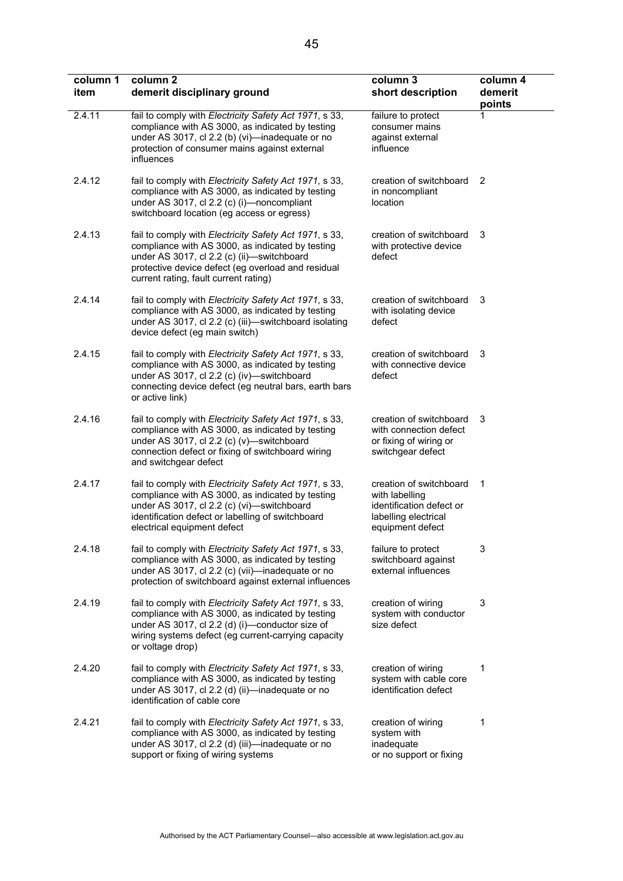| column 1<br>item | column 2<br>demerit disciplinary ground                                                                                                                                                                                                                 | column 3<br>short description                                                                                     | column 4<br>demerit<br>points |
|------------------|---------------------------------------------------------------------------------------------------------------------------------------------------------------------------------------------------------------------------------------------------------|-------------------------------------------------------------------------------------------------------------------|-------------------------------|
| 2.4.11           | fail to comply with Electricity Safety Act 1971, s 33,<br>compliance with AS 3000, as indicated by testing<br>under AS 3017, cl 2.2 (b) (vi)-inadequate or no<br>protection of consumer mains against external<br>influences                            | failure to protect<br>consumer mains<br>against external<br>influence                                             |                               |
| 2.4.12           | fail to comply with Electricity Safety Act 1971, s 33,<br>compliance with AS 3000, as indicated by testing<br>under AS 3017, cl 2.2 (c) (i)-noncompliant<br>switchboard location (eg access or egress)                                                  | creation of switchboard<br>in noncompliant<br>location                                                            | 2                             |
| 2.4.13           | fail to comply with Electricity Safety Act 1971, s 33,<br>compliance with AS 3000, as indicated by testing<br>under AS 3017, cl 2.2 (c) (ii)-switchboard<br>protective device defect (eg overload and residual<br>current rating, fault current rating) | creation of switchboard<br>with protective device<br>defect                                                       | 3                             |
| 2.4.14           | fail to comply with Electricity Safety Act 1971, s 33,<br>compliance with AS 3000, as indicated by testing<br>under AS 3017, cl 2.2 (c) (iii)—switchboard isolating<br>device defect (eg main switch)                                                   | creation of switchboard<br>with isolating device<br>defect                                                        | 3                             |
| 2.4.15           | fail to comply with Electricity Safety Act 1971, s 33,<br>compliance with AS 3000, as indicated by testing<br>under AS 3017, cl 2.2 (c) (iv)-switchboard<br>connecting device defect (eg neutral bars, earth bars<br>or active link)                    | creation of switchboard<br>with connective device<br>defect                                                       | 3                             |
| 2.4.16           | fail to comply with Electricity Safety Act 1971, s 33,<br>compliance with AS 3000, as indicated by testing<br>under AS 3017, cl 2.2 (c) (v)-switchboard<br>connection defect or fixing of switchboard wiring<br>and switchgear defect                   | creation of switchboard<br>with connection defect<br>or fixing of wiring or<br>switchgear defect                  | 3                             |
| 2.4.17           | fail to comply with Electricity Safety Act 1971, s 33,<br>compliance with AS 3000, as indicated by testing<br>under AS 3017, cl 2.2 (c) (vi)-switchboard<br>identification defect or labelling of switchboard<br>electrical equipment defect            | creation of switchboard<br>with labelling<br>identification defect or<br>labelling electrical<br>equipment defect | 1                             |
| 2.4.18           | fail to comply with Electricity Safety Act 1971, s 33,<br>compliance with AS 3000, as indicated by testing<br>under AS 3017, cl 2.2 (c) (vii)-inadequate or no<br>protection of switchboard against external influences                                 | failure to protect<br>switchboard against<br>external influences                                                  | 3                             |
| 2.4.19           | fail to comply with Electricity Safety Act 1971, s 33,<br>compliance with AS 3000, as indicated by testing<br>under AS 3017, cl 2.2 (d) (i)-conductor size of<br>wiring systems defect (eg current-carrying capacity<br>or voltage drop)                | creation of wiring<br>system with conductor<br>size defect                                                        | 3                             |
| 2.4.20           | fail to comply with Electricity Safety Act 1971, s 33,<br>compliance with AS 3000, as indicated by testing<br>under AS 3017, cl 2.2 (d) (ii)-inadequate or no<br>identification of cable core                                                           | creation of wiring<br>system with cable core<br>identification defect                                             | 1                             |
| 2.4.21           | fail to comply with Electricity Safety Act 1971, s 33,<br>compliance with AS 3000, as indicated by testing<br>under AS 3017, cl 2.2 (d) (iii)-inadequate or no<br>support or fixing of wiring systems                                                   | creation of wiring<br>system with<br>inadequate<br>or no support or fixing                                        | 1                             |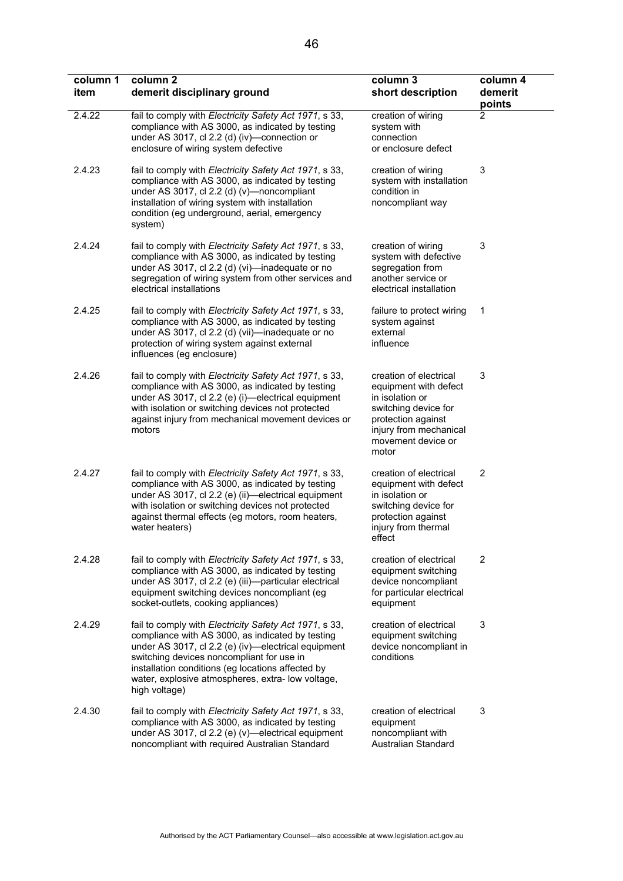| column 1<br>item | column 2<br>demerit disciplinary ground                                                                                                                                                                                                                                                                                                   | column 3<br>short description                                                                                                                                             | column 4<br>demerit<br>points |
|------------------|-------------------------------------------------------------------------------------------------------------------------------------------------------------------------------------------------------------------------------------------------------------------------------------------------------------------------------------------|---------------------------------------------------------------------------------------------------------------------------------------------------------------------------|-------------------------------|
| 2.4.22           | fail to comply with Electricity Safety Act 1971, s 33,<br>compliance with AS 3000, as indicated by testing<br>under AS 3017, cl 2.2 (d) (iv)-connection or<br>enclosure of wiring system defective                                                                                                                                        | creation of wiring<br>system with<br>connection<br>or enclosure defect                                                                                                    | 2                             |
| 2.4.23           | fail to comply with Electricity Safety Act 1971, s 33,<br>compliance with AS 3000, as indicated by testing<br>under AS 3017, cl $2.2$ (d) (v)—noncompliant<br>installation of wiring system with installation<br>condition (eg underground, aerial, emergency<br>system)                                                                  | creation of wiring<br>system with installation<br>condition in<br>noncompliant way                                                                                        | 3                             |
| 2.4.24           | fail to comply with Electricity Safety Act 1971, s 33,<br>compliance with AS 3000, as indicated by testing<br>under AS 3017, cl 2.2 (d) (vi)-inadequate or no<br>segregation of wiring system from other services and<br>electrical installations                                                                                         | creation of wiring<br>system with defective<br>segregation from<br>another service or<br>electrical installation                                                          | 3                             |
| 2.4.25           | fail to comply with Electricity Safety Act 1971, s 33,<br>compliance with AS 3000, as indicated by testing<br>under AS 3017, cl 2.2 (d) (vii)-inadequate or no<br>protection of wiring system against external<br>influences (eg enclosure)                                                                                               | failure to protect wiring<br>system against<br>external<br>influence                                                                                                      | 1                             |
| 2.4.26           | fail to comply with Electricity Safety Act 1971, s 33,<br>compliance with AS 3000, as indicated by testing<br>under AS 3017, cl 2.2 (e) (i)—electrical equipment<br>with isolation or switching devices not protected<br>against injury from mechanical movement devices or<br>motors                                                     | creation of electrical<br>equipment with defect<br>in isolation or<br>switching device for<br>protection against<br>injury from mechanical<br>movement device or<br>motor | 3                             |
| 2.4.27           | fail to comply with Electricity Safety Act 1971, s 33,<br>compliance with AS 3000, as indicated by testing<br>under AS 3017, cl 2.2 (e) (ii)-electrical equipment<br>with isolation or switching devices not protected<br>against thermal effects (eg motors, room heaters,<br>water heaters)                                             | creation of electrical<br>equipment with defect<br>in isolation or<br>switching device for<br>protection against<br>injury from thermal<br>effect                         | $\overline{2}$                |
| 2.4.28           | fail to comply with Electricity Safety Act 1971, s 33,<br>compliance with AS 3000, as indicated by testing<br>under AS 3017, cl 2.2 (e) (iii)-particular electrical<br>equipment switching devices noncompliant (eg<br>socket-outlets, cooking appliances)                                                                                | creation of electrical<br>equipment switching<br>device noncompliant<br>for particular electrical<br>equipment                                                            | 2                             |
| 2.4.29           | fail to comply with Electricity Safety Act 1971, s 33,<br>compliance with AS 3000, as indicated by testing<br>under AS 3017, cl 2.2 (e) (iv)-electrical equipment<br>switching devices noncompliant for use in<br>installation conditions (eg locations affected by<br>water, explosive atmospheres, extra- low voltage,<br>high voltage) | creation of electrical<br>equipment switching<br>device noncompliant in<br>conditions                                                                                     | 3                             |
| 2.4.30           | fail to comply with Electricity Safety Act 1971, s 33,<br>compliance with AS 3000, as indicated by testing<br>under AS 3017, cl 2.2 (e) (v)-electrical equipment<br>noncompliant with required Australian Standard                                                                                                                        | creation of electrical<br>equipment<br>noncompliant with<br>Australian Standard                                                                                           | 3                             |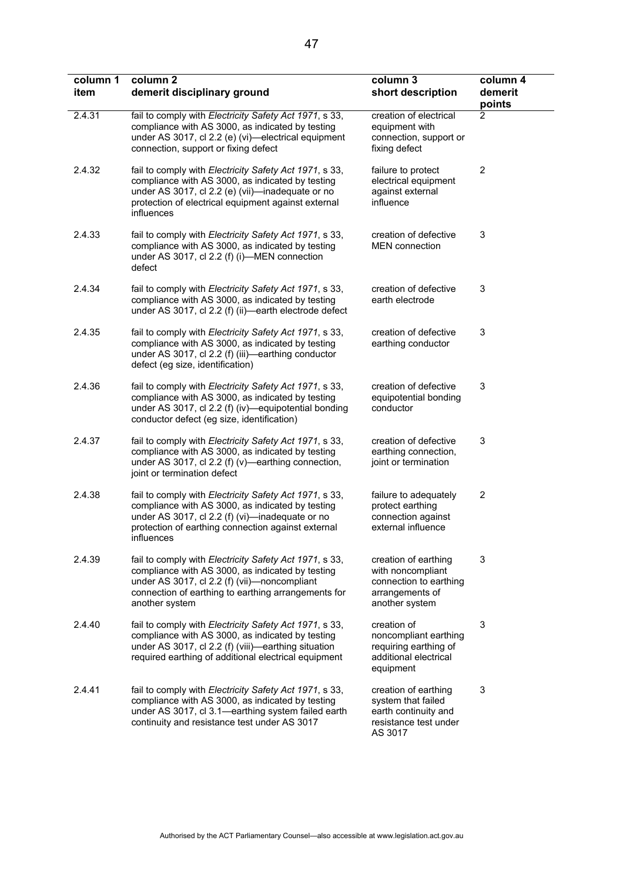| column 1<br>item | column 2<br>demerit disciplinary ground                                                                                                                                                                                             | column 3<br>short description                                                                            | column 4<br>demerit<br>points |
|------------------|-------------------------------------------------------------------------------------------------------------------------------------------------------------------------------------------------------------------------------------|----------------------------------------------------------------------------------------------------------|-------------------------------|
| 2.4.31           | fail to comply with Electricity Safety Act 1971, s 33,<br>compliance with AS 3000, as indicated by testing<br>under AS 3017, cl 2.2 (e) (vi)-electrical equipment<br>connection, support or fixing defect                           | creation of electrical<br>equipment with<br>connection, support or<br>fixing defect                      | 2                             |
| 2.4.32           | fail to comply with Electricity Safety Act 1971, s 33,<br>compliance with AS 3000, as indicated by testing<br>under AS 3017, cl 2.2 (e) (vii)-inadequate or no<br>protection of electrical equipment against external<br>influences | failure to protect<br>electrical equipment<br>against external<br>influence                              | $\overline{2}$                |
| 2.4.33           | fail to comply with Electricity Safety Act 1971, s 33,<br>compliance with AS 3000, as indicated by testing<br>under AS 3017, cl 2.2 (f) (i)-MEN connection<br>defect                                                                | creation of defective<br><b>MEN</b> connection                                                           | 3                             |
| 2.4.34           | fail to comply with Electricity Safety Act 1971, s 33,<br>compliance with AS 3000, as indicated by testing<br>under AS 3017, cl 2.2 (f) (ii)—earth electrode defect                                                                 | creation of defective<br>earth electrode                                                                 | 3                             |
| 2.4.35           | fail to comply with Electricity Safety Act 1971, s 33,<br>compliance with AS 3000, as indicated by testing<br>under AS 3017, cl 2.2 (f) (iii)—earthing conductor<br>defect (eg size, identification)                                | creation of defective<br>earthing conductor                                                              | 3                             |
| 2.4.36           | fail to comply with Electricity Safety Act 1971, s 33,<br>compliance with AS 3000, as indicated by testing<br>under AS 3017, cl 2.2 (f) (iv)—equipotential bonding<br>conductor defect (eg size, identification)                    | creation of defective<br>equipotential bonding<br>conductor                                              | 3                             |
| 2.4.37           | fail to comply with Electricity Safety Act 1971, s 33,<br>compliance with AS 3000, as indicated by testing<br>under AS 3017, cl 2.2 (f) (v)—earthing connection,<br>joint or termination defect                                     | creation of defective<br>earthing connection,<br>joint or termination                                    | 3                             |
| 2.4.38           | fail to comply with Electricity Safety Act 1971, s 33,<br>compliance with AS 3000, as indicated by testing<br>under AS 3017, cl 2.2 (f) (vi)-inadequate or no<br>protection of earthing connection against external<br>influences   | failure to adequately<br>protect earthing<br>connection against<br>external influence                    | $\overline{2}$                |
| 2.4.39           | fail to comply with Electricity Safety Act 1971, s 33,<br>compliance with AS 3000, as indicated by testing<br>under AS 3017, cl 2.2 (f) (vii)-noncompliant<br>connection of earthing to earthing arrangements for<br>another system | creation of earthing<br>with noncompliant<br>connection to earthing<br>arrangements of<br>another system | 3                             |
| 2.4.40           | fail to comply with Electricity Safety Act 1971, s 33,<br>compliance with AS 3000, as indicated by testing<br>under AS 3017, cl 2.2 (f) (viii)—earthing situation<br>required earthing of additional electrical equipment           | creation of<br>noncompliant earthing<br>requiring earthing of<br>additional electrical<br>equipment      | 3                             |
| 2.4.41           | fail to comply with Electricity Safety Act 1971, s 33,<br>compliance with AS 3000, as indicated by testing<br>under AS 3017, cl 3.1-earthing system failed earth<br>continuity and resistance test under AS 3017                    | creation of earthing<br>system that failed<br>earth continuity and<br>resistance test under<br>AS 3017   | 3                             |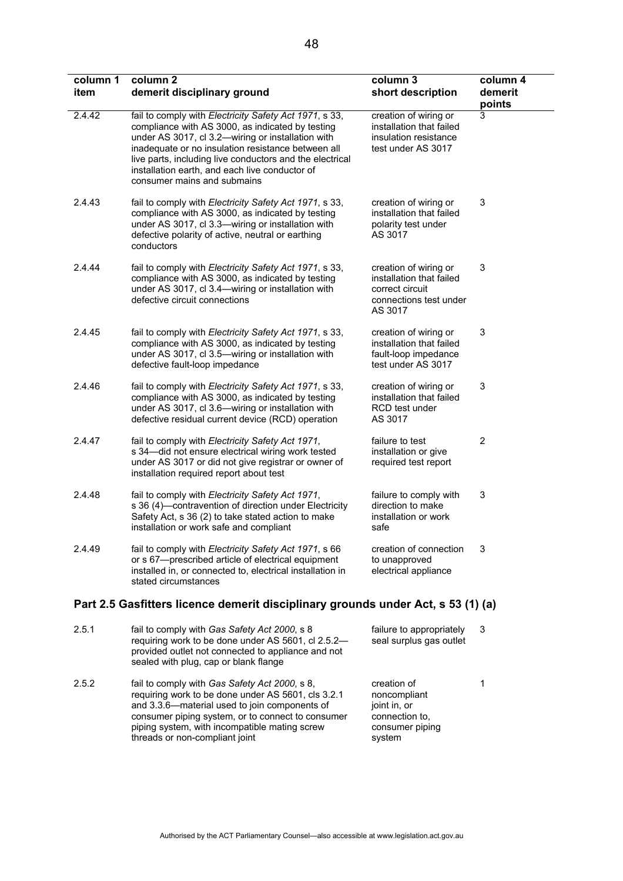| column 1<br>item | column <sub>2</sub><br>demerit disciplinary ground                                                                                                                                                                                                                                                                                                                 | column 3<br>short description                                                                             | column 4<br>demerit<br>points |
|------------------|--------------------------------------------------------------------------------------------------------------------------------------------------------------------------------------------------------------------------------------------------------------------------------------------------------------------------------------------------------------------|-----------------------------------------------------------------------------------------------------------|-------------------------------|
| 2.4.42           | fail to comply with Electricity Safety Act 1971, s 33,<br>compliance with AS 3000, as indicated by testing<br>under AS 3017, cl 3.2-wiring or installation with<br>inadequate or no insulation resistance between all<br>live parts, including live conductors and the electrical<br>installation earth, and each live conductor of<br>consumer mains and submains | creation of wiring or<br>installation that failed<br>insulation resistance<br>test under AS 3017          | 3                             |
| 2.4.43           | fail to comply with Electricity Safety Act 1971, s 33,<br>compliance with AS 3000, as indicated by testing<br>under AS 3017, cl 3.3-wiring or installation with<br>defective polarity of active, neutral or earthing<br>conductors                                                                                                                                 | creation of wiring or<br>installation that failed<br>polarity test under<br>AS 3017                       | 3                             |
| 2.4.44           | fail to comply with Electricity Safety Act 1971, s 33,<br>compliance with AS 3000, as indicated by testing<br>under AS 3017, cl 3.4-wiring or installation with<br>defective circuit connections                                                                                                                                                                   | creation of wiring or<br>installation that failed<br>correct circuit<br>connections test under<br>AS 3017 | 3                             |
| 2.4.45           | fail to comply with Electricity Safety Act 1971, s 33,<br>compliance with AS 3000, as indicated by testing<br>under AS 3017, cl 3.5-wiring or installation with<br>defective fault-loop impedance                                                                                                                                                                  | creation of wiring or<br>installation that failed<br>fault-loop impedance<br>test under AS 3017           | 3                             |
| 2.4.46           | fail to comply with Electricity Safety Act 1971, s 33,<br>compliance with AS 3000, as indicated by testing<br>under AS 3017, cl 3.6-wiring or installation with<br>defective residual current device (RCD) operation                                                                                                                                               | creation of wiring or<br>installation that failed<br>RCD test under<br>AS 3017                            | 3                             |
| 2.4.47           | fail to comply with Electricity Safety Act 1971,<br>s 34-did not ensure electrical wiring work tested<br>under AS 3017 or did not give registrar or owner of<br>installation required report about test                                                                                                                                                            | failure to test<br>installation or give<br>required test report                                           | $\overline{2}$                |
| 2.4.48           | fail to comply with Electricity Safety Act 1971,<br>s 36 (4)-contravention of direction under Electricity<br>Safety Act, s 36 (2) to take stated action to make<br>installation or work safe and compliant                                                                                                                                                         | failure to comply with<br>direction to make<br>installation or work<br>safe                               | 3                             |
| 2.4.49           | fail to comply with Electricity Safety Act 1971, s 66<br>or s 67-prescribed article of electrical equipment<br>installed in, or connected to, electrical installation in<br>stated circumstances                                                                                                                                                                   | creation of connection<br>to unapproved<br>electrical appliance                                           | 3                             |
|                  | Part 2.5 Gasfitters licence demerit disciplinary grounds under Act, s 53 (1) (a)                                                                                                                                                                                                                                                                                   |                                                                                                           |                               |
| 2.5.1            | fail to comply with Gas Safety Act 2000, s 8<br>requiring work to be done under AS 5601, cl 2.5.2-<br>provided outlet not connected to appliance and not<br>sealed with plug, cap or blank flange                                                                                                                                                                  | failure to appropriately<br>seal surplus gas outlet                                                       | 3                             |

2.5.2 fail to comply with *Gas Safety Act 2000*, s 8, requiring work to be done under AS 5601, cls 3.2.1 and 3.3.6—material used to join components of consumer piping system, or to connect to consumer piping system, with incompatible mating screw threads or non-compliant joint creation of noncompliant joint in, or connection to, consumer piping system

1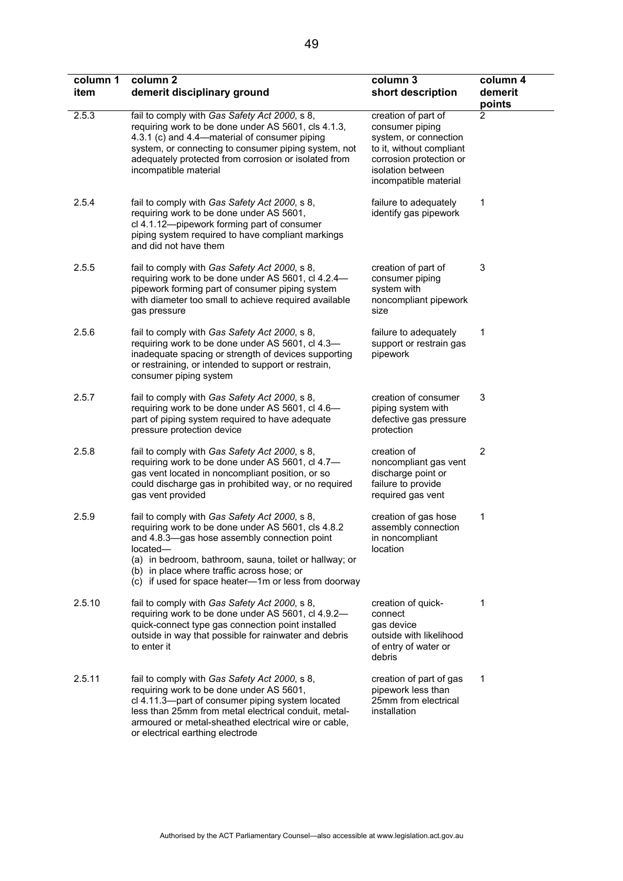| column 1<br>item | column <sub>2</sub><br>demerit disciplinary ground                                                                                                                                                                                                                                                                              | column 3<br>short description                                                                                                                                        | column 4<br>demerit<br>points |
|------------------|---------------------------------------------------------------------------------------------------------------------------------------------------------------------------------------------------------------------------------------------------------------------------------------------------------------------------------|----------------------------------------------------------------------------------------------------------------------------------------------------------------------|-------------------------------|
| 2.5.3            | fail to comply with Gas Safety Act 2000, s 8,<br>requiring work to be done under AS 5601, cls 4.1.3,<br>4.3.1 (c) and 4.4—material of consumer piping<br>system, or connecting to consumer piping system, not<br>adequately protected from corrosion or isolated from<br>incompatible material                                  | creation of part of<br>consumer piping<br>system, or connection<br>to it, without compliant<br>corrosion protection or<br>isolation between<br>incompatible material | $\overline{2}$                |
| 2.5.4            | fail to comply with Gas Safety Act 2000, s 8,<br>requiring work to be done under AS 5601,<br>cl 4.1.12-pipework forming part of consumer<br>piping system required to have compliant markings<br>and did not have them                                                                                                          | failure to adequately<br>identify gas pipework                                                                                                                       | 1                             |
| 2.5.5            | fail to comply with Gas Safety Act 2000, s 8,<br>requiring work to be done under AS 5601, cl 4.2.4-<br>pipework forming part of consumer piping system<br>with diameter too small to achieve required available<br>gas pressure                                                                                                 | creation of part of<br>consumer piping<br>system with<br>noncompliant pipework<br>size                                                                               | 3                             |
| 2.5.6            | fail to comply with Gas Safety Act 2000, s 8,<br>requiring work to be done under AS 5601, cl 4.3-<br>inadequate spacing or strength of devices supporting<br>or restraining, or intended to support or restrain,<br>consumer piping system                                                                                      | failure to adequately<br>support or restrain gas<br>pipework                                                                                                         | 1                             |
| 2.5.7            | fail to comply with Gas Safety Act 2000, s 8,<br>requiring work to be done under AS 5601, cl 4.6-<br>part of piping system required to have adequate<br>pressure protection device                                                                                                                                              | creation of consumer<br>piping system with<br>defective gas pressure<br>protection                                                                                   | 3                             |
| 2.5.8            | fail to comply with Gas Safety Act 2000, s 8,<br>requiring work to be done under AS 5601, cl 4.7-<br>gas vent located in noncompliant position, or so<br>could discharge gas in prohibited way, or no required<br>gas vent provided                                                                                             | creation of<br>noncompliant gas vent<br>discharge point or<br>failure to provide<br>required gas vent                                                                | 2                             |
| 2.5.9            | fail to comply with Gas Safety Act 2000, s 8,<br>requiring work to be done under AS 5601, cls 4.8.2<br>and 4.8.3-gas hose assembly connection point<br>located-<br>(a) in bedroom, bathroom, sauna, toilet or hallway; or<br>(b) in place where traffic across hose; or<br>(c) if used for space heater-1m or less from doorway | creation of gas hose<br>assembly connection<br>in noncompliant<br>location                                                                                           | 1                             |
| 2.5.10           | fail to comply with Gas Safety Act 2000, s 8,<br>requiring work to be done under AS 5601, cl 4.9.2-<br>quick-connect type gas connection point installed<br>outside in way that possible for rainwater and debris<br>to enter it                                                                                                | creation of quick-<br>connect<br>gas device<br>outside with likelihood<br>of entry of water or<br>debris                                                             | 1                             |
| 2.5.11           | fail to comply with Gas Safety Act 2000, s 8,<br>requiring work to be done under AS 5601,<br>cl 4.11.3-part of consumer piping system located<br>less than 25mm from metal electrical conduit, metal-<br>armoured or metal-sheathed electrical wire or cable,                                                                   | creation of part of gas<br>pipework less than<br>25mm from electrical<br>installation                                                                                | 1                             |

or electrical earthing electrode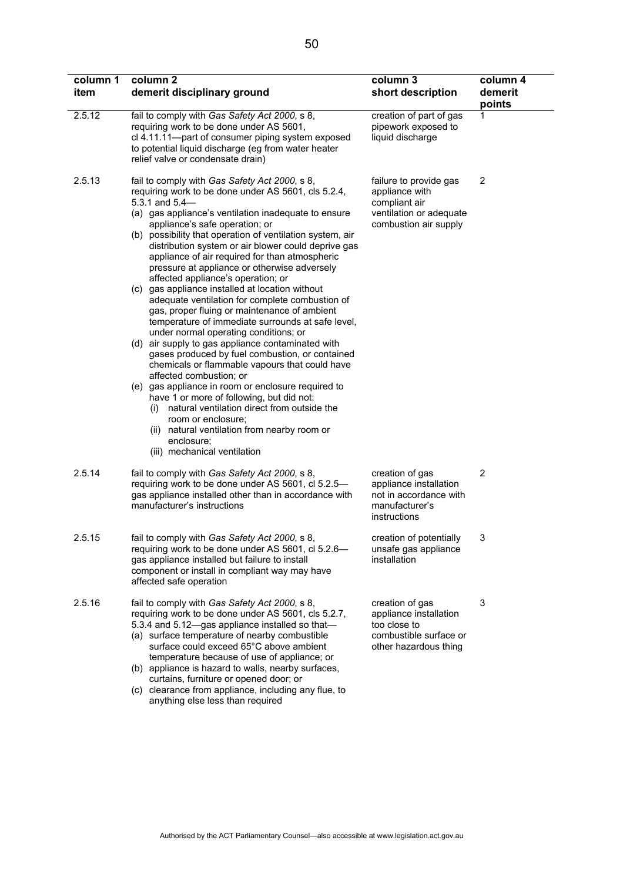| column 1<br>item | column <sub>2</sub><br>demerit disciplinary ground                                                                                                                                                                                                                                                                                                                                                                                                                                                                                                                                                                                                                                                                                                                                                                                                                                                                                                                                                                                                                                                                                                                                                | column 3<br>short description                                                                                 | column 4<br>demerit<br>points |
|------------------|---------------------------------------------------------------------------------------------------------------------------------------------------------------------------------------------------------------------------------------------------------------------------------------------------------------------------------------------------------------------------------------------------------------------------------------------------------------------------------------------------------------------------------------------------------------------------------------------------------------------------------------------------------------------------------------------------------------------------------------------------------------------------------------------------------------------------------------------------------------------------------------------------------------------------------------------------------------------------------------------------------------------------------------------------------------------------------------------------------------------------------------------------------------------------------------------------|---------------------------------------------------------------------------------------------------------------|-------------------------------|
| 2.5.12           | fail to comply with Gas Safety Act 2000, s 8,<br>requiring work to be done under AS 5601,<br>cl 4.11.11-part of consumer piping system exposed<br>to potential liquid discharge (eg from water heater<br>relief valve or condensate drain)                                                                                                                                                                                                                                                                                                                                                                                                                                                                                                                                                                                                                                                                                                                                                                                                                                                                                                                                                        | creation of part of gas<br>pipework exposed to<br>liquid discharge                                            | 1                             |
| 2.5.13           | fail to comply with Gas Safety Act 2000, s 8,<br>requiring work to be done under AS 5601, cls 5.2.4,<br>5.3.1 and $5.4-$<br>(a) gas appliance's ventilation inadequate to ensure<br>appliance's safe operation; or<br>(b) possibility that operation of ventilation system, air<br>distribution system or air blower could deprive gas<br>appliance of air required for than atmospheric<br>pressure at appliance or otherwise adversely<br>affected appliance's operation; or<br>(c) gas appliance installed at location without<br>adequate ventilation for complete combustion of<br>gas, proper fluing or maintenance of ambient<br>temperature of immediate surrounds at safe level,<br>under normal operating conditions; or<br>(d) air supply to gas appliance contaminated with<br>gases produced by fuel combustion, or contained<br>chemicals or flammable vapours that could have<br>affected combustion; or<br>(e) gas appliance in room or enclosure required to<br>have 1 or more of following, but did not:<br>(i) natural ventilation direct from outside the<br>room or enclosure;<br>(ii) natural ventilation from nearby room or<br>enclosure;<br>(iii) mechanical ventilation | failure to provide gas<br>appliance with<br>compliant air<br>ventilation or adequate<br>combustion air supply | 2                             |
| 2.5.14           | fail to comply with Gas Safety Act 2000, s 8,<br>requiring work to be done under AS 5601, cl 5.2.5-<br>gas appliance installed other than in accordance with<br>manufacturer's instructions                                                                                                                                                                                                                                                                                                                                                                                                                                                                                                                                                                                                                                                                                                                                                                                                                                                                                                                                                                                                       | creation of gas<br>appliance installation<br>not in accordance with<br>manufacturer's<br>instructions         | $\overline{2}$                |
| 2.5.15           | fail to comply with Gas Safety Act 2000, s 8,<br>requiring work to be done under AS 5601, cl 5.2.6-<br>gas appliance installed but failure to install<br>component or install in compliant way may have<br>affected safe operation                                                                                                                                                                                                                                                                                                                                                                                                                                                                                                                                                                                                                                                                                                                                                                                                                                                                                                                                                                | creation of potentially<br>unsafe gas appliance<br>installation                                               | 3                             |
| 2.5.16           | fail to comply with Gas Safety Act 2000, s 8,<br>requiring work to be done under AS 5601, cls 5.2.7,<br>5.3.4 and 5.12-gas appliance installed so that-<br>(a) surface temperature of nearby combustible<br>surface could exceed 65°C above ambient<br>temperature because of use of appliance; or<br>(b) appliance is hazard to walls, nearby surfaces,<br>curtains, furniture or opened door; or<br>(c) clearance from appliance, including any flue, to<br>anything else less than required                                                                                                                                                                                                                                                                                                                                                                                                                                                                                                                                                                                                                                                                                                    | creation of gas<br>appliance installation<br>too close to<br>combustible surface or<br>other hazardous thing  | 3                             |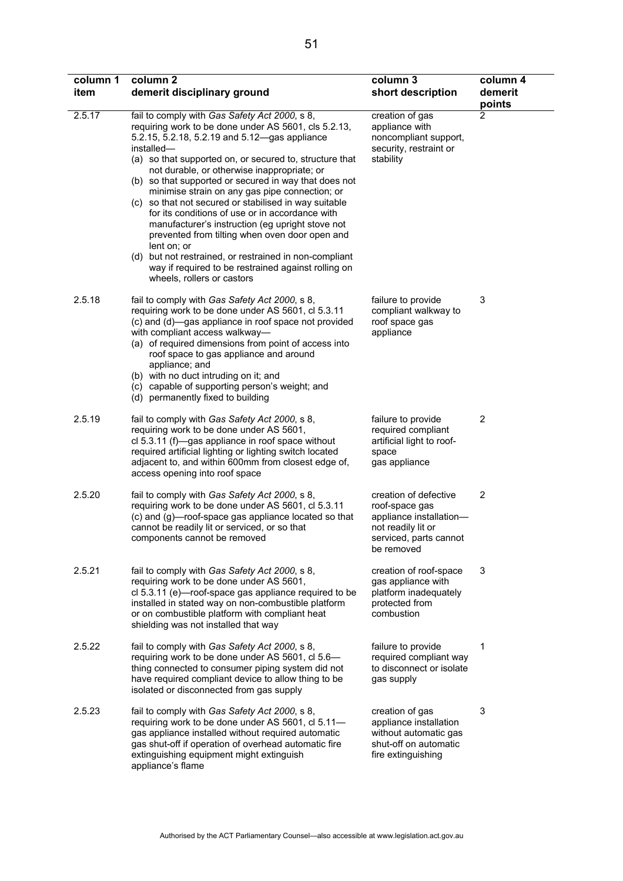| column 1<br>item | column <sub>2</sub><br>demerit disciplinary ground                                                                                                                                                                                                                                                                                                                                                                                                                                                                                                                                                                                                                                                                                                                        | column 3<br>short description                                                                                                    | column 4<br>demerit<br>points |
|------------------|---------------------------------------------------------------------------------------------------------------------------------------------------------------------------------------------------------------------------------------------------------------------------------------------------------------------------------------------------------------------------------------------------------------------------------------------------------------------------------------------------------------------------------------------------------------------------------------------------------------------------------------------------------------------------------------------------------------------------------------------------------------------------|----------------------------------------------------------------------------------------------------------------------------------|-------------------------------|
| 2.5.17           | fail to comply with Gas Safety Act 2000, s 8,<br>requiring work to be done under AS 5601, cls 5.2.13,<br>5.2.15, 5.2.18, 5.2.19 and 5.12-gas appliance<br>installed-<br>(a) so that supported on, or secured to, structure that<br>not durable, or otherwise inappropriate; or<br>(b) so that supported or secured in way that does not<br>minimise strain on any gas pipe connection; or<br>(c) so that not secured or stabilised in way suitable<br>for its conditions of use or in accordance with<br>manufacturer's instruction (eg upright stove not<br>prevented from tilting when oven door open and<br>lent on; or<br>(d) but not restrained, or restrained in non-compliant<br>way if required to be restrained against rolling on<br>wheels, rollers or castors | creation of gas<br>appliance with<br>noncompliant support,<br>security, restraint or<br>stability                                | 2                             |
| 2.5.18           | fail to comply with Gas Safety Act 2000, s 8,<br>requiring work to be done under AS 5601, cl 5.3.11<br>(c) and (d)—gas appliance in roof space not provided<br>with compliant access walkway-<br>(a) of required dimensions from point of access into<br>roof space to gas appliance and around<br>appliance; and<br>(b) with no duct intruding on it; and<br>(c) capable of supporting person's weight; and<br>(d) permanently fixed to building                                                                                                                                                                                                                                                                                                                         | failure to provide<br>compliant walkway to<br>roof space gas<br>appliance                                                        | 3                             |
| 2.5.19           | fail to comply with Gas Safety Act 2000, s 8,<br>requiring work to be done under AS 5601,<br>cl 5.3.11 (f)—gas appliance in roof space without<br>required artificial lighting or lighting switch located<br>adjacent to, and within 600mm from closest edge of,<br>access opening into roof space                                                                                                                                                                                                                                                                                                                                                                                                                                                                        | failure to provide<br>required compliant<br>artificial light to roof-<br>space<br>gas appliance                                  | 2                             |
| 2.5.20           | fail to comply with Gas Safety Act 2000, s 8,<br>requiring work to be done under AS 5601, cl 5.3.11<br>(c) and (g)—roof-space gas appliance located so that<br>cannot be readily lit or serviced, or so that<br>components cannot be removed                                                                                                                                                                                                                                                                                                                                                                                                                                                                                                                              | creation of defective<br>roof-space gas<br>appliance installation-<br>not readily lit or<br>serviced, parts cannot<br>be removed | 2                             |
| 2.5.21           | fail to comply with Gas Safety Act 2000, s 8,<br>requiring work to be done under AS 5601,<br>cl 5.3.11 (e)—roof-space gas appliance required to be<br>installed in stated way on non-combustible platform<br>or on combustible platform with compliant heat<br>shielding was not installed that way                                                                                                                                                                                                                                                                                                                                                                                                                                                                       | creation of roof-space<br>gas appliance with<br>platform inadequately<br>protected from<br>combustion                            | 3                             |
| 2.5.22           | fail to comply with Gas Safety Act 2000, s 8,<br>requiring work to be done under AS 5601, cl 5.6-<br>thing connected to consumer piping system did not<br>have required compliant device to allow thing to be<br>isolated or disconnected from gas supply                                                                                                                                                                                                                                                                                                                                                                                                                                                                                                                 | failure to provide<br>required compliant way<br>to disconnect or isolate<br>gas supply                                           | 1                             |
| 2.5.23           | fail to comply with Gas Safety Act 2000, s 8,<br>requiring work to be done under AS 5601, cl 5.11-<br>gas appliance installed without required automatic<br>gas shut-off if operation of overhead automatic fire<br>extinguishing equipment might extinguish<br>appliance's flame                                                                                                                                                                                                                                                                                                                                                                                                                                                                                         | creation of gas<br>appliance installation<br>without automatic gas<br>shut-off on automatic<br>fire extinguishing                | 3                             |

 $\overline{\phantom{0}}$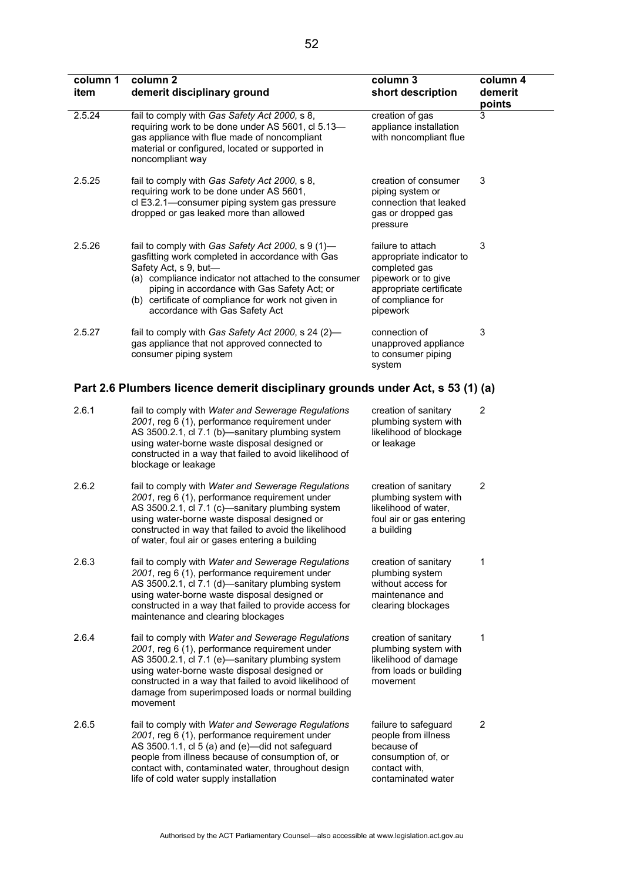| column 1<br>item | column <sub>2</sub><br>demerit disciplinary ground                                                                                                                                                                                                                                                                                   | column 3<br>short description                                                                                                                     | column 4<br>demerit<br>points |
|------------------|--------------------------------------------------------------------------------------------------------------------------------------------------------------------------------------------------------------------------------------------------------------------------------------------------------------------------------------|---------------------------------------------------------------------------------------------------------------------------------------------------|-------------------------------|
| 2.5.24           | fail to comply with Gas Safety Act 2000, s 8,<br>requiring work to be done under AS 5601, cl 5.13-<br>gas appliance with flue made of noncompliant<br>material or configured, located or supported in<br>noncompliant way                                                                                                            | creation of gas<br>appliance installation<br>with noncompliant flue                                                                               | 3                             |
| 2.5.25           | fail to comply with Gas Safety Act 2000, s 8,<br>requiring work to be done under AS 5601,<br>cl E3.2.1-consumer piping system gas pressure<br>dropped or gas leaked more than allowed                                                                                                                                                | creation of consumer<br>piping system or<br>connection that leaked<br>gas or dropped gas<br>pressure                                              | 3                             |
| 2.5.26           | fail to comply with Gas Safety Act 2000, s 9 (1)-<br>gasfitting work completed in accordance with Gas<br>Safety Act, s 9, but-<br>(a) compliance indicator not attached to the consumer<br>piping in accordance with Gas Safety Act; or<br>(b) certificate of compliance for work not given in<br>accordance with Gas Safety Act     | failure to attach<br>appropriate indicator to<br>completed gas<br>pipework or to give<br>appropriate certificate<br>of compliance for<br>pipework | 3                             |
| 2.5.27           | fail to comply with Gas Safety Act 2000, s 24 (2)-<br>gas appliance that not approved connected to<br>consumer piping system                                                                                                                                                                                                         | connection of<br>unapproved appliance<br>to consumer piping<br>system                                                                             | 3                             |
|                  | Part 2.6 Plumbers licence demerit disciplinary grounds under Act, s 53 (1) (a)                                                                                                                                                                                                                                                       |                                                                                                                                                   |                               |
| 2.6.1            | fail to comply with Water and Sewerage Regulations<br>2001, reg 6 (1), performance requirement under<br>AS 3500.2.1, cl 7.1 (b)-sanitary plumbing system<br>using water-borne waste disposal designed or<br>constructed in a way that failed to avoid likelihood of<br>blockage or leakage                                           | creation of sanitary<br>plumbing system with<br>likelihood of blockage<br>or leakage                                                              | 2                             |
| 2.6.2            | fail to comply with Water and Sewerage Regulations<br>2001, reg 6 (1), performance requirement under<br>AS 3500.2.1, cl 7.1 (c)-sanitary plumbing system<br>using water-borne waste disposal designed or<br>constructed in way that failed to avoid the likelihood<br>of water, foul air or gases entering a building                | creation of sanitary<br>plumbing system with<br>likelihood of water,<br>foul air or gas entering<br>a building                                    | 2                             |
| 2.6.3            | fail to comply with Water and Sewerage Regulations<br>2001, reg 6 (1), performance requirement under<br>AS 3500.2.1, cl 7.1 (d)-sanitary plumbing system<br>using water-borne waste disposal designed or<br>constructed in a way that failed to provide access for<br>maintenance and clearing blockages                             | creation of sanitary<br>plumbing system<br>without access for<br>maintenance and<br>clearing blockages                                            | 1                             |
| 2.6.4            | fail to comply with Water and Sewerage Regulations<br>2001, reg 6 (1), performance requirement under<br>AS 3500.2.1, cl 7.1 (e)-sanitary plumbing system<br>using water-borne waste disposal designed or<br>constructed in a way that failed to avoid likelihood of<br>damage from superimposed loads or normal building<br>movement | creation of sanitary<br>plumbing system with<br>likelihood of damage<br>from loads or building<br>movement                                        | 1                             |
| 2.6.5            | fail to comply with Water and Sewerage Regulations<br>2001, reg 6 (1), performance requirement under<br>AS 3500.1.1, cl 5 (a) and (e)-did not safeguard<br>people from illness because of consumption of, or<br>contact with, contaminated water, throughout design<br>life of cold water supply installation                        | failure to safeguard<br>people from illness<br>because of<br>consumption of, or<br>contact with,<br>contaminated water                            | $\overline{2}$                |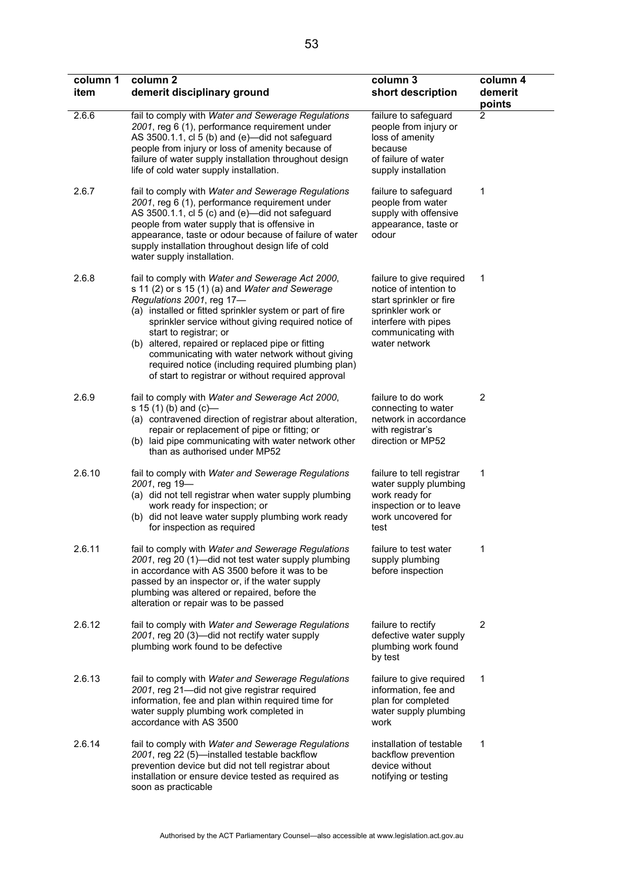| column 1<br>item | column <sub>2</sub><br>demerit disciplinary ground                                                                                                                                                                                                                                                                                                                                                                                                                                                | column 3<br>short description                                                                                                                                     | column 4<br>demerit<br>points |
|------------------|---------------------------------------------------------------------------------------------------------------------------------------------------------------------------------------------------------------------------------------------------------------------------------------------------------------------------------------------------------------------------------------------------------------------------------------------------------------------------------------------------|-------------------------------------------------------------------------------------------------------------------------------------------------------------------|-------------------------------|
| 2.6.6            | fail to comply with Water and Sewerage Regulations<br>2001, reg 6 (1), performance requirement under<br>AS 3500.1.1, cl 5 (b) and (e)-did not safeguard<br>people from injury or loss of amenity because of<br>failure of water supply installation throughout design<br>life of cold water supply installation.                                                                                                                                                                                  | failure to safeguard<br>people from injury or<br>loss of amenity<br>because<br>of failure of water<br>supply installation                                         | 2                             |
| 2.6.7            | fail to comply with Water and Sewerage Regulations<br>2001, reg 6 (1), performance requirement under<br>AS 3500.1.1, cl 5 (c) and (e)-did not safeguard<br>people from water supply that is offensive in<br>appearance, taste or odour because of failure of water<br>supply installation throughout design life of cold<br>water supply installation.                                                                                                                                            | failure to safeguard<br>people from water<br>supply with offensive<br>appearance, taste or<br>odour                                                               | 1                             |
| 2.6.8            | fail to comply with Water and Sewerage Act 2000,<br>s 11 (2) or s 15 (1) (a) and Water and Sewerage<br>Regulations 2001, reg 17-<br>(a) installed or fitted sprinkler system or part of fire<br>sprinkler service without giving required notice of<br>start to registrar; or<br>(b) altered, repaired or replaced pipe or fitting<br>communicating with water network without giving<br>required notice (including required plumbing plan)<br>of start to registrar or without required approval | failure to give required<br>notice of intention to<br>start sprinkler or fire<br>sprinkler work or<br>interfere with pipes<br>communicating with<br>water network | 1                             |
| 2.6.9            | fail to comply with Water and Sewerage Act 2000,<br>s 15 $(1)$ (b) and $(c)$ —<br>(a) contravened direction of registrar about alteration,<br>repair or replacement of pipe or fitting; or<br>(b) laid pipe communicating with water network other<br>than as authorised under MP52                                                                                                                                                                                                               | failure to do work<br>connecting to water<br>network in accordance<br>with registrar's<br>direction or MP52                                                       | $\overline{2}$                |
| 2.6.10           | fail to comply with Water and Sewerage Regulations<br>2001, reg 19-<br>(a) did not tell registrar when water supply plumbing<br>work ready for inspection; or<br>(b) did not leave water supply plumbing work ready<br>for inspection as required                                                                                                                                                                                                                                                 | failure to tell registrar<br>water supply plumbing<br>work ready for<br>inspection or to leave<br>work uncovered for<br>test                                      | 1                             |
| 2.6.11           | fail to comply with Water and Sewerage Regulations<br>2001, reg 20 (1)—did not test water supply plumbing<br>in accordance with AS 3500 before it was to be<br>passed by an inspector or, if the water supply<br>plumbing was altered or repaired, before the<br>alteration or repair was to be passed                                                                                                                                                                                            | failure to test water<br>supply plumbing<br>before inspection                                                                                                     | 1                             |
| 2.6.12           | fail to comply with Water and Sewerage Regulations<br>2001, reg 20 (3)—did not rectify water supply<br>plumbing work found to be defective                                                                                                                                                                                                                                                                                                                                                        | failure to rectify<br>defective water supply<br>plumbing work found<br>by test                                                                                    | 2                             |
| 2.6.13           | fail to comply with Water and Sewerage Regulations<br>2001, reg 21-did not give registrar required<br>information, fee and plan within required time for<br>water supply plumbing work completed in<br>accordance with AS 3500                                                                                                                                                                                                                                                                    | failure to give required<br>information, fee and<br>plan for completed<br>water supply plumbing<br>work                                                           | 1                             |
| 2.6.14           | fail to comply with Water and Sewerage Regulations<br>2001, reg 22 (5)-installed testable backflow<br>prevention device but did not tell registrar about<br>installation or ensure device tested as required as<br>soon as practicable                                                                                                                                                                                                                                                            | installation of testable<br>backflow prevention<br>device without<br>notifying or testing                                                                         | 1                             |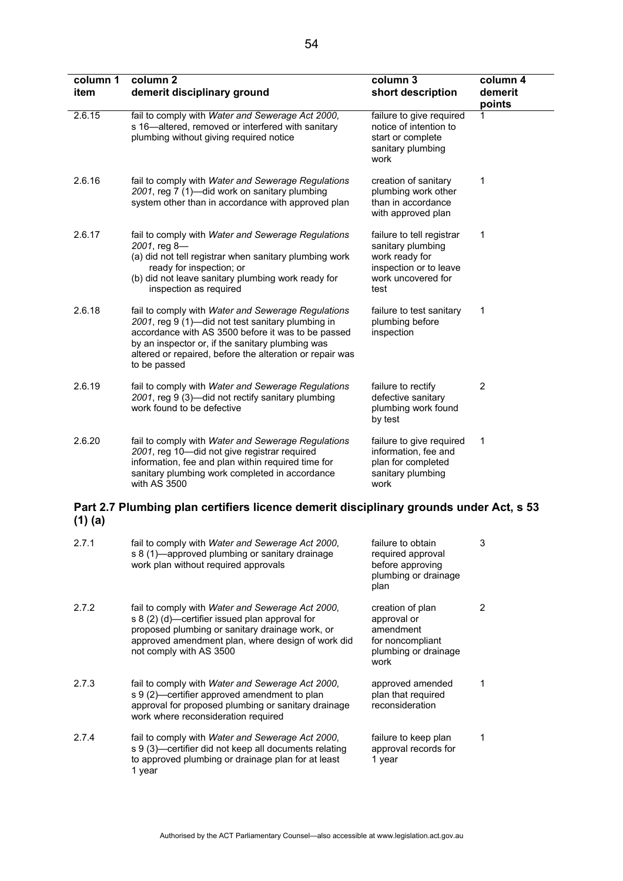| column 1<br>item | column <sub>2</sub><br>demerit disciplinary ground                                                                                                                                                                                                                                            | column 3<br>short description                                                                                            | column 4<br>demerit<br>points |
|------------------|-----------------------------------------------------------------------------------------------------------------------------------------------------------------------------------------------------------------------------------------------------------------------------------------------|--------------------------------------------------------------------------------------------------------------------------|-------------------------------|
| 2.6.15           | fail to comply with Water and Sewerage Act 2000,<br>s 16-altered, removed or interfered with sanitary<br>plumbing without giving required notice                                                                                                                                              | failure to give required<br>notice of intention to<br>start or complete<br>sanitary plumbing<br>work                     | 1                             |
| 2.6.16           | fail to comply with Water and Sewerage Regulations<br>2001, reg 7 (1)-did work on sanitary plumbing<br>system other than in accordance with approved plan                                                                                                                                     | creation of sanitary<br>plumbing work other<br>than in accordance<br>with approved plan                                  | 1                             |
| 2.6.17           | fail to comply with Water and Sewerage Regulations<br>2001, reg 8-<br>(a) did not tell registrar when sanitary plumbing work<br>ready for inspection; or<br>(b) did not leave sanitary plumbing work ready for<br>inspection as required                                                      | failure to tell registrar<br>sanitary plumbing<br>work ready for<br>inspection or to leave<br>work uncovered for<br>test | 1                             |
| 2.6.18           | fail to comply with Water and Sewerage Regulations<br>2001, reg 9 (1)-did not test sanitary plumbing in<br>accordance with AS 3500 before it was to be passed<br>by an inspector or, if the sanitary plumbing was<br>altered or repaired, before the alteration or repair was<br>to be passed | failure to test sanitary<br>plumbing before<br>inspection                                                                | 1                             |
| 2.6.19           | fail to comply with Water and Sewerage Regulations<br>2001, reg 9 (3)-did not rectify sanitary plumbing<br>work found to be defective                                                                                                                                                         | failure to rectify<br>defective sanitary<br>plumbing work found<br>by test                                               | $\overline{2}$                |
| 2.6.20           | fail to comply with Water and Sewerage Regulations<br>2001, reg 10-did not give registrar required<br>information, fee and plan within required time for<br>sanitary plumbing work completed in accordance<br>with AS 3500                                                                    | failure to give required<br>information, fee and<br>plan for completed<br>sanitary plumbing<br>work                      | 1                             |
|                  | Part 2.7 Plumbing plan certifiers licence demerit disciplinary grounds under Act, s 53                                                                                                                                                                                                        |                                                                                                                          |                               |

# **(1) (a)**

| 2.7.1 | fail to comply with Water and Sewerage Act 2000,<br>s 8 (1)—approved plumbing or sanitary drainage<br>work plan without required approvals                                                                                            | failure to obtain<br>required approval<br>before approving<br>plumbing or drainage<br>plan       | 3 |
|-------|---------------------------------------------------------------------------------------------------------------------------------------------------------------------------------------------------------------------------------------|--------------------------------------------------------------------------------------------------|---|
| 2.7.2 | fail to comply with Water and Sewerage Act 2000,<br>s 8 (2) (d)—certifier issued plan approval for<br>proposed plumbing or sanitary drainage work, or<br>approved amendment plan, where design of work did<br>not comply with AS 3500 | creation of plan<br>approval or<br>amendment<br>for noncompliant<br>plumbing or drainage<br>work |   |
| 2.7.3 | fail to comply with <i>Water and Sewerage Act 2000</i> ,<br>s 9 (2)—certifier approved amendment to plan<br>approval for proposed plumbing or sanitary drainage<br>work where reconsideration required                                | approved amended<br>plan that required<br>reconsideration                                        |   |
| 2.7.4 | fail to comply with <i>Water and Sewerage Act 2000</i> ,<br>s 9 (3)—certifier did not keep all documents relating<br>to approved plumbing or drainage plan for at least<br>1 year                                                     | failure to keep plan<br>approval records for<br>1 year                                           |   |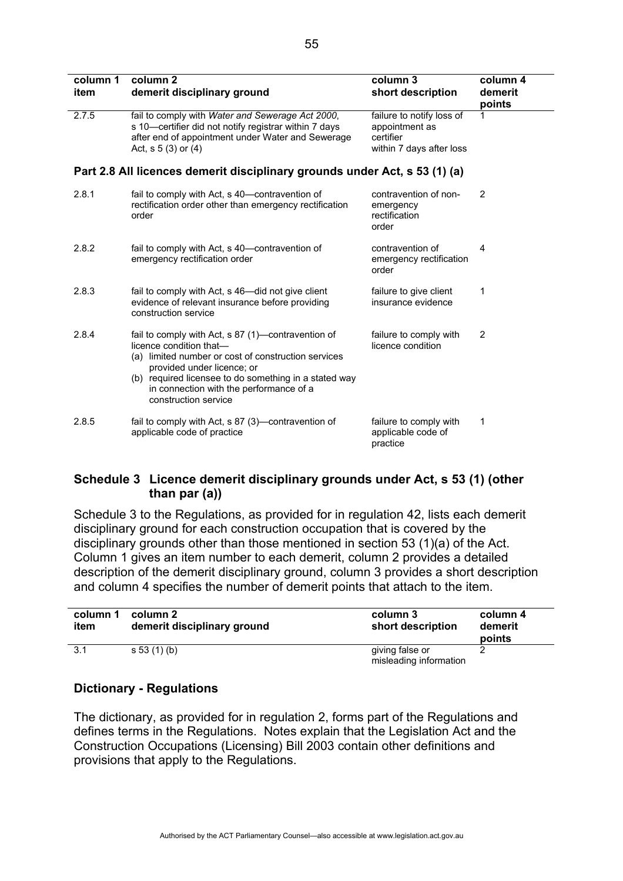| column 1<br>item                                                           | column <sub>2</sub><br>demerit disciplinary ground                                                                                                                                                                                                                                             | column 3<br>short description                                                        | column 4<br>demerit<br>points |  |  |
|----------------------------------------------------------------------------|------------------------------------------------------------------------------------------------------------------------------------------------------------------------------------------------------------------------------------------------------------------------------------------------|--------------------------------------------------------------------------------------|-------------------------------|--|--|
| 2.7.5                                                                      | fail to comply with Water and Sewerage Act 2000,<br>s 10-certifier did not notify registrar within 7 days<br>after end of appointment under Water and Sewerage<br>Act, $s 5(3)$ or $(4)$                                                                                                       | failure to notify loss of<br>appointment as<br>certifier<br>within 7 days after loss | 1                             |  |  |
| Part 2.8 All licences demerit disciplinary grounds under Act, s 53 (1) (a) |                                                                                                                                                                                                                                                                                                |                                                                                      |                               |  |  |
| 2.8.1                                                                      | fail to comply with Act, s 40—contravention of<br>rectification order other than emergency rectification<br>order                                                                                                                                                                              | contravention of non-<br>emergency<br>rectification<br>order                         | 2                             |  |  |
| 2.8.2                                                                      | fail to comply with Act, s 40—contravention of<br>emergency rectification order                                                                                                                                                                                                                | contravention of<br>emergency rectification<br>order                                 | 4                             |  |  |
| 2.8.3                                                                      | fail to comply with Act, s 46-did not give client<br>evidence of relevant insurance before providing<br>construction service                                                                                                                                                                   | failure to give client<br>insurance evidence                                         | 1                             |  |  |
| 2.8.4                                                                      | fail to comply with Act, s 87 (1)—contravention of<br>licence condition that-<br>(a) limited number or cost of construction services<br>provided under licence; or<br>(b) required licensee to do something in a stated way<br>in connection with the performance of a<br>construction service | failure to comply with<br>licence condition                                          | $\overline{2}$                |  |  |
| 2.8.5                                                                      | fail to comply with Act, s 87 (3)—contravention of<br>applicable code of practice                                                                                                                                                                                                              | failure to comply with<br>applicable code of<br>practice                             | 1                             |  |  |

## **Schedule 3 Licence demerit disciplinary grounds under Act, s 53 (1) (other than par (a))**

Schedule 3 to the Regulations, as provided for in regulation 42, lists each demerit disciplinary ground for each construction occupation that is covered by the disciplinary grounds other than those mentioned in section 53 (1)(a) of the Act. Column 1 gives an item number to each demerit, column 2 provides a detailed description of the demerit disciplinary ground, column 3 provides a short description and column 4 specifies the number of demerit points that attach to the item.

| column 1<br>item | column 2<br>demerit disciplinary ground | column 3<br>short description             | column 4<br>demerit<br>points |
|------------------|-----------------------------------------|-------------------------------------------|-------------------------------|
| 3.1              | s 53 (1) (b)                            | giving false or<br>misleading information |                               |

## **Dictionary - Regulations**

The dictionary, as provided for in regulation 2, forms part of the Regulations and defines terms in the Regulations. Notes explain that the Legislation Act and the Construction Occupations (Licensing) Bill 2003 contain other definitions and provisions that apply to the Regulations.